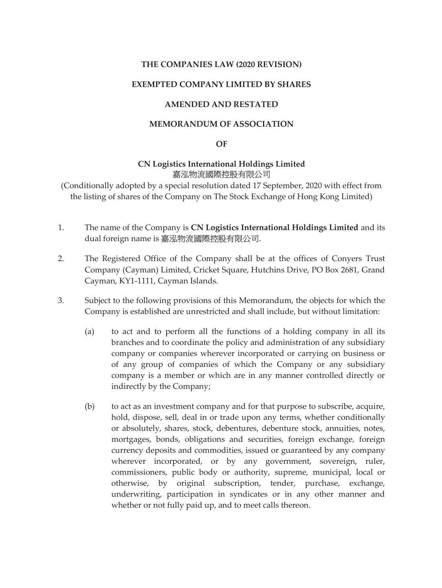### THE COMPANIES LAW (2020 REVISION)

### EXEMPTED COMPANY LIMITED BY SHARES

### AMENDED AND RESTATED

### MEMORANDUM OF ASSOCIATION

#### OF

### CN Logistics International Holdings Limited 嘉泓物流國際控股有限公司

(Conditionally adopted by a special resolution dated 17 September, 2020 with effect from the listing of shares of the Company on The Stock Exchange of Hong Kong Limited)

- 1. The name of the Company is CN Logistics International Holdings Limited and its dual foreign name is 嘉泓物流國際控股有限公司.
- 2. The Registered Office of the Company shall be at the offices of Conyers Trust Company (Cayman) Limited, Cricket Square, Hutchins Drive, PO Box 2681, Grand Cayman, KY1-1111, Cayman Islands.
- 3. Subject to the following provisions of this Memorandum, the objects for which the Company is established are unrestricted and shall include, but without limitation:
	- (a) to act and to perform all the functions of a holding company in all its branches and to coordinate the policy and administration of any subsidiary company or companies wherever incorporated or carrying on business or of any group of companies of which the Company or any subsidiary company is a member or which are in any manner controlled directly or indirectly by the Company;
	- (b) to act as an investment company and for that purpose to subscribe, acquire, hold, dispose, sell, deal in or trade upon any terms, whether conditionally or absolutely, shares, stock, debentures, debenture stock, annuities, notes, mortgages, bonds, obligations and securities, foreign exchange, foreign currency deposits and commodities, issued or guaranteed by any company wherever incorporated, or by any government, sovereign, ruler, commissioners, public body or authority, supreme, municipal, local or otherwise, by original subscription, tender, purchase, exchange, underwriting, participation in syndicates or in any other manner and whether or not fully paid up, and to meet calls thereon.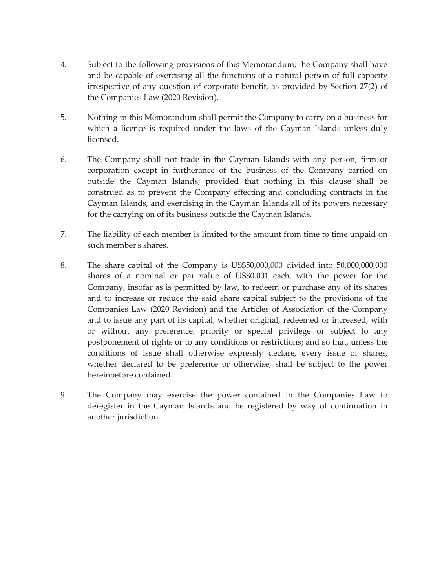- 4. Subject to the following provisions of this Memorandum, the Company shall have and be capable of exercising all the functions of a natural person of full capacity irrespective of any question of corporate benefit, as provided by Section 27(2) of the Companies Law (2020 Revision).
- 5. Nothing in this Memorandum shall permit the Company to carry on a business for which a licence is required under the laws of the Cayman Islands unless duly licensed.
- 6. The Company shall not trade in the Cayman Islands with any person, firm or corporation except in furtherance of the business of the Company carried on outside the Cayman Islands; provided that nothing in this clause shall be construed as to prevent the Company effecting and concluding contracts in the Cayman Islands, and exercising in the Cayman Islands all of its powers necessary for the carrying on of its business outside the Cayman Islands.
- 7. The liability of each member is limited to the amount from time to time unpaid on such member's shares.
- 8. The share capital of the Company is US\$50,000,000 divided into 50,000,000,000 shares of a nominal or par value of US\$0.001 each, with the power for the Company, insofar as is permitted by law, to redeem or purchase any of its shares and to increase or reduce the said share capital subject to the provisions of the Companies Law (2020 Revision) and the Articles of Association of the Company and to issue any part of its capital, whether original, redeemed or increased, with or without any preference, priority or special privilege or subject to any postponement of rights or to any conditions or restrictions; and so that, unless the conditions of issue shall otherwise expressly declare, every issue of shares, whether declared to be preference or otherwise, shall be subject to the power hereinbefore contained.
- 9. The Company may exercise the power contained in the Companies Law to deregister in the Cayman Islands and be registered by way of continuation in another jurisdiction.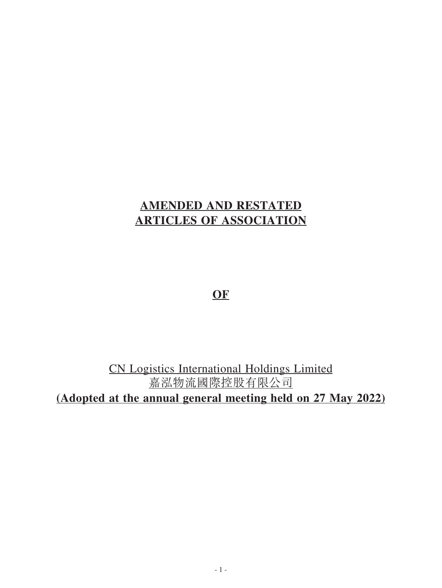# **AMENDED AND RESTATED ARTICLES OF ASSOCIATION**

**OF**

CN Logistics International Holdings Limited 嘉泓物流國際控股有限公司 **(Adopted at the annual general meeting held on 27 May 2022)**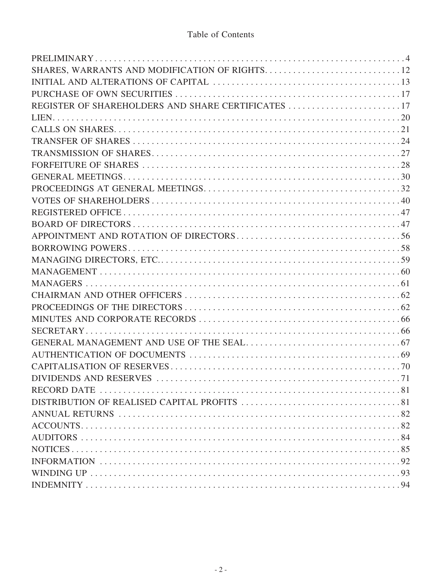### Table of Contents

| REGISTER OF SHAREHOLDERS AND SHARE CERTIFICATES 17 |
|----------------------------------------------------|
|                                                    |
|                                                    |
|                                                    |
|                                                    |
|                                                    |
|                                                    |
|                                                    |
|                                                    |
|                                                    |
|                                                    |
|                                                    |
|                                                    |
|                                                    |
|                                                    |
|                                                    |
|                                                    |
|                                                    |
|                                                    |
|                                                    |
|                                                    |
|                                                    |
|                                                    |
|                                                    |
|                                                    |
|                                                    |
|                                                    |
|                                                    |
|                                                    |
|                                                    |
|                                                    |
|                                                    |
|                                                    |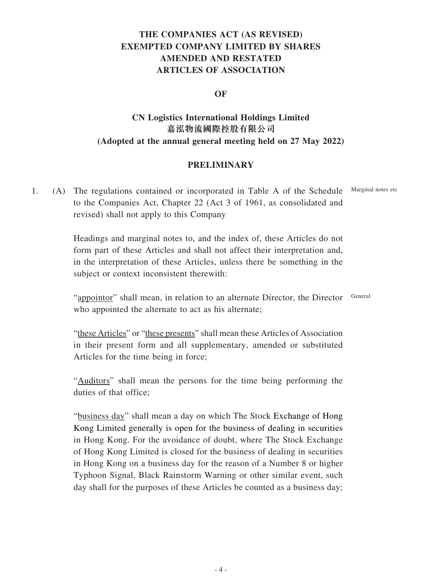## **THE COMPANIES ACT (AS REVISED) EXEMPTED COMPANY LIMITED BY SHARES AMENDED AND RESTATED ARTICLES OF ASSOCIATION**

### **OF**

## **CN Logistics International Holdings Limited 嘉泓物流國際控股有限公司 (Adopted at the annual general meeting held on 27 May 2022)**

### **PRELIMINARY**

1. (A) The regulations contained or incorporated in Table A of the Schedule to the Companies Act, Chapter 22 (Act 3 of 1961, as consolidated and revised) shall not apply to this Company Marginal notes etc

> Headings and marginal notes to, and the index of, these Articles do not form part of these Articles and shall not affect their interpretation and, in the interpretation of these Articles, unless there be something in the subject or context inconsistent therewith:

"appointor" shall mean, in relation to an alternate Director, the Director General who appointed the alternate to act as his alternate;

"these Articles" or "these presents" shall mean these Articles of Association in their present form and all supplementary, amended or substituted Articles for the time being in force;

"Auditors" shall mean the persons for the time being performing the duties of that office;

"business day" shall mean a day on which The Stock Exchange of Hong Kong Limited generally is open for the business of dealing in securities in Hong Kong. For the avoidance of doubt, where The Stock Exchange of Hong Kong Limited is closed for the business of dealing in securities in Hong Kong on a business day for the reason of a Number 8 or higher Typhoon Signal, Black Rainstorm Warning or other similar event, such day shall for the purposes of these Articles be counted as a business day;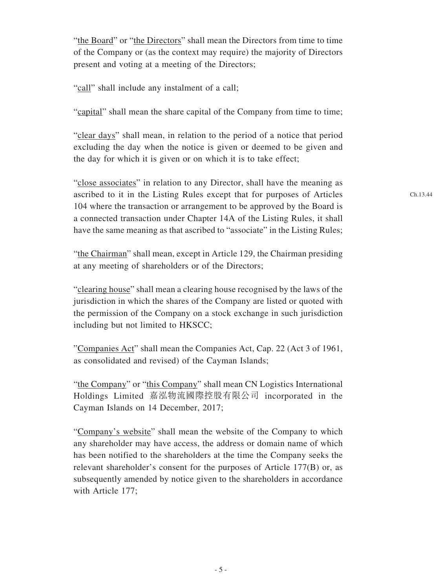"the Board" or "the Directors" shall mean the Directors from time to time of the Company or (as the context may require) the majority of Directors present and voting at a meeting of the Directors;

"call" shall include any instalment of a call;

"capital" shall mean the share capital of the Company from time to time;

"clear days" shall mean, in relation to the period of a notice that period excluding the day when the notice is given or deemed to be given and the day for which it is given or on which it is to take effect;

"close associates" in relation to any Director, shall have the meaning as ascribed to it in the Listing Rules except that for purposes of Articles 104 where the transaction or arrangement to be approved by the Board is a connected transaction under Chapter 14A of the Listing Rules, it shall have the same meaning as that ascribed to "associate" in the Listing Rules;

"the Chairman" shall mean, except in Article 129, the Chairman presiding at any meeting of shareholders or of the Directors;

"clearing house" shall mean a clearing house recognised by the laws of the jurisdiction in which the shares of the Company are listed or quoted with the permission of the Company on a stock exchange in such jurisdiction including but not limited to HKSCC;

"Companies Act" shall mean the Companies Act, Cap. 22 (Act 3 of 1961, as consolidated and revised) of the Cayman Islands;

"the Company" or "this Company" shall mean CN Logistics International Holdings Limited 嘉泓物流國際控股有限公司 incorporated in the Cayman Islands on 14 December, 2017;

"Company's website" shall mean the website of the Company to which any shareholder may have access, the address or domain name of which has been notified to the shareholders at the time the Company seeks the relevant shareholder's consent for the purposes of Article 177(B) or, as subsequently amended by notice given to the shareholders in accordance with Article 177;

Ch.13.44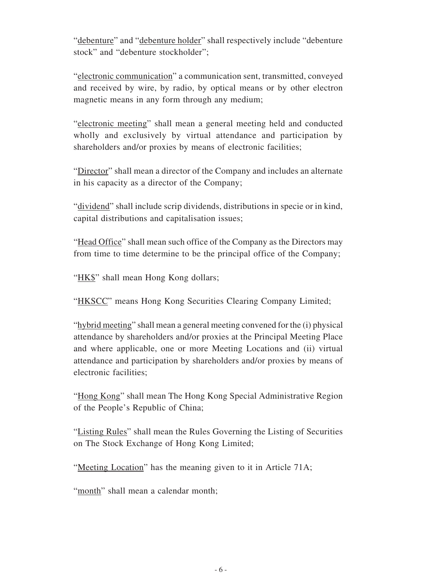"debenture" and "debenture holder" shall respectively include "debenture stock" and "debenture stockholder":

"electronic communication" a communication sent, transmitted, conveyed and received by wire, by radio, by optical means or by other electron magnetic means in any form through any medium;

"electronic meeting" shall mean a general meeting held and conducted wholly and exclusively by virtual attendance and participation by shareholders and/or proxies by means of electronic facilities;

"Director" shall mean a director of the Company and includes an alternate in his capacity as a director of the Company;

"dividend" shall include scrip dividends, distributions in specie or in kind, capital distributions and capitalisation issues;

"Head Office" shall mean such office of the Company as the Directors may from time to time determine to be the principal office of the Company;

"HK\$" shall mean Hong Kong dollars;

"HKSCC" means Hong Kong Securities Clearing Company Limited;

"hybrid meeting" shall mean a general meeting convened for the (i) physical attendance by shareholders and/or proxies at the Principal Meeting Place and where applicable, one or more Meeting Locations and (ii) virtual attendance and participation by shareholders and/or proxies by means of electronic facilities;

"Hong Kong" shall mean The Hong Kong Special Administrative Region of the People's Republic of China;

"Listing Rules" shall mean the Rules Governing the Listing of Securities on The Stock Exchange of Hong Kong Limited;

"Meeting Location" has the meaning given to it in Article 71A;

"month" shall mean a calendar month;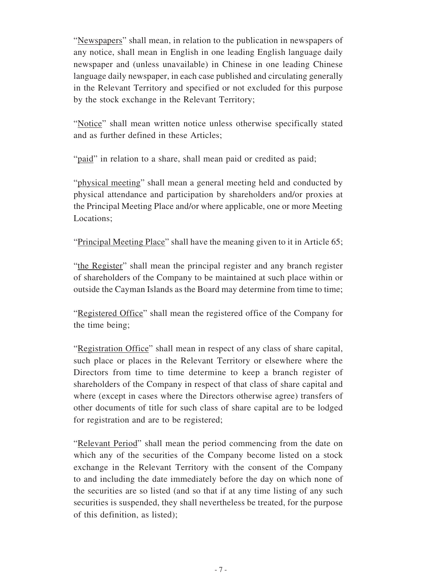"Newspapers" shall mean, in relation to the publication in newspapers of any notice, shall mean in English in one leading English language daily newspaper and (unless unavailable) in Chinese in one leading Chinese language daily newspaper, in each case published and circulating generally in the Relevant Territory and specified or not excluded for this purpose by the stock exchange in the Relevant Territory;

"Notice" shall mean written notice unless otherwise specifically stated and as further defined in these Articles;

"paid" in relation to a share, shall mean paid or credited as paid;

"physical meeting" shall mean a general meeting held and conducted by physical attendance and participation by shareholders and/or proxies at the Principal Meeting Place and/or where applicable, one or more Meeting Locations;

"Principal Meeting Place" shall have the meaning given to it in Article 65;

"the Register" shall mean the principal register and any branch register of shareholders of the Company to be maintained at such place within or outside the Cayman Islands as the Board may determine from time to time;

"Registered Office" shall mean the registered office of the Company for the time being;

"Registration Office" shall mean in respect of any class of share capital, such place or places in the Relevant Territory or elsewhere where the Directors from time to time determine to keep a branch register of shareholders of the Company in respect of that class of share capital and where (except in cases where the Directors otherwise agree) transfers of other documents of title for such class of share capital are to be lodged for registration and are to be registered;

"Relevant Period" shall mean the period commencing from the date on which any of the securities of the Company become listed on a stock exchange in the Relevant Territory with the consent of the Company to and including the date immediately before the day on which none of the securities are so listed (and so that if at any time listing of any such securities is suspended, they shall nevertheless be treated, for the purpose of this definition, as listed);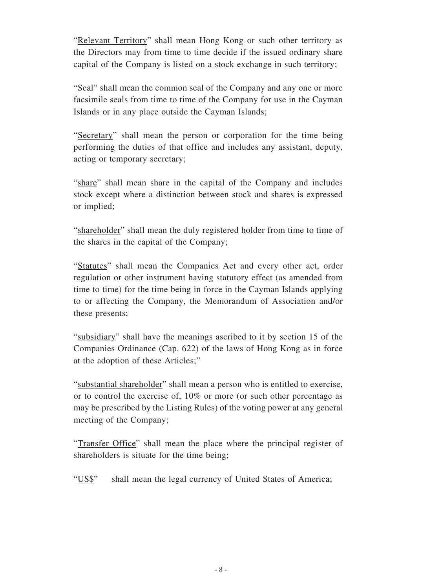"Relevant Territory" shall mean Hong Kong or such other territory as the Directors may from time to time decide if the issued ordinary share capital of the Company is listed on a stock exchange in such territory;

"Seal" shall mean the common seal of the Company and any one or more facsimile seals from time to time of the Company for use in the Cayman Islands or in any place outside the Cayman Islands;

"Secretary" shall mean the person or corporation for the time being performing the duties of that office and includes any assistant, deputy, acting or temporary secretary;

"share" shall mean share in the capital of the Company and includes stock except where a distinction between stock and shares is expressed or implied;

"shareholder" shall mean the duly registered holder from time to time of the shares in the capital of the Company;

"Statutes" shall mean the Companies Act and every other act, order regulation or other instrument having statutory effect (as amended from time to time) for the time being in force in the Cayman Islands applying to or affecting the Company, the Memorandum of Association and/or these presents;

"subsidiary" shall have the meanings ascribed to it by section 15 of the Companies Ordinance (Cap. 622) of the laws of Hong Kong as in force at the adoption of these Articles;"

"substantial shareholder" shall mean a person who is entitled to exercise, or to control the exercise of, 10% or more (or such other percentage as may be prescribed by the Listing Rules) of the voting power at any general meeting of the Company;

"Transfer Office" shall mean the place where the principal register of shareholders is situate for the time being;

"US\$" shall mean the legal currency of United States of America;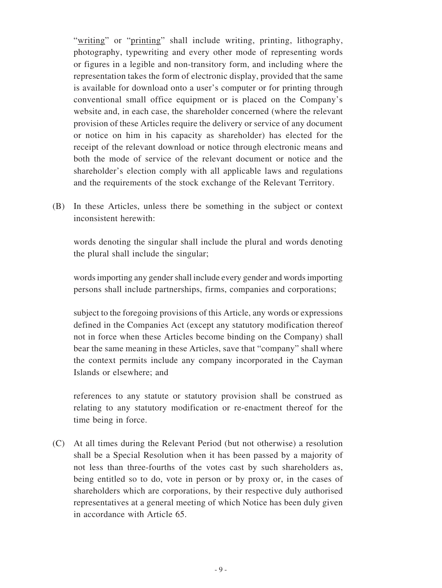"writing" or "printing" shall include writing, printing, lithography, photography, typewriting and every other mode of representing words or figures in a legible and non-transitory form, and including where the representation takes the form of electronic display, provided that the same is available for download onto a user's computer or for printing through conventional small office equipment or is placed on the Company's website and, in each case, the shareholder concerned (where the relevant provision of these Articles require the delivery or service of any document or notice on him in his capacity as shareholder) has elected for the receipt of the relevant download or notice through electronic means and both the mode of service of the relevant document or notice and the shareholder's election comply with all applicable laws and regulations and the requirements of the stock exchange of the Relevant Territory.

(B) In these Articles, unless there be something in the subject or context inconsistent herewith:

words denoting the singular shall include the plural and words denoting the plural shall include the singular;

words importing any gender shall include every gender and words importing persons shall include partnerships, firms, companies and corporations;

subject to the foregoing provisions of this Article, any words or expressions defined in the Companies Act (except any statutory modification thereof not in force when these Articles become binding on the Company) shall bear the same meaning in these Articles, save that "company" shall where the context permits include any company incorporated in the Cayman Islands or elsewhere; and

references to any statute or statutory provision shall be construed as relating to any statutory modification or re-enactment thereof for the time being in force.

(C) At all times during the Relevant Period (but not otherwise) a resolution shall be a Special Resolution when it has been passed by a majority of not less than three-fourths of the votes cast by such shareholders as, being entitled so to do, vote in person or by proxy or, in the cases of shareholders which are corporations, by their respective duly authorised representatives at a general meeting of which Notice has been duly given in accordance with Article 65.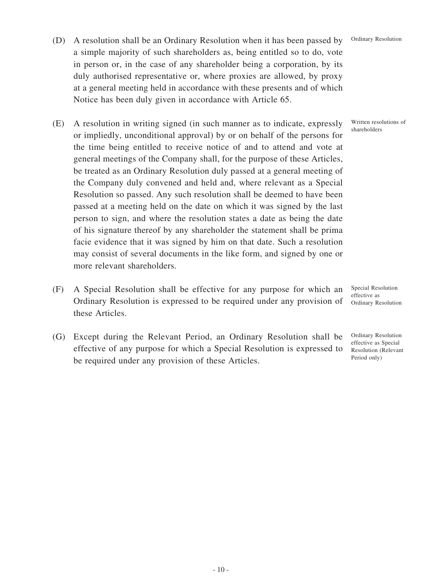- (D) A resolution shall be an Ordinary Resolution when it has been passed by a simple majority of such shareholders as, being entitled so to do, vote in person or, in the case of any shareholder being a corporation, by its duly authorised representative or, where proxies are allowed, by proxy at a general meeting held in accordance with these presents and of which Notice has been duly given in accordance with Article 65.
- (E) A resolution in writing signed (in such manner as to indicate, expressly or impliedly, unconditional approval) by or on behalf of the persons for the time being entitled to receive notice of and to attend and vote at general meetings of the Company shall, for the purpose of these Articles, be treated as an Ordinary Resolution duly passed at a general meeting of the Company duly convened and held and, where relevant as a Special Resolution so passed. Any such resolution shall be deemed to have been passed at a meeting held on the date on which it was signed by the last person to sign, and where the resolution states a date as being the date of his signature thereof by any shareholder the statement shall be prima facie evidence that it was signed by him on that date. Such a resolution may consist of several documents in the like form, and signed by one or more relevant shareholders.
- (F) A Special Resolution shall be effective for any purpose for which an Ordinary Resolution is expressed to be required under any provision of these Articles.
- (G) Except during the Relevant Period, an Ordinary Resolution shall be effective of any purpose for which a Special Resolution is expressed to be required under any provision of these Articles.

Written resolutions of shareholders

Special Resolution effective as Ordinary Resolution

Ordinary Resolution effective as Special Resolution (Relevant Period only)

#### Ordinary Resolution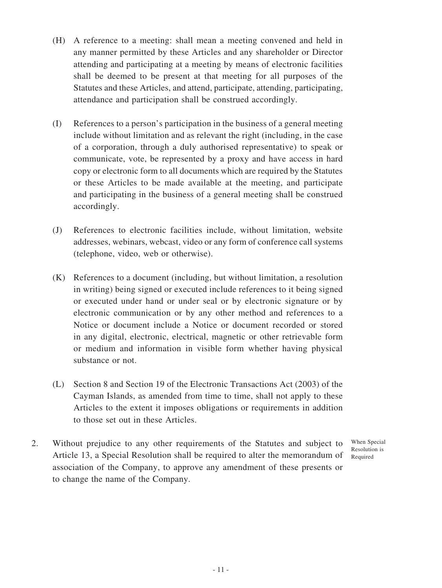- (H) A reference to a meeting: shall mean a meeting convened and held in any manner permitted by these Articles and any shareholder or Director attending and participating at a meeting by means of electronic facilities shall be deemed to be present at that meeting for all purposes of the Statutes and these Articles, and attend, participate, attending, participating, attendance and participation shall be construed accordingly.
- (I) References to a person's participation in the business of a general meeting include without limitation and as relevant the right (including, in the case of a corporation, through a duly authorised representative) to speak or communicate, vote, be represented by a proxy and have access in hard copy or electronic form to all documents which are required by the Statutes or these Articles to be made available at the meeting, and participate and participating in the business of a general meeting shall be construed accordingly.
- (J) References to electronic facilities include, without limitation, website addresses, webinars, webcast, video or any form of conference call systems (telephone, video, web or otherwise).
- (K) References to a document (including, but without limitation, a resolution in writing) being signed or executed include references to it being signed or executed under hand or under seal or by electronic signature or by electronic communication or by any other method and references to a Notice or document include a Notice or document recorded or stored in any digital, electronic, electrical, magnetic or other retrievable form or medium and information in visible form whether having physical substance or not.
- (L) Section 8 and Section 19 of the Electronic Transactions Act (2003) of the Cayman Islands, as amended from time to time, shall not apply to these Articles to the extent it imposes obligations or requirements in addition to those set out in these Articles.
- 2. Without prejudice to any other requirements of the Statutes and subject to Article 13, a Special Resolution shall be required to alter the memorandum of association of the Company, to approve any amendment of these presents or to change the name of the Company.

When Special Resolution is Required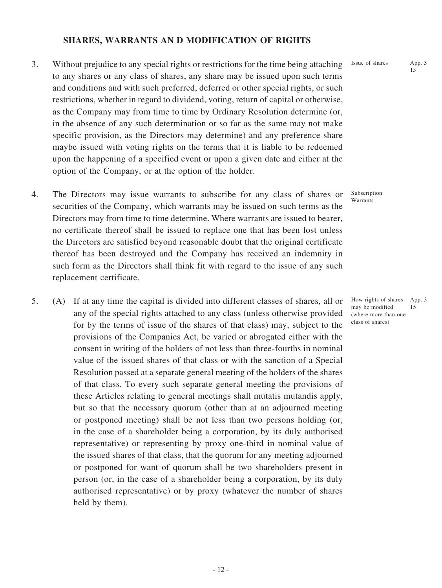### **SHARES, WARRANTS AN D MODIFICATION OF RIGHTS**

- 3. Without prejudice to any special rights or restrictions for the time being attaching to any shares or any class of shares, any share may be issued upon such terms and conditions and with such preferred, deferred or other special rights, or such restrictions, whether in regard to dividend, voting, return of capital or otherwise, as the Company may from time to time by Ordinary Resolution determine (or, in the absence of any such determination or so far as the same may not make specific provision, as the Directors may determine) and any preference share maybe issued with voting rights on the terms that it is liable to be redeemed upon the happening of a specified event or upon a given date and either at the option of the Company, or at the option of the holder.
- 4. The Directors may issue warrants to subscribe for any class of shares or securities of the Company, which warrants may be issued on such terms as the Directors may from time to time determine. Where warrants are issued to bearer, no certificate thereof shall be issued to replace one that has been lost unless the Directors are satisfied beyond reasonable doubt that the original certificate thereof has been destroyed and the Company has received an indemnity in such form as the Directors shall think fit with regard to the issue of any such replacement certificate.
- 5. (A) If at any time the capital is divided into different classes of shares, all or any of the special rights attached to any class (unless otherwise provided for by the terms of issue of the shares of that class) may, subject to the provisions of the Companies Act, be varied or abrogated either with the consent in writing of the holders of not less than three-fourths in nominal value of the issued shares of that class or with the sanction of a Special Resolution passed at a separate general meeting of the holders of the shares of that class. To every such separate general meeting the provisions of these Articles relating to general meetings shall mutatis mutandis apply, but so that the necessary quorum (other than at an adjourned meeting or postponed meeting) shall be not less than two persons holding (or, in the case of a shareholder being a corporation, by its duly authorised representative) or representing by proxy one-third in nominal value of the issued shares of that class, that the quorum for any meeting adjourned or postponed for want of quorum shall be two shareholders present in person (or, in the case of a shareholder being a corporation, by its duly authorised representative) or by proxy (whatever the number of shares held by them).

Issue of shares App. 3

15

Subscription Warrants

How rights of shares App. 3 may be modified (where more than one class of shares) 15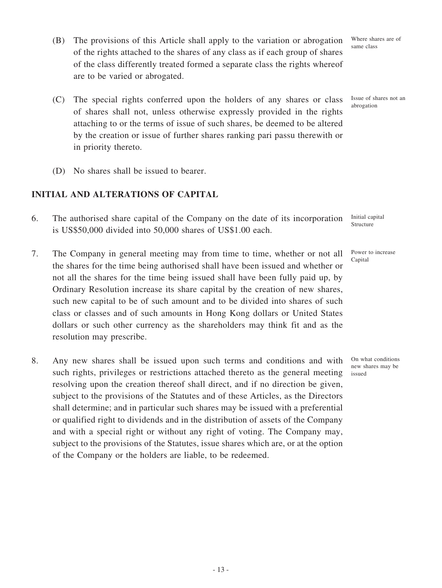- (B) The provisions of this Article shall apply to the variation or abrogation of the rights attached to the shares of any class as if each group of shares of the class differently treated formed a separate class the rights whereof are to be varied or abrogated.
- (C) The special rights conferred upon the holders of any shares or class of shares shall not, unless otherwise expressly provided in the rights attaching to or the terms of issue of such shares, be deemed to be altered by the creation or issue of further shares ranking pari passu therewith or in priority thereto.
- (D) No shares shall be issued to bearer.

## **INITIAL AND ALTERATIONS OF CAPITAL**

- 6. The authorised share capital of the Company on the date of its incorporation is US\$50,000 divided into 50,000 shares of US\$1.00 each.
- 7. The Company in general meeting may from time to time, whether or not all the shares for the time being authorised shall have been issued and whether or not all the shares for the time being issued shall have been fully paid up, by Ordinary Resolution increase its share capital by the creation of new shares, such new capital to be of such amount and to be divided into shares of such class or classes and of such amounts in Hong Kong dollars or United States dollars or such other currency as the shareholders may think fit and as the resolution may prescribe.
- 8. Any new shares shall be issued upon such terms and conditions and with such rights, privileges or restrictions attached thereto as the general meeting resolving upon the creation thereof shall direct, and if no direction be given, subject to the provisions of the Statutes and of these Articles, as the Directors shall determine; and in particular such shares may be issued with a preferential or qualified right to dividends and in the distribution of assets of the Company and with a special right or without any right of voting. The Company may, subject to the provisions of the Statutes, issue shares which are, or at the option of the Company or the holders are liable, to be redeemed.

Where shares are of same class

Issue of shares not an abrogation

Initial capital Structure

Power to increase **Capital** 

On what conditions new shares may be issued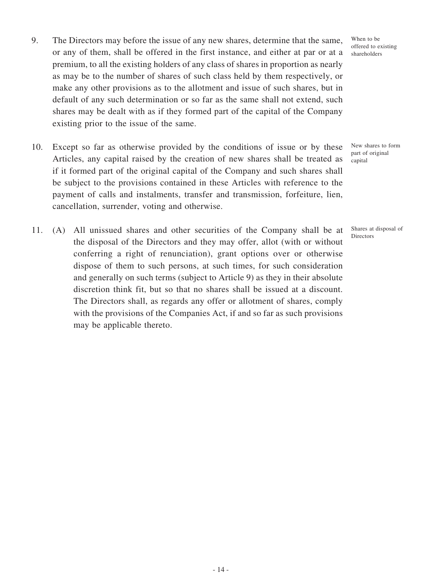- 9. The Directors may before the issue of any new shares, determine that the same, or any of them, shall be offered in the first instance, and either at par or at a premium, to all the existing holders of any class of shares in proportion as nearly as may be to the number of shares of such class held by them respectively, or make any other provisions as to the allotment and issue of such shares, but in default of any such determination or so far as the same shall not extend, such shares may be dealt with as if they formed part of the capital of the Company existing prior to the issue of the same.
- 10. Except so far as otherwise provided by the conditions of issue or by these Articles, any capital raised by the creation of new shares shall be treated as if it formed part of the original capital of the Company and such shares shall be subject to the provisions contained in these Articles with reference to the payment of calls and instalments, transfer and transmission, forfeiture, lien, cancellation, surrender, voting and otherwise.
- 11. (A) All unissued shares and other securities of the Company shall be at the disposal of the Directors and they may offer, allot (with or without conferring a right of renunciation), grant options over or otherwise dispose of them to such persons, at such times, for such consideration and generally on such terms (subject to Article 9) as they in their absolute discretion think fit, but so that no shares shall be issued at a discount. The Directors shall, as regards any offer or allotment of shares, comply with the provisions of the Companies Act, if and so far as such provisions may be applicable thereto.

When to be offered to existing shareholders

New shares to form part of original capital

Shares at disposal of Directors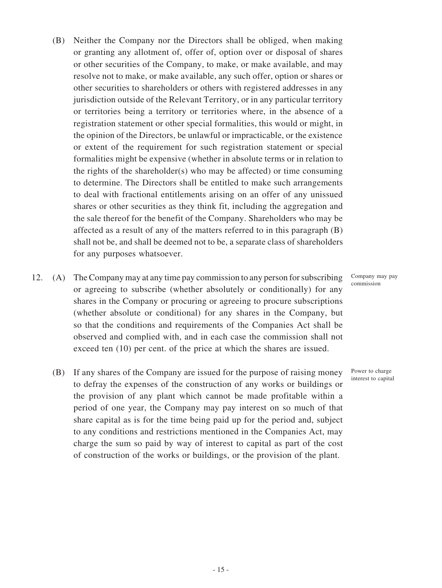- (B) Neither the Company nor the Directors shall be obliged, when making or granting any allotment of, offer of, option over or disposal of shares or other securities of the Company, to make, or make available, and may resolve not to make, or make available, any such offer, option or shares or other securities to shareholders or others with registered addresses in any jurisdiction outside of the Relevant Territory, or in any particular territory or territories being a territory or territories where, in the absence of a registration statement or other special formalities, this would or might, in the opinion of the Directors, be unlawful or impracticable, or the existence or extent of the requirement for such registration statement or special formalities might be expensive (whether in absolute terms or in relation to the rights of the shareholder(s) who may be affected) or time consuming to determine. The Directors shall be entitled to make such arrangements to deal with fractional entitlements arising on an offer of any unissued shares or other securities as they think fit, including the aggregation and the sale thereof for the benefit of the Company. Shareholders who may be affected as a result of any of the matters referred to in this paragraph (B) shall not be, and shall be deemed not to be, a separate class of shareholders for any purposes whatsoever.
- 12. (A) The Company may at any time pay commission to any person for subscribing or agreeing to subscribe (whether absolutely or conditionally) for any shares in the Company or procuring or agreeing to procure subscriptions (whether absolute or conditional) for any shares in the Company, but so that the conditions and requirements of the Companies Act shall be observed and complied with, and in each case the commission shall not exceed ten (10) per cent. of the price at which the shares are issued.
	- (B) If any shares of the Company are issued for the purpose of raising money to defray the expenses of the construction of any works or buildings or the provision of any plant which cannot be made profitable within a period of one year, the Company may pay interest on so much of that share capital as is for the time being paid up for the period and, subject to any conditions and restrictions mentioned in the Companies Act, may charge the sum so paid by way of interest to capital as part of the cost of construction of the works or buildings, or the provision of the plant.

Company may pay commission

Power to charge interest to capital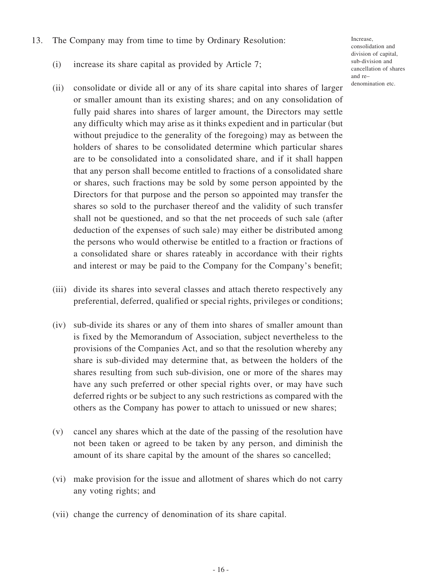- 13. The Company may from time to time by Ordinary Resolution:
	- (i) increase its share capital as provided by Article 7;
	- (ii) consolidate or divide all or any of its share capital into shares of larger or smaller amount than its existing shares; and on any consolidation of fully paid shares into shares of larger amount, the Directors may settle any difficulty which may arise as it thinks expedient and in particular (but without prejudice to the generality of the foregoing) may as between the holders of shares to be consolidated determine which particular shares are to be consolidated into a consolidated share, and if it shall happen that any person shall become entitled to fractions of a consolidated share or shares, such fractions may be sold by some person appointed by the Directors for that purpose and the person so appointed may transfer the shares so sold to the purchaser thereof and the validity of such transfer shall not be questioned, and so that the net proceeds of such sale (after deduction of the expenses of such sale) may either be distributed among the persons who would otherwise be entitled to a fraction or fractions of a consolidated share or shares rateably in accordance with their rights and interest or may be paid to the Company for the Company's benefit;
	- (iii) divide its shares into several classes and attach thereto respectively any preferential, deferred, qualified or special rights, privileges or conditions;
	- (iv) sub-divide its shares or any of them into shares of smaller amount than is fixed by the Memorandum of Association, subject nevertheless to the provisions of the Companies Act, and so that the resolution whereby any share is sub-divided may determine that, as between the holders of the shares resulting from such sub-division, one or more of the shares may have any such preferred or other special rights over, or may have such deferred rights or be subject to any such restrictions as compared with the others as the Company has power to attach to unissued or new shares;
	- (v) cancel any shares which at the date of the passing of the resolution have not been taken or agreed to be taken by any person, and diminish the amount of its share capital by the amount of the shares so cancelled;
	- (vi) make provision for the issue and allotment of shares which do not carry any voting rights; and
	- (vii) change the currency of denomination of its share capital.

Increase, consolidation and division of capital, sub-division and cancellation of shares and re– denomination etc.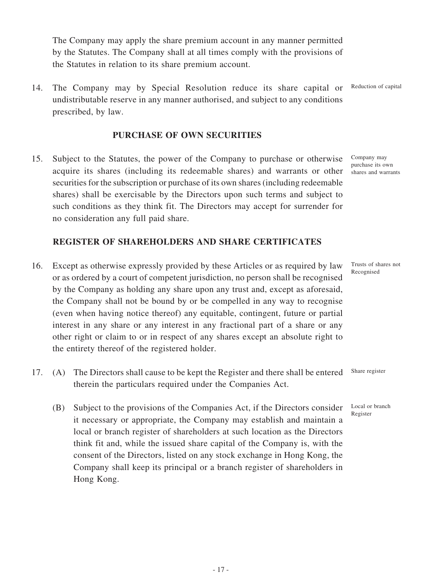The Company may apply the share premium account in any manner permitted by the Statutes. The Company shall at all times comply with the provisions of the Statutes in relation to its share premium account.

14. The Company may by Special Resolution reduce its share capital or undistributable reserve in any manner authorised, and subject to any conditions prescribed, by law.

### **PURCHASE OF OWN SECURITIES**

15. Subject to the Statutes, the power of the Company to purchase or otherwise acquire its shares (including its redeemable shares) and warrants or other securities for the subscription or purchase of its own shares (including redeemable shares) shall be exercisable by the Directors upon such terms and subject to such conditions as they think fit. The Directors may accept for surrender for no consideration any full paid share.

Company may purchase its own shares and warrants

# **REGISTER OF SHAREHOLDERS AND SHARE CERTIFICATES**

- 16. Except as otherwise expressly provided by these Articles or as required by law or as ordered by a court of competent jurisdiction, no person shall be recognised by the Company as holding any share upon any trust and, except as aforesaid, the Company shall not be bound by or be compelled in any way to recognise (even when having notice thereof) any equitable, contingent, future or partial interest in any share or any interest in any fractional part of a share or any other right or claim to or in respect of any shares except an absolute right to the entirety thereof of the registered holder.
- 17. (A) The Directors shall cause to be kept the Register and there shall be entered therein the particulars required under the Companies Act. Share register
	- (B) Subject to the provisions of the Companies Act, if the Directors consider it necessary or appropriate, the Company may establish and maintain a local or branch register of shareholders at such location as the Directors think fit and, while the issued share capital of the Company is, with the consent of the Directors, listed on any stock exchange in Hong Kong, the Company shall keep its principal or a branch register of shareholders in Hong Kong.

Trusts of shares not Recognised

Local or branch Register

Reduction of capital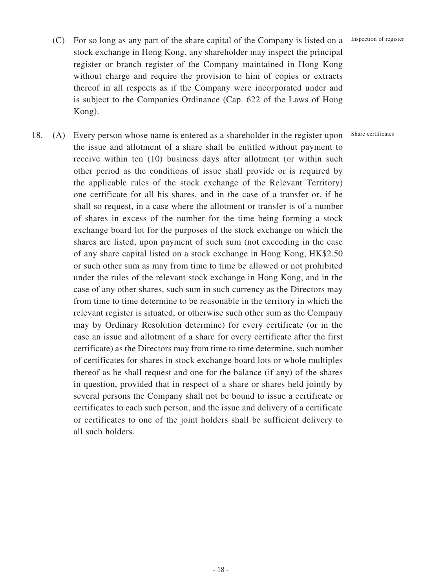#### Inspection of register

Share certificates

- (C) For so long as any part of the share capital of the Company is listed on a stock exchange in Hong Kong, any shareholder may inspect the principal register or branch register of the Company maintained in Hong Kong without charge and require the provision to him of copies or extracts thereof in all respects as if the Company were incorporated under and is subject to the Companies Ordinance (Cap. 622 of the Laws of Hong Kong).
- 18. (A) Every person whose name is entered as a shareholder in the register upon the issue and allotment of a share shall be entitled without payment to receive within ten (10) business days after allotment (or within such other period as the conditions of issue shall provide or is required by the applicable rules of the stock exchange of the Relevant Territory) one certificate for all his shares, and in the case of a transfer or, if he shall so request, in a case where the allotment or transfer is of a number of shares in excess of the number for the time being forming a stock exchange board lot for the purposes of the stock exchange on which the shares are listed, upon payment of such sum (not exceeding in the case of any share capital listed on a stock exchange in Hong Kong, HK\$2.50 or such other sum as may from time to time be allowed or not prohibited under the rules of the relevant stock exchange in Hong Kong, and in the case of any other shares, such sum in such currency as the Directors may from time to time determine to be reasonable in the territory in which the relevant register is situated, or otherwise such other sum as the Company may by Ordinary Resolution determine) for every certificate (or in the case an issue and allotment of a share for every certificate after the first certificate) as the Directors may from time to time determine, such number of certificates for shares in stock exchange board lots or whole multiples thereof as he shall request and one for the balance (if any) of the shares in question, provided that in respect of a share or shares held jointly by several persons the Company shall not be bound to issue a certificate or certificates to each such person, and the issue and delivery of a certificate or certificates to one of the joint holders shall be sufficient delivery to all such holders.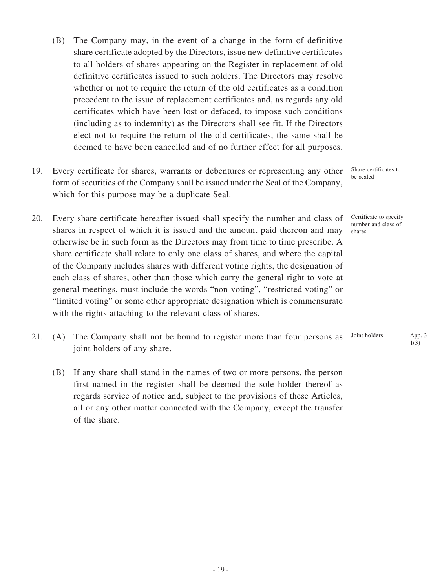- (B) The Company may, in the event of a change in the form of definitive share certificate adopted by the Directors, issue new definitive certificates to all holders of shares appearing on the Register in replacement of old definitive certificates issued to such holders. The Directors may resolve whether or not to require the return of the old certificates as a condition precedent to the issue of replacement certificates and, as regards any old certificates which have been lost or defaced, to impose such conditions (including as to indemnity) as the Directors shall see fit. If the Directors elect not to require the return of the old certificates, the same shall be deemed to have been cancelled and of no further effect for all purposes.
- 19. Every certificate for shares, warrants or debentures or representing any other form of securities of the Company shall be issued under the Seal of the Company, which for this purpose may be a duplicate Seal.
- 20. Every share certificate hereafter issued shall specify the number and class of shares in respect of which it is issued and the amount paid thereon and may otherwise be in such form as the Directors may from time to time prescribe. A share certificate shall relate to only one class of shares, and where the capital of the Company includes shares with different voting rights, the designation of each class of shares, other than those which carry the general right to vote at general meetings, must include the words "non-voting", "restricted voting" or "limited voting" or some other appropriate designation which is commensurate with the rights attaching to the relevant class of shares.
- 21. (A) The Company shall not be bound to register more than four persons as joint holders of any share. Joint holders App. 3
	- (B) If any share shall stand in the names of two or more persons, the person first named in the register shall be deemed the sole holder thereof as regards service of notice and, subject to the provisions of these Articles, all or any other matter connected with the Company, except the transfer of the share.

Share certificates to be sealed

Certificate to specify number and class of shares

1(3)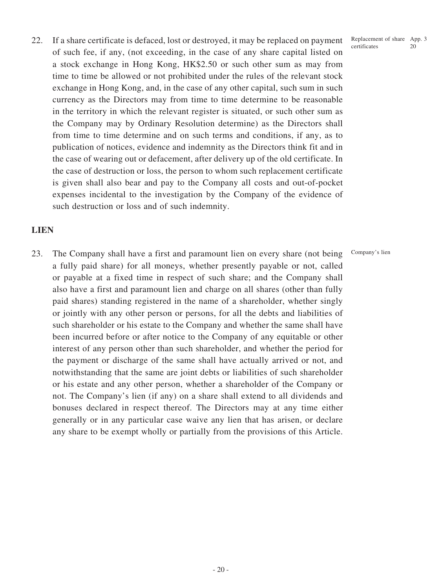22. If a share certificate is defaced, lost or destroyed, it may be replaced on payment of such fee, if any, (not exceeding, in the case of any share capital listed on a stock exchange in Hong Kong, HK\$2.50 or such other sum as may from time to time be allowed or not prohibited under the rules of the relevant stock exchange in Hong Kong, and, in the case of any other capital, such sum in such currency as the Directors may from time to time determine to be reasonable in the territory in which the relevant register is situated, or such other sum as the Company may by Ordinary Resolution determine) as the Directors shall from time to time determine and on such terms and conditions, if any, as to publication of notices, evidence and indemnity as the Directors think fit and in the case of wearing out or defacement, after delivery up of the old certificate. In the case of destruction or loss, the person to whom such replacement certificate is given shall also bear and pay to the Company all costs and out-of-pocket expenses incidental to the investigation by the Company of the evidence of such destruction or loss and of such indemnity.

### **LIEN**

23. The Company shall have a first and paramount lien on every share (not being a fully paid share) for all moneys, whether presently payable or not, called or payable at a fixed time in respect of such share; and the Company shall also have a first and paramount lien and charge on all shares (other than fully paid shares) standing registered in the name of a shareholder, whether singly or jointly with any other person or persons, for all the debts and liabilities of such shareholder or his estate to the Company and whether the same shall have been incurred before or after notice to the Company of any equitable or other interest of any person other than such shareholder, and whether the period for the payment or discharge of the same shall have actually arrived or not, and notwithstanding that the same are joint debts or liabilities of such shareholder or his estate and any other person, whether a shareholder of the Company or not. The Company's lien (if any) on a share shall extend to all dividends and bonuses declared in respect thereof. The Directors may at any time either generally or in any particular case waive any lien that has arisen, or declare any share to be exempt wholly or partially from the provisions of this Article.

Replacement of share App. 3 certificates 20

Company's lien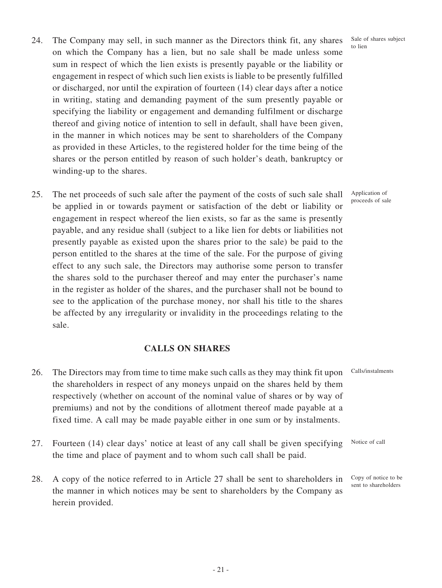- 24. The Company may sell, in such manner as the Directors think fit, any shares on which the Company has a lien, but no sale shall be made unless some sum in respect of which the lien exists is presently payable or the liability or engagement in respect of which such lien exists is liable to be presently fulfilled or discharged, nor until the expiration of fourteen (14) clear days after a notice in writing, stating and demanding payment of the sum presently payable or specifying the liability or engagement and demanding fulfilment or discharge thereof and giving notice of intention to sell in default, shall have been given, in the manner in which notices may be sent to shareholders of the Company as provided in these Articles, to the registered holder for the time being of the shares or the person entitled by reason of such holder's death, bankruptcy or winding-up to the shares.
- 25. The net proceeds of such sale after the payment of the costs of such sale shall be applied in or towards payment or satisfaction of the debt or liability or engagement in respect whereof the lien exists, so far as the same is presently payable, and any residue shall (subject to a like lien for debts or liabilities not presently payable as existed upon the shares prior to the sale) be paid to the person entitled to the shares at the time of the sale. For the purpose of giving effect to any such sale, the Directors may authorise some person to transfer the shares sold to the purchaser thereof and may enter the purchaser's name in the register as holder of the shares, and the purchaser shall not be bound to see to the application of the purchase money, nor shall his title to the shares be affected by any irregularity or invalidity in the proceedings relating to the sale.

### **CALLS ON SHARES**

- 26. The Directors may from time to time make such calls as they may think fit upon the shareholders in respect of any moneys unpaid on the shares held by them respectively (whether on account of the nominal value of shares or by way of premiums) and not by the conditions of allotment thereof made payable at a fixed time. A call may be made payable either in one sum or by instalments. Calls/instalments
- 27. Fourteen (14) clear days' notice at least of any call shall be given specifying the time and place of payment and to whom such call shall be paid. Notice of call
- 28. A copy of the notice referred to in Article 27 shall be sent to shareholders in the manner in which notices may be sent to shareholders by the Company as herein provided. Copy of notice to be sent to shareholders

Sale of shares subject to lien

Application of proceeds of sale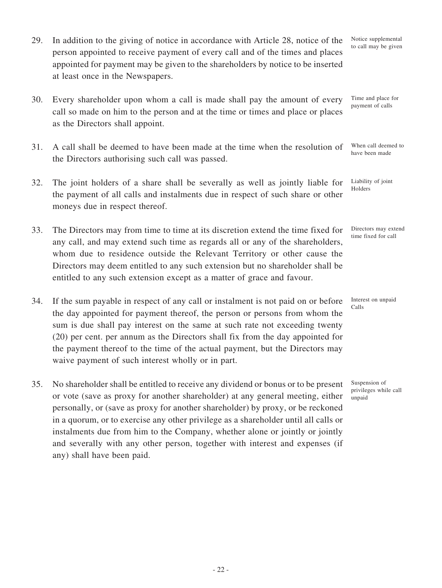- 29. In addition to the giving of notice in accordance with Article 28, notice of the person appointed to receive payment of every call and of the times and places appointed for payment may be given to the shareholders by notice to be inserted at least once in the Newspapers.
- 30. Every shareholder upon whom a call is made shall pay the amount of every call so made on him to the person and at the time or times and place or places as the Directors shall appoint.
- 31. A call shall be deemed to have been made at the time when the resolution of the Directors authorising such call was passed.
- 32. The joint holders of a share shall be severally as well as jointly liable for the payment of all calls and instalments due in respect of such share or other moneys due in respect thereof.
- 33. The Directors may from time to time at its discretion extend the time fixed for any call, and may extend such time as regards all or any of the shareholders, whom due to residence outside the Relevant Territory or other cause the Directors may deem entitled to any such extension but no shareholder shall be entitled to any such extension except as a matter of grace and favour.
- 34. If the sum payable in respect of any call or instalment is not paid on or before the day appointed for payment thereof, the person or persons from whom the sum is due shall pay interest on the same at such rate not exceeding twenty (20) per cent. per annum as the Directors shall fix from the day appointed for the payment thereof to the time of the actual payment, but the Directors may waive payment of such interest wholly or in part.
- 35. No shareholder shall be entitled to receive any dividend or bonus or to be present or vote (save as proxy for another shareholder) at any general meeting, either personally, or (save as proxy for another shareholder) by proxy, or be reckoned in a quorum, or to exercise any other privilege as a shareholder until all calls or instalments due from him to the Company, whether alone or jointly or jointly and severally with any other person, together with interest and expenses (if any) shall have been paid.

Notice supplemental to call may be given

Time and place for payment of calls

When call deemed to have been made

Liability of joint Holders

Directors may extend time fixed for call

Interest on unpaid Calls

Suspension of privileges while call unpaid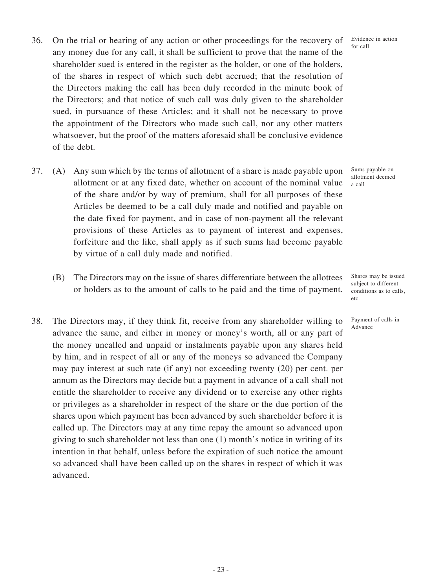- 36. On the trial or hearing of any action or other proceedings for the recovery of any money due for any call, it shall be sufficient to prove that the name of the shareholder sued is entered in the register as the holder, or one of the holders, of the shares in respect of which such debt accrued; that the resolution of the Directors making the call has been duly recorded in the minute book of the Directors; and that notice of such call was duly given to the shareholder sued, in pursuance of these Articles; and it shall not be necessary to prove the appointment of the Directors who made such call, nor any other matters whatsoever, but the proof of the matters aforesaid shall be conclusive evidence of the debt.
- 37. (A) Any sum which by the terms of allotment of a share is made payable upon allotment or at any fixed date, whether on account of the nominal value of the share and/or by way of premium, shall for all purposes of these Articles be deemed to be a call duly made and notified and payable on the date fixed for payment, and in case of non-payment all the relevant provisions of these Articles as to payment of interest and expenses, forfeiture and the like, shall apply as if such sums had become payable by virtue of a call duly made and notified.
	- (B) The Directors may on the issue of shares differentiate between the allottees or holders as to the amount of calls to be paid and the time of payment.
- 38. The Directors may, if they think fit, receive from any shareholder willing to advance the same, and either in money or money's worth, all or any part of the money uncalled and unpaid or instalments payable upon any shares held by him, and in respect of all or any of the moneys so advanced the Company may pay interest at such rate (if any) not exceeding twenty (20) per cent. per annum as the Directors may decide but a payment in advance of a call shall not entitle the shareholder to receive any dividend or to exercise any other rights or privileges as a shareholder in respect of the share or the due portion of the shares upon which payment has been advanced by such shareholder before it is called up. The Directors may at any time repay the amount so advanced upon giving to such shareholder not less than one (1) month's notice in writing of its intention in that behalf, unless before the expiration of such notice the amount so advanced shall have been called up on the shares in respect of which it was advanced.

Evidence in action for call

Sums payable on allotment deemed a call

Shares may be issued subject to different conditions as to calls, etc.

Payment of calls in Advance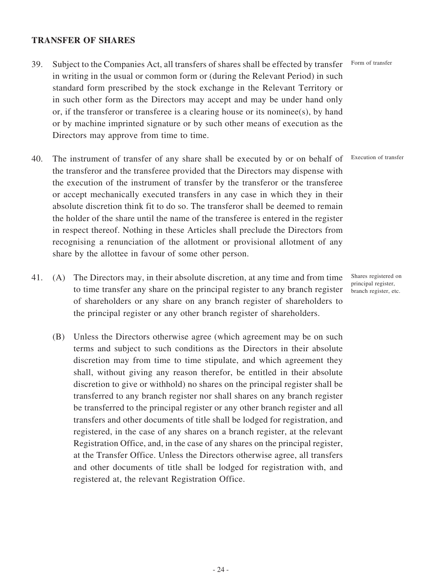### **TRANSFER OF SHARES**

- 39. Subject to the Companies Act, all transfers of shares shall be effected by transfer in writing in the usual or common form or (during the Relevant Period) in such standard form prescribed by the stock exchange in the Relevant Territory or in such other form as the Directors may accept and may be under hand only or, if the transferor or transferee is a clearing house or its nominee(s), by hand or by machine imprinted signature or by such other means of execution as the Directors may approve from time to time.
- 40. The instrument of transfer of any share shall be executed by or on behalf of the transferor and the transferee provided that the Directors may dispense with the execution of the instrument of transfer by the transferor or the transferee or accept mechanically executed transfers in any case in which they in their absolute discretion think fit to do so. The transferor shall be deemed to remain the holder of the share until the name of the transferee is entered in the register in respect thereof. Nothing in these Articles shall preclude the Directors from recognising a renunciation of the allotment or provisional allotment of any share by the allottee in favour of some other person.
- 41. (A) The Directors may, in their absolute discretion, at any time and from time to time transfer any share on the principal register to any branch register of shareholders or any share on any branch register of shareholders to the principal register or any other branch register of shareholders.
	- (B) Unless the Directors otherwise agree (which agreement may be on such terms and subject to such conditions as the Directors in their absolute discretion may from time to time stipulate, and which agreement they shall, without giving any reason therefor, be entitled in their absolute discretion to give or withhold) no shares on the principal register shall be transferred to any branch register nor shall shares on any branch register be transferred to the principal register or any other branch register and all transfers and other documents of title shall be lodged for registration, and registered, in the case of any shares on a branch register, at the relevant Registration Office, and, in the case of any shares on the principal register, at the Transfer Office. Unless the Directors otherwise agree, all transfers and other documents of title shall be lodged for registration with, and registered at, the relevant Registration Office.

Form of transfer

Execution of transfer

Shares registered on principal register, branch register, etc.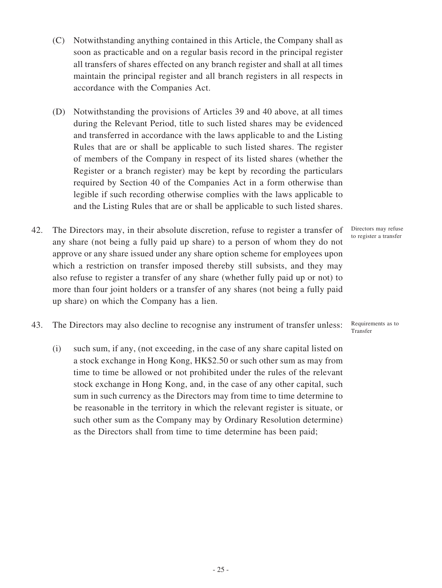- (C) Notwithstanding anything contained in this Article, the Company shall as soon as practicable and on a regular basis record in the principal register all transfers of shares effected on any branch register and shall at all times maintain the principal register and all branch registers in all respects in accordance with the Companies Act.
- (D) Notwithstanding the provisions of Articles 39 and 40 above, at all times during the Relevant Period, title to such listed shares may be evidenced and transferred in accordance with the laws applicable to and the Listing Rules that are or shall be applicable to such listed shares. The register of members of the Company in respect of its listed shares (whether the Register or a branch register) may be kept by recording the particulars required by Section 40 of the Companies Act in a form otherwise than legible if such recording otherwise complies with the laws applicable to and the Listing Rules that are or shall be applicable to such listed shares.
- 42. The Directors may, in their absolute discretion, refuse to register a transfer of any share (not being a fully paid up share) to a person of whom they do not approve or any share issued under any share option scheme for employees upon which a restriction on transfer imposed thereby still subsists, and they may also refuse to register a transfer of any share (whether fully paid up or not) to more than four joint holders or a transfer of any shares (not being a fully paid up share) on which the Company has a lien.
- 43. The Directors may also decline to recognise any instrument of transfer unless: Requirements as to
	- (i) such sum, if any, (not exceeding, in the case of any share capital listed on a stock exchange in Hong Kong, HK\$2.50 or such other sum as may from time to time be allowed or not prohibited under the rules of the relevant stock exchange in Hong Kong, and, in the case of any other capital, such sum in such currency as the Directors may from time to time determine to be reasonable in the territory in which the relevant register is situate, or such other sum as the Company may by Ordinary Resolution determine) as the Directors shall from time to time determine has been paid;

Directors may refuse to register a transfer

Transfer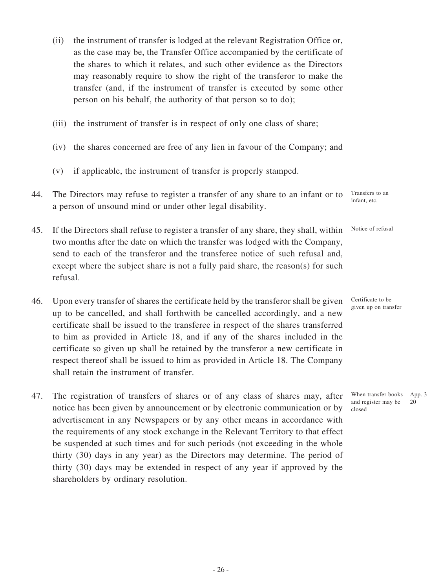- (ii) the instrument of transfer is lodged at the relevant Registration Office or, as the case may be, the Transfer Office accompanied by the certificate of the shares to which it relates, and such other evidence as the Directors may reasonably require to show the right of the transferor to make the transfer (and, if the instrument of transfer is executed by some other person on his behalf, the authority of that person so to do);
- (iii) the instrument of transfer is in respect of only one class of share;
- (iv) the shares concerned are free of any lien in favour of the Company; and
- (v) if applicable, the instrument of transfer is properly stamped.
- 44. The Directors may refuse to register a transfer of any share to an infant or to a person of unsound mind or under other legal disability.
- 45. If the Directors shall refuse to register a transfer of any share, they shall, within two months after the date on which the transfer was lodged with the Company, send to each of the transferor and the transferee notice of such refusal and, except where the subject share is not a fully paid share, the reason(s) for such refusal.
- 46. Upon every transfer of shares the certificate held by the transferor shall be given up to be cancelled, and shall forthwith be cancelled accordingly, and a new certificate shall be issued to the transferee in respect of the shares transferred to him as provided in Article 18, and if any of the shares included in the certificate so given up shall be retained by the transferor a new certificate in respect thereof shall be issued to him as provided in Article 18. The Company shall retain the instrument of transfer.
- 47. The registration of transfers of shares or of any class of shares may, after notice has been given by announcement or by electronic communication or by advertisement in any Newspapers or by any other means in accordance with the requirements of any stock exchange in the Relevant Territory to that effect be suspended at such times and for such periods (not exceeding in the whole thirty (30) days in any year) as the Directors may determine. The period of thirty (30) days may be extended in respect of any year if approved by the shareholders by ordinary resolution.

Transfers to an infant, etc.

Notice of refusal

Certificate to be given up on transfer

When transfer books App. 3 and register may be closed 20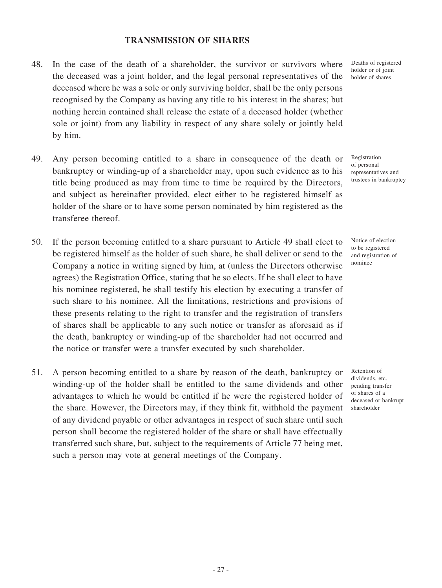### **TRANSMISSION OF SHARES**

- 48. In the case of the death of a shareholder, the survivor or survivors where the deceased was a joint holder, and the legal personal representatives of the deceased where he was a sole or only surviving holder, shall be the only persons recognised by the Company as having any title to his interest in the shares; but nothing herein contained shall release the estate of a deceased holder (whether sole or joint) from any liability in respect of any share solely or jointly held by him.
- 49. Any person becoming entitled to a share in consequence of the death or bankruptcy or winding-up of a shareholder may, upon such evidence as to his title being produced as may from time to time be required by the Directors, and subject as hereinafter provided, elect either to be registered himself as holder of the share or to have some person nominated by him registered as the transferee thereof.
- 50. If the person becoming entitled to a share pursuant to Article 49 shall elect to be registered himself as the holder of such share, he shall deliver or send to the Company a notice in writing signed by him, at (unless the Directors otherwise agrees) the Registration Office, stating that he so elects. If he shall elect to have his nominee registered, he shall testify his election by executing a transfer of such share to his nominee. All the limitations, restrictions and provisions of these presents relating to the right to transfer and the registration of transfers of shares shall be applicable to any such notice or transfer as aforesaid as if the death, bankruptcy or winding-up of the shareholder had not occurred and the notice or transfer were a transfer executed by such shareholder.
- 51. A person becoming entitled to a share by reason of the death, bankruptcy or winding-up of the holder shall be entitled to the same dividends and other advantages to which he would be entitled if he were the registered holder of the share. However, the Directors may, if they think fit, withhold the payment of any dividend payable or other advantages in respect of such share until such person shall become the registered holder of the share or shall have effectually transferred such share, but, subject to the requirements of Article 77 being met, such a person may vote at general meetings of the Company.

Deaths of registered holder or of joint holder of shares

Registration of personal representatives and trustees in bankruptcy

Notice of election to be registered and registration of nominee

Retention of dividends, etc. pending transfer of shares of a deceased or bankrupt shareholder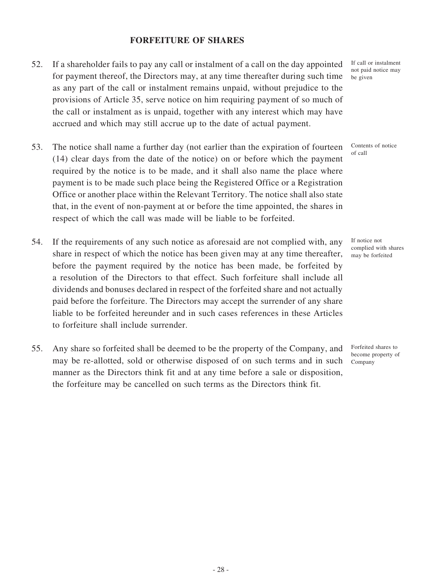### **FORFEITURE OF SHARES**

- 52. If a shareholder fails to pay any call or instalment of a call on the day appointed for payment thereof, the Directors may, at any time thereafter during such time as any part of the call or instalment remains unpaid, without prejudice to the provisions of Article 35, serve notice on him requiring payment of so much of the call or instalment as is unpaid, together with any interest which may have accrued and which may still accrue up to the date of actual payment.
- 53. The notice shall name a further day (not earlier than the expiration of fourteen (14) clear days from the date of the notice) on or before which the payment required by the notice is to be made, and it shall also name the place where payment is to be made such place being the Registered Office or a Registration Office or another place within the Relevant Territory. The notice shall also state that, in the event of non-payment at or before the time appointed, the shares in respect of which the call was made will be liable to be forfeited.
- 54. If the requirements of any such notice as aforesaid are not complied with, any share in respect of which the notice has been given may at any time thereafter, before the payment required by the notice has been made, be forfeited by a resolution of the Directors to that effect. Such forfeiture shall include all dividends and bonuses declared in respect of the forfeited share and not actually paid before the forfeiture. The Directors may accept the surrender of any share liable to be forfeited hereunder and in such cases references in these Articles to forfeiture shall include surrender.
- 55. Any share so forfeited shall be deemed to be the property of the Company, and may be re-allotted, sold or otherwise disposed of on such terms and in such manner as the Directors think fit and at any time before a sale or disposition, the forfeiture may be cancelled on such terms as the Directors think fit.

If call or instalment not paid notice may be given

Contents of notice of call

If notice not complied with shares may be forfeited

Forfeited shares to become property of Company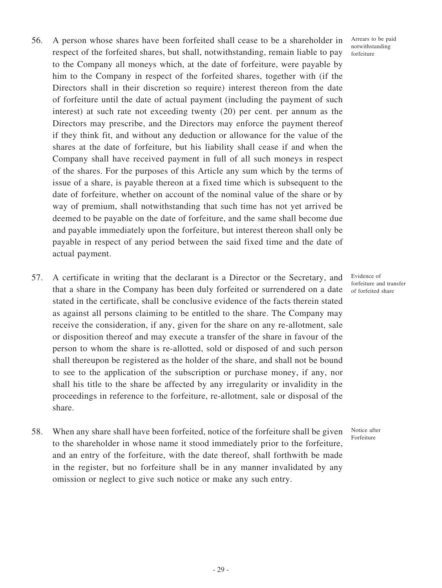- 56. A person whose shares have been forfeited shall cease to be a shareholder in respect of the forfeited shares, but shall, notwithstanding, remain liable to pay to the Company all moneys which, at the date of forfeiture, were payable by him to the Company in respect of the forfeited shares, together with (if the Directors shall in their discretion so require) interest thereon from the date of forfeiture until the date of actual payment (including the payment of such interest) at such rate not exceeding twenty (20) per cent. per annum as the Directors may prescribe, and the Directors may enforce the payment thereof if they think fit, and without any deduction or allowance for the value of the shares at the date of forfeiture, but his liability shall cease if and when the Company shall have received payment in full of all such moneys in respect of the shares. For the purposes of this Article any sum which by the terms of issue of a share, is payable thereon at a fixed time which is subsequent to the date of forfeiture, whether on account of the nominal value of the share or by way of premium, shall notwithstanding that such time has not yet arrived be deemed to be payable on the date of forfeiture, and the same shall become due and payable immediately upon the forfeiture, but interest thereon shall only be payable in respect of any period between the said fixed time and the date of actual payment.
- 57. A certificate in writing that the declarant is a Director or the Secretary, and that a share in the Company has been duly forfeited or surrendered on a date stated in the certificate, shall be conclusive evidence of the facts therein stated as against all persons claiming to be entitled to the share. The Company may receive the consideration, if any, given for the share on any re-allotment, sale or disposition thereof and may execute a transfer of the share in favour of the person to whom the share is re-allotted, sold or disposed of and such person shall thereupon be registered as the holder of the share, and shall not be bound to see to the application of the subscription or purchase money, if any, nor shall his title to the share be affected by any irregularity or invalidity in the proceedings in reference to the forfeiture, re-allotment, sale or disposal of the share.
- 58. When any share shall have been forfeited, notice of the forfeiture shall be given to the shareholder in whose name it stood immediately prior to the forfeiture, and an entry of the forfeiture, with the date thereof, shall forthwith be made in the register, but no forfeiture shall be in any manner invalidated by any omission or neglect to give such notice or make any such entry.

Arrears to be paid notwithstanding forfeiture

Evidence of forfeiture and transfer of forfeited share

Notice after Forfeiture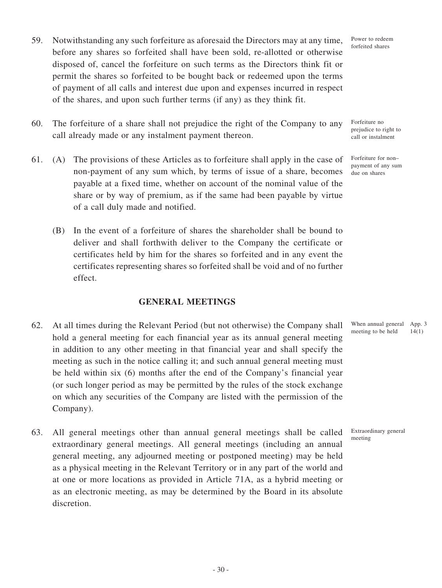- 59. Notwithstanding any such forfeiture as aforesaid the Directors may at any time, before any shares so forfeited shall have been sold, re-allotted or otherwise disposed of, cancel the forfeiture on such terms as the Directors think fit or permit the shares so forfeited to be bought back or redeemed upon the terms of payment of all calls and interest due upon and expenses incurred in respect of the shares, and upon such further terms (if any) as they think fit.
- 60. The forfeiture of a share shall not prejudice the right of the Company to any call already made or any instalment payment thereon.
- 61. (A) The provisions of these Articles as to forfeiture shall apply in the case of non-payment of any sum which, by terms of issue of a share, becomes payable at a fixed time, whether on account of the nominal value of the share or by way of premium, as if the same had been payable by virtue of a call duly made and notified.
	- (B) In the event of a forfeiture of shares the shareholder shall be bound to deliver and shall forthwith deliver to the Company the certificate or certificates held by him for the shares so forfeited and in any event the certificates representing shares so forfeited shall be void and of no further effect.

### **GENERAL MEETINGS**

- 62. At all times during the Relevant Period (but not otherwise) the Company shall hold a general meeting for each financial year as its annual general meeting in addition to any other meeting in that financial year and shall specify the meeting as such in the notice calling it; and such annual general meeting must be held within six (6) months after the end of the Company's financial year (or such longer period as may be permitted by the rules of the stock exchange on which any securities of the Company are listed with the permission of the Company).
- 63. All general meetings other than annual general meetings shall be called extraordinary general meetings. All general meetings (including an annual general meeting, any adjourned meeting or postponed meeting) may be held as a physical meeting in the Relevant Territory or in any part of the world and at one or more locations as provided in Article 71A, as a hybrid meeting or as an electronic meeting, as may be determined by the Board in its absolute discretion.

When annual general App. 3 meeting to be held 14(1)

Extraordinary general

meeting

prejudice to right to call or instalment

Forfeiture no

Forfeiture for non– payment of any sum due on shares

Power to redeem forfeited shares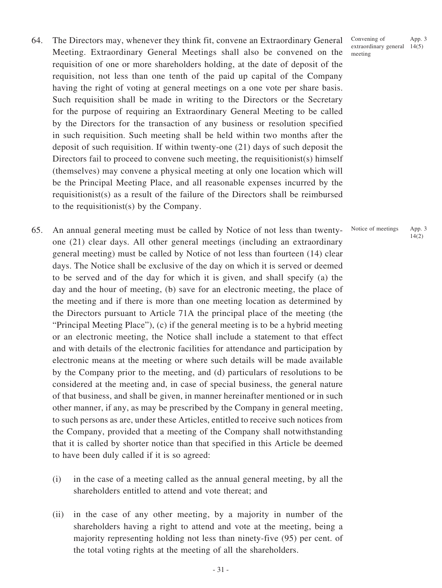- 64. The Directors may, whenever they think fit, convene an Extraordinary General Meeting. Extraordinary General Meetings shall also be convened on the requisition of one or more shareholders holding, at the date of deposit of the requisition, not less than one tenth of the paid up capital of the Company having the right of voting at general meetings on a one vote per share basis. Such requisition shall be made in writing to the Directors or the Secretary for the purpose of requiring an Extraordinary General Meeting to be called by the Directors for the transaction of any business or resolution specified in such requisition. Such meeting shall be held within two months after the deposit of such requisition. If within twenty-one (21) days of such deposit the Directors fail to proceed to convene such meeting, the requisitionist(s) himself (themselves) may convene a physical meeting at only one location which will be the Principal Meeting Place, and all reasonable expenses incurred by the requisitionist(s) as a result of the failure of the Directors shall be reimbursed to the requisitionist(s) by the Company.
- 65. An annual general meeting must be called by Notice of not less than twentyone (21) clear days. All other general meetings (including an extraordinary general meeting) must be called by Notice of not less than fourteen (14) clear days. The Notice shall be exclusive of the day on which it is served or deemed to be served and of the day for which it is given, and shall specify (a) the day and the hour of meeting, (b) save for an electronic meeting, the place of the meeting and if there is more than one meeting location as determined by the Directors pursuant to Article 71A the principal place of the meeting (the "Principal Meeting Place"), (c) if the general meeting is to be a hybrid meeting or an electronic meeting, the Notice shall include a statement to that effect and with details of the electronic facilities for attendance and participation by electronic means at the meeting or where such details will be made available by the Company prior to the meeting, and (d) particulars of resolutions to be considered at the meeting and, in case of special business, the general nature of that business, and shall be given, in manner hereinafter mentioned or in such other manner, if any, as may be prescribed by the Company in general meeting, to such persons as are, under these Articles, entitled to receive such notices from the Company, provided that a meeting of the Company shall notwithstanding that it is called by shorter notice than that specified in this Article be deemed to have been duly called if it is so agreed:
	- (i) in the case of a meeting called as the annual general meeting, by all the shareholders entitled to attend and vote thereat; and
	- (ii) in the case of any other meeting, by a majority in number of the shareholders having a right to attend and vote at the meeting, being a majority representing holding not less than ninety-five (95) per cent. of the total voting rights at the meeting of all the shareholders.

- 31 -

Convening of extraordinary general 14(5) meeting App. 3

#### Notice of meetings App. 3 14(2)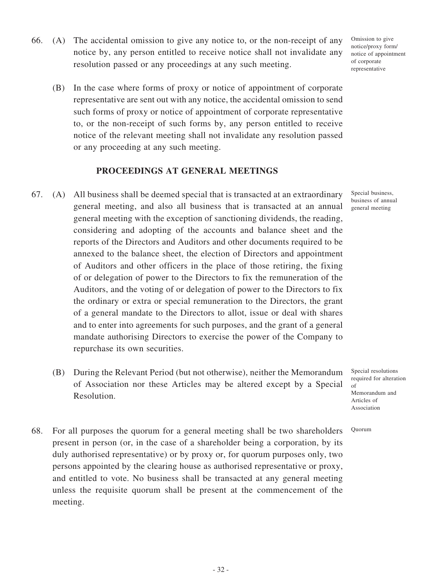- 66. (A) The accidental omission to give any notice to, or the non-receipt of any notice by, any person entitled to receive notice shall not invalidate any resolution passed or any proceedings at any such meeting.
	- (B) In the case where forms of proxy or notice of appointment of corporate representative are sent out with any notice, the accidental omission to send such forms of proxy or notice of appointment of corporate representative to, or the non-receipt of such forms by, any person entitled to receive notice of the relevant meeting shall not invalidate any resolution passed or any proceeding at any such meeting.

### **PROCEEDINGS AT GENERAL MEETINGS**

- 67. (A) All business shall be deemed special that is transacted at an extraordinary general meeting, and also all business that is transacted at an annual general meeting with the exception of sanctioning dividends, the reading, considering and adopting of the accounts and balance sheet and the reports of the Directors and Auditors and other documents required to be annexed to the balance sheet, the election of Directors and appointment of Auditors and other officers in the place of those retiring, the fixing of or delegation of power to the Directors to fix the remuneration of the Auditors, and the voting of or delegation of power to the Directors to fix the ordinary or extra or special remuneration to the Directors, the grant of a general mandate to the Directors to allot, issue or deal with shares and to enter into agreements for such purposes, and the grant of a general mandate authorising Directors to exercise the power of the Company to repurchase its own securities.
	- (B) During the Relevant Period (but not otherwise), neither the Memorandum of Association nor these Articles may be altered except by a Special Resolution.
- 68. For all purposes the quorum for a general meeting shall be two shareholders present in person (or, in the case of a shareholder being a corporation, by its duly authorised representative) or by proxy or, for quorum purposes only, two persons appointed by the clearing house as authorised representative or proxy, and entitled to vote. No business shall be transacted at any general meeting unless the requisite quorum shall be present at the commencement of the meeting.

Omission to give notice/proxy form/ notice of appointment of corporate representative

Special business, business of annual general meeting

Special resolutions required for alteration  $\alpha$ f Memorandum and Articles of Association

Quorum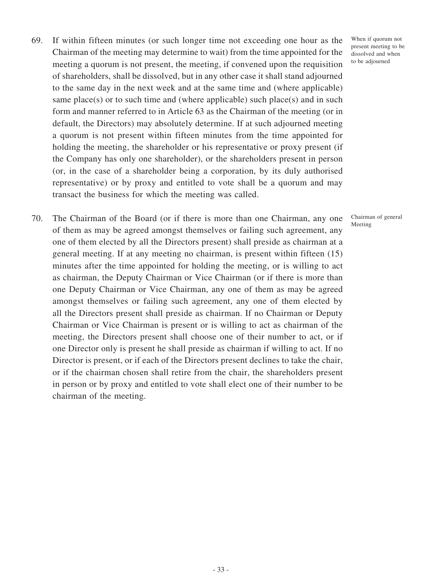- 69. If within fifteen minutes (or such longer time not exceeding one hour as the Chairman of the meeting may determine to wait) from the time appointed for the meeting a quorum is not present, the meeting, if convened upon the requisition of shareholders, shall be dissolved, but in any other case it shall stand adjourned to the same day in the next week and at the same time and (where applicable) same place(s) or to such time and (where applicable) such place(s) and in such form and manner referred to in Article 63 as the Chairman of the meeting (or in default, the Directors) may absolutely determine. If at such adjourned meeting a quorum is not present within fifteen minutes from the time appointed for holding the meeting, the shareholder or his representative or proxy present (if the Company has only one shareholder), or the shareholders present in person (or, in the case of a shareholder being a corporation, by its duly authorised representative) or by proxy and entitled to vote shall be a quorum and may transact the business for which the meeting was called.
- 70. The Chairman of the Board (or if there is more than one Chairman, any one of them as may be agreed amongst themselves or failing such agreement, any one of them elected by all the Directors present) shall preside as chairman at a general meeting. If at any meeting no chairman, is present within fifteen (15) minutes after the time appointed for holding the meeting, or is willing to act as chairman, the Deputy Chairman or Vice Chairman (or if there is more than one Deputy Chairman or Vice Chairman, any one of them as may be agreed amongst themselves or failing such agreement, any one of them elected by all the Directors present shall preside as chairman. If no Chairman or Deputy Chairman or Vice Chairman is present or is willing to act as chairman of the meeting, the Directors present shall choose one of their number to act, or if one Director only is present he shall preside as chairman if willing to act. If no Director is present, or if each of the Directors present declines to take the chair, or if the chairman chosen shall retire from the chair, the shareholders present in person or by proxy and entitled to vote shall elect one of their number to be chairman of the meeting.

When if quorum not present meeting to be dissolved and when to be adjourned

Chairman of general Meeting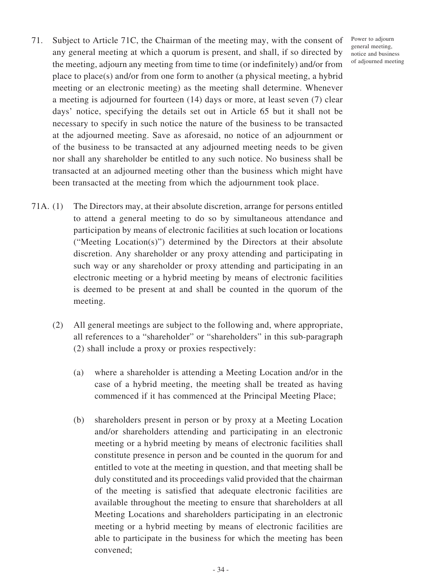- 71. Subject to Article 71C, the Chairman of the meeting may, with the consent of any general meeting at which a quorum is present, and shall, if so directed by the meeting, adjourn any meeting from time to time (or indefinitely) and/or from place to place(s) and/or from one form to another (a physical meeting, a hybrid meeting or an electronic meeting) as the meeting shall determine. Whenever a meeting is adjourned for fourteen (14) days or more, at least seven (7) clear days' notice, specifying the details set out in Article 65 but it shall not be necessary to specify in such notice the nature of the business to be transacted at the adjourned meeting. Save as aforesaid, no notice of an adjournment or of the business to be transacted at any adjourned meeting needs to be given nor shall any shareholder be entitled to any such notice. No business shall be transacted at an adjourned meeting other than the business which might have been transacted at the meeting from which the adjournment took place.
- 71A. (1) The Directors may, at their absolute discretion, arrange for persons entitled to attend a general meeting to do so by simultaneous attendance and participation by means of electronic facilities at such location or locations ("Meeting Location(s)") determined by the Directors at their absolute discretion. Any shareholder or any proxy attending and participating in such way or any shareholder or proxy attending and participating in an electronic meeting or a hybrid meeting by means of electronic facilities is deemed to be present at and shall be counted in the quorum of the meeting.
	- (2) All general meetings are subject to the following and, where appropriate, all references to a "shareholder" or "shareholders" in this sub-paragraph (2) shall include a proxy or proxies respectively:
		- (a) where a shareholder is attending a Meeting Location and/or in the case of a hybrid meeting, the meeting shall be treated as having commenced if it has commenced at the Principal Meeting Place;
		- (b) shareholders present in person or by proxy at a Meeting Location and/or shareholders attending and participating in an electronic meeting or a hybrid meeting by means of electronic facilities shall constitute presence in person and be counted in the quorum for and entitled to vote at the meeting in question, and that meeting shall be duly constituted and its proceedings valid provided that the chairman of the meeting is satisfied that adequate electronic facilities are available throughout the meeting to ensure that shareholders at all Meeting Locations and shareholders participating in an electronic meeting or a hybrid meeting by means of electronic facilities are able to participate in the business for which the meeting has been convened;

Power to adjourn general meeting, notice and business of adjourned meeting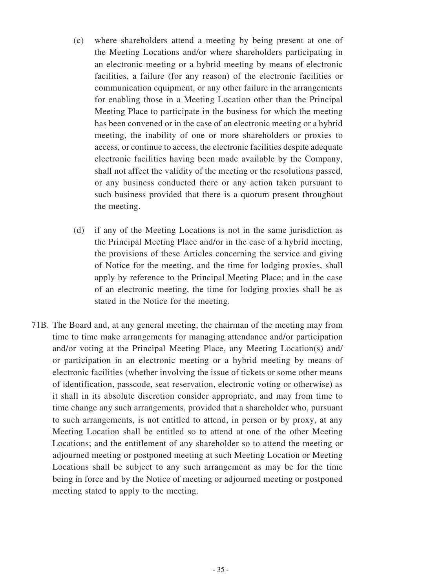- (c) where shareholders attend a meeting by being present at one of the Meeting Locations and/or where shareholders participating in an electronic meeting or a hybrid meeting by means of electronic facilities, a failure (for any reason) of the electronic facilities or communication equipment, or any other failure in the arrangements for enabling those in a Meeting Location other than the Principal Meeting Place to participate in the business for which the meeting has been convened or in the case of an electronic meeting or a hybrid meeting, the inability of one or more shareholders or proxies to access, or continue to access, the electronic facilities despite adequate electronic facilities having been made available by the Company, shall not affect the validity of the meeting or the resolutions passed, or any business conducted there or any action taken pursuant to such business provided that there is a quorum present throughout the meeting.
- (d) if any of the Meeting Locations is not in the same jurisdiction as the Principal Meeting Place and/or in the case of a hybrid meeting, the provisions of these Articles concerning the service and giving of Notice for the meeting, and the time for lodging proxies, shall apply by reference to the Principal Meeting Place; and in the case of an electronic meeting, the time for lodging proxies shall be as stated in the Notice for the meeting.
- 71B. The Board and, at any general meeting, the chairman of the meeting may from time to time make arrangements for managing attendance and/or participation and/or voting at the Principal Meeting Place, any Meeting Location(s) and/ or participation in an electronic meeting or a hybrid meeting by means of electronic facilities (whether involving the issue of tickets or some other means of identification, passcode, seat reservation, electronic voting or otherwise) as it shall in its absolute discretion consider appropriate, and may from time to time change any such arrangements, provided that a shareholder who, pursuant to such arrangements, is not entitled to attend, in person or by proxy, at any Meeting Location shall be entitled so to attend at one of the other Meeting Locations; and the entitlement of any shareholder so to attend the meeting or adjourned meeting or postponed meeting at such Meeting Location or Meeting Locations shall be subject to any such arrangement as may be for the time being in force and by the Notice of meeting or adjourned meeting or postponed meeting stated to apply to the meeting.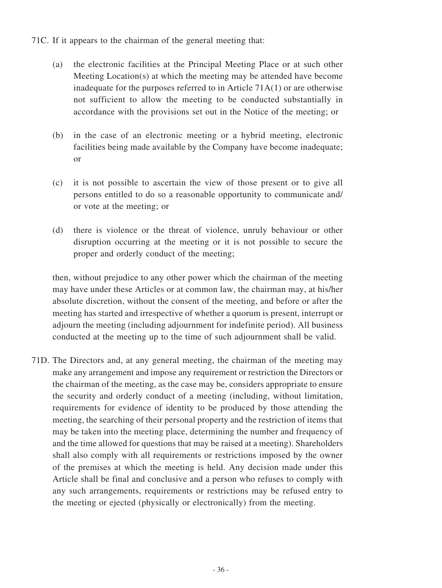- 71C. If it appears to the chairman of the general meeting that:
	- (a) the electronic facilities at the Principal Meeting Place or at such other Meeting Location(s) at which the meeting may be attended have become inadequate for the purposes referred to in Article 71A(1) or are otherwise not sufficient to allow the meeting to be conducted substantially in accordance with the provisions set out in the Notice of the meeting; or
	- (b) in the case of an electronic meeting or a hybrid meeting, electronic facilities being made available by the Company have become inadequate; or
	- (c) it is not possible to ascertain the view of those present or to give all persons entitled to do so a reasonable opportunity to communicate and/ or vote at the meeting; or
	- (d) there is violence or the threat of violence, unruly behaviour or other disruption occurring at the meeting or it is not possible to secure the proper and orderly conduct of the meeting;

then, without prejudice to any other power which the chairman of the meeting may have under these Articles or at common law, the chairman may, at his/her absolute discretion, without the consent of the meeting, and before or after the meeting has started and irrespective of whether a quorum is present, interrupt or adjourn the meeting (including adjournment for indefinite period). All business conducted at the meeting up to the time of such adjournment shall be valid.

71D. The Directors and, at any general meeting, the chairman of the meeting may make any arrangement and impose any requirement or restriction the Directors or the chairman of the meeting, as the case may be, considers appropriate to ensure the security and orderly conduct of a meeting (including, without limitation, requirements for evidence of identity to be produced by those attending the meeting, the searching of their personal property and the restriction of items that may be taken into the meeting place, determining the number and frequency of and the time allowed for questions that may be raised at a meeting). Shareholders shall also comply with all requirements or restrictions imposed by the owner of the premises at which the meeting is held. Any decision made under this Article shall be final and conclusive and a person who refuses to comply with any such arrangements, requirements or restrictions may be refused entry to the meeting or ejected (physically or electronically) from the meeting.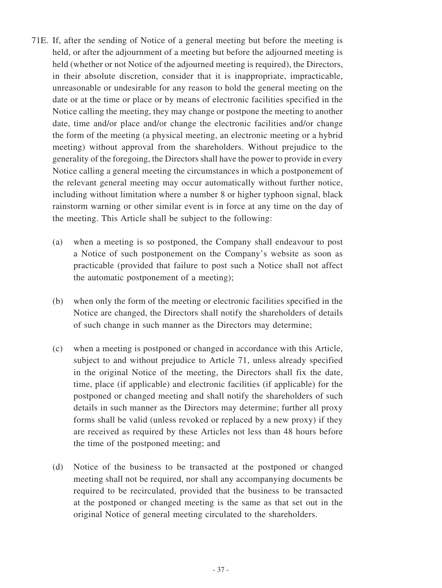- 71E. If, after the sending of Notice of a general meeting but before the meeting is held, or after the adjournment of a meeting but before the adjourned meeting is held (whether or not Notice of the adjourned meeting is required), the Directors, in their absolute discretion, consider that it is inappropriate, impracticable, unreasonable or undesirable for any reason to hold the general meeting on the date or at the time or place or by means of electronic facilities specified in the Notice calling the meeting, they may change or postpone the meeting to another date, time and/or place and/or change the electronic facilities and/or change the form of the meeting (a physical meeting, an electronic meeting or a hybrid meeting) without approval from the shareholders. Without prejudice to the generality of the foregoing, the Directors shall have the power to provide in every Notice calling a general meeting the circumstances in which a postponement of the relevant general meeting may occur automatically without further notice, including without limitation where a number 8 or higher typhoon signal, black rainstorm warning or other similar event is in force at any time on the day of the meeting. This Article shall be subject to the following:
	- (a) when a meeting is so postponed, the Company shall endeavour to post a Notice of such postponement on the Company's website as soon as practicable (provided that failure to post such a Notice shall not affect the automatic postponement of a meeting);
	- (b) when only the form of the meeting or electronic facilities specified in the Notice are changed, the Directors shall notify the shareholders of details of such change in such manner as the Directors may determine;
	- (c) when a meeting is postponed or changed in accordance with this Article, subject to and without prejudice to Article 71, unless already specified in the original Notice of the meeting, the Directors shall fix the date, time, place (if applicable) and electronic facilities (if applicable) for the postponed or changed meeting and shall notify the shareholders of such details in such manner as the Directors may determine; further all proxy forms shall be valid (unless revoked or replaced by a new proxy) if they are received as required by these Articles not less than 48 hours before the time of the postponed meeting; and
	- (d) Notice of the business to be transacted at the postponed or changed meeting shall not be required, nor shall any accompanying documents be required to be recirculated, provided that the business to be transacted at the postponed or changed meeting is the same as that set out in the original Notice of general meeting circulated to the shareholders.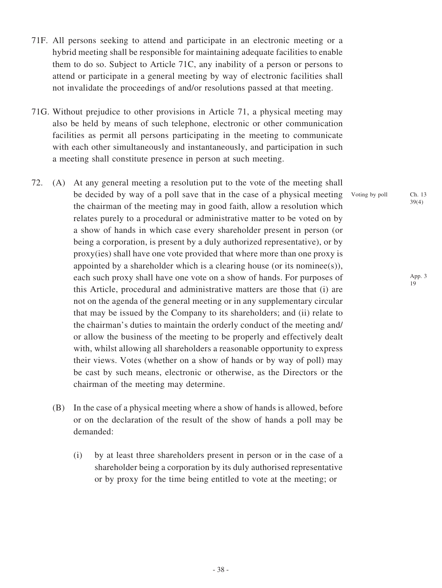- 71F. All persons seeking to attend and participate in an electronic meeting or a hybrid meeting shall be responsible for maintaining adequate facilities to enable them to do so. Subject to Article 71C, any inability of a person or persons to attend or participate in a general meeting by way of electronic facilities shall not invalidate the proceedings of and/or resolutions passed at that meeting.
- 71G. Without prejudice to other provisions in Article 71, a physical meeting may also be held by means of such telephone, electronic or other communication facilities as permit all persons participating in the meeting to communicate with each other simultaneously and instantaneously, and participation in such a meeting shall constitute presence in person at such meeting.
- 72. (A) At any general meeting a resolution put to the vote of the meeting shall be decided by way of a poll save that in the case of a physical meeting the chairman of the meeting may in good faith, allow a resolution which relates purely to a procedural or administrative matter to be voted on by a show of hands in which case every shareholder present in person (or being a corporation, is present by a duly authorized representative), or by proxy(ies) shall have one vote provided that where more than one proxy is appointed by a shareholder which is a clearing house (or its nominee(s)), each such proxy shall have one vote on a show of hands. For purposes of this Article, procedural and administrative matters are those that (i) are not on the agenda of the general meeting or in any supplementary circular that may be issued by the Company to its shareholders; and (ii) relate to the chairman's duties to maintain the orderly conduct of the meeting and/ or allow the business of the meeting to be properly and effectively dealt with, whilst allowing all shareholders a reasonable opportunity to express their views. Votes (whether on a show of hands or by way of poll) may be cast by such means, electronic or otherwise, as the Directors or the chairman of the meeting may determine.
	- (B) In the case of a physical meeting where a show of hands is allowed, before or on the declaration of the result of the show of hands a poll may be demanded:
		- (i) by at least three shareholders present in person or in the case of a shareholder being a corporation by its duly authorised representative or by proxy for the time being entitled to vote at the meeting; or

Voting by poll Ch. 13

39(4)

App. 3 19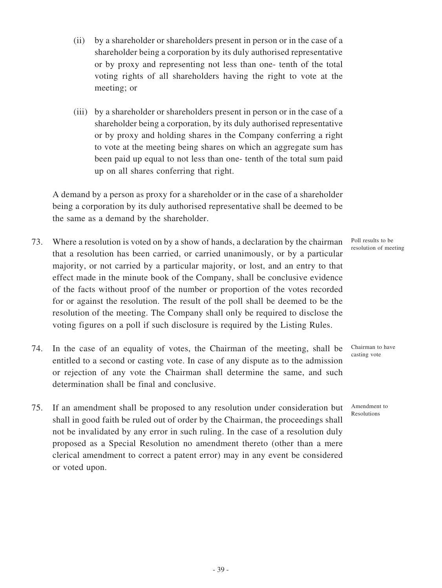- (ii) by a shareholder or shareholders present in person or in the case of a shareholder being a corporation by its duly authorised representative or by proxy and representing not less than one- tenth of the total voting rights of all shareholders having the right to vote at the meeting; or
- (iii) by a shareholder or shareholders present in person or in the case of a shareholder being a corporation, by its duly authorised representative or by proxy and holding shares in the Company conferring a right to vote at the meeting being shares on which an aggregate sum has been paid up equal to not less than one- tenth of the total sum paid up on all shares conferring that right.

A demand by a person as proxy for a shareholder or in the case of a shareholder being a corporation by its duly authorised representative shall be deemed to be the same as a demand by the shareholder.

- 73. Where a resolution is voted on by a show of hands, a declaration by the chairman that a resolution has been carried, or carried unanimously, or by a particular majority, or not carried by a particular majority, or lost, and an entry to that effect made in the minute book of the Company, shall be conclusive evidence of the facts without proof of the number or proportion of the votes recorded for or against the resolution. The result of the poll shall be deemed to be the resolution of the meeting. The Company shall only be required to disclose the voting figures on a poll if such disclosure is required by the Listing Rules.
- 74. In the case of an equality of votes, the Chairman of the meeting, shall be entitled to a second or casting vote. In case of any dispute as to the admission or rejection of any vote the Chairman shall determine the same, and such determination shall be final and conclusive.
- 75. If an amendment shall be proposed to any resolution under consideration but shall in good faith be ruled out of order by the Chairman, the proceedings shall not be invalidated by any error in such ruling. In the case of a resolution duly proposed as a Special Resolution no amendment thereto (other than a mere clerical amendment to correct a patent error) may in any event be considered or voted upon.

Poll results to be resolution of meeting

Chairman to have casting vote

Amendment to Resolutions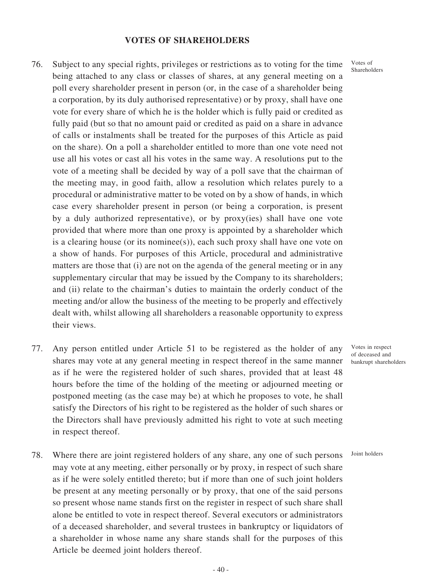#### **VOTES OF SHAREHOLDERS**

- 76. Subject to any special rights, privileges or restrictions as to voting for the time being attached to any class or classes of shares, at any general meeting on a poll every shareholder present in person (or, in the case of a shareholder being a corporation, by its duly authorised representative) or by proxy, shall have one vote for every share of which he is the holder which is fully paid or credited as fully paid (but so that no amount paid or credited as paid on a share in advance of calls or instalments shall be treated for the purposes of this Article as paid on the share). On a poll a shareholder entitled to more than one vote need not use all his votes or cast all his votes in the same way. A resolutions put to the vote of a meeting shall be decided by way of a poll save that the chairman of the meeting may, in good faith, allow a resolution which relates purely to a procedural or administrative matter to be voted on by a show of hands, in which case every shareholder present in person (or being a corporation, is present by a duly authorized representative), or by proxy(ies) shall have one vote provided that where more than one proxy is appointed by a shareholder which is a clearing house (or its nominee(s)), each such proxy shall have one vote on a show of hands. For purposes of this Article, procedural and administrative matters are those that (i) are not on the agenda of the general meeting or in any supplementary circular that may be issued by the Company to its shareholders; and (ii) relate to the chairman's duties to maintain the orderly conduct of the meeting and/or allow the business of the meeting to be properly and effectively dealt with, whilst allowing all shareholders a reasonable opportunity to express their views.
- 77. Any person entitled under Article 51 to be registered as the holder of any shares may vote at any general meeting in respect thereof in the same manner as if he were the registered holder of such shares, provided that at least 48 hours before the time of the holding of the meeting or adjourned meeting or postponed meeting (as the case may be) at which he proposes to vote, he shall satisfy the Directors of his right to be registered as the holder of such shares or the Directors shall have previously admitted his right to vote at such meeting in respect thereof.
- 78. Where there are joint registered holders of any share, any one of such persons may vote at any meeting, either personally or by proxy, in respect of such share as if he were solely entitled thereto; but if more than one of such joint holders be present at any meeting personally or by proxy, that one of the said persons so present whose name stands first on the register in respect of such share shall alone be entitled to vote in respect thereof. Several executors or administrators of a deceased shareholder, and several trustees in bankruptcy or liquidators of a shareholder in whose name any share stands shall for the purposes of this Article be deemed joint holders thereof.

Votes of Shareholders

- 40 -

of deceased and bankrupt shareholders

Votes in respect

Joint holders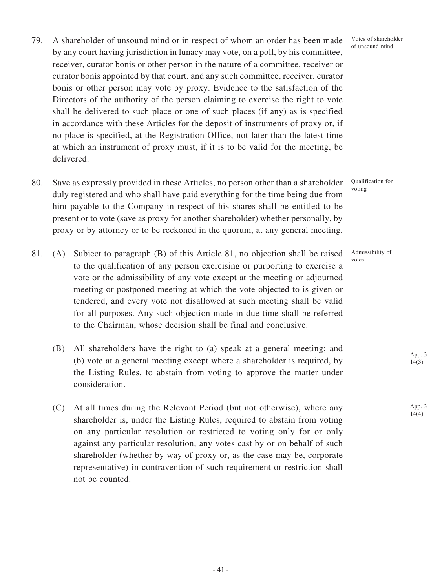- 79. A shareholder of unsound mind or in respect of whom an order has been made by any court having jurisdiction in lunacy may vote, on a poll, by his committee, receiver, curator bonis or other person in the nature of a committee, receiver or curator bonis appointed by that court, and any such committee, receiver, curator bonis or other person may vote by proxy. Evidence to the satisfaction of the Directors of the authority of the person claiming to exercise the right to vote shall be delivered to such place or one of such places (if any) as is specified in accordance with these Articles for the deposit of instruments of proxy or, if no place is specified, at the Registration Office, not later than the latest time at which an instrument of proxy must, if it is to be valid for the meeting, be delivered.
- 80. Save as expressly provided in these Articles, no person other than a shareholder duly registered and who shall have paid everything for the time being due from him payable to the Company in respect of his shares shall be entitled to be present or to vote (save as proxy for another shareholder) whether personally, by proxy or by attorney or to be reckoned in the quorum, at any general meeting.
- 81. (A) Subject to paragraph (B) of this Article 81, no objection shall be raised to the qualification of any person exercising or purporting to exercise a vote or the admissibility of any vote except at the meeting or adjourned meeting or postponed meeting at which the vote objected to is given or tendered, and every vote not disallowed at such meeting shall be valid for all purposes. Any such objection made in due time shall be referred to the Chairman, whose decision shall be final and conclusive.
	- (B) All shareholders have the right to (a) speak at a general meeting; and (b) vote at a general meeting except where a shareholder is required, by the Listing Rules, to abstain from voting to approve the matter under consideration.
	- (C) At all times during the Relevant Period (but not otherwise), where any shareholder is, under the Listing Rules, required to abstain from voting on any particular resolution or restricted to voting only for or only against any particular resolution, any votes cast by or on behalf of such shareholder (whether by way of proxy or, as the case may be, corporate representative) in contravention of such requirement or restriction shall not be counted.

Votes of shareholder of unsound mind

Qualification for voting

Admissibility of votes

> App. 3 14(3)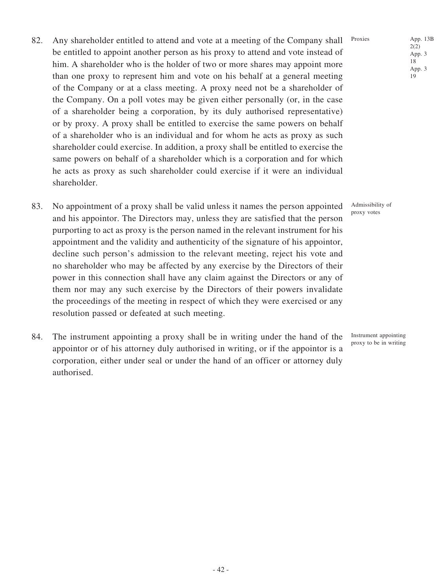- 
- of the Company or at a class meeting. A proxy need not be a shareholder of the Company. On a poll votes may be given either personally (or, in the case of a shareholder being a corporation, by its duly authorised representative) or by proxy. A proxy shall be entitled to exercise the same powers on behalf of a shareholder who is an individual and for whom he acts as proxy as such shareholder could exercise. In addition, a proxy shall be entitled to exercise the same powers on behalf of a shareholder which is a corporation and for which he acts as proxy as such shareholder could exercise if it were an individual shareholder.

82. Any shareholder entitled to attend and vote at a meeting of the Company shall

be entitled to appoint another person as his proxy to attend and vote instead of him. A shareholder who is the holder of two or more shares may appoint more than one proxy to represent him and vote on his behalf at a general meeting

- 83. No appointment of a proxy shall be valid unless it names the person appointed and his appointor. The Directors may, unless they are satisfied that the person purporting to act as proxy is the person named in the relevant instrument for his appointment and the validity and authenticity of the signature of his appointor, decline such person's admission to the relevant meeting, reject his vote and no shareholder who may be affected by any exercise by the Directors of their power in this connection shall have any claim against the Directors or any of them nor may any such exercise by the Directors of their powers invalidate the proceedings of the meeting in respect of which they were exercised or any resolution passed or defeated at such meeting.
- 84. The instrument appointing a proxy shall be in writing under the hand of the appointor or of his attorney duly authorised in writing, or if the appointor is a corporation, either under seal or under the hand of an officer or attorney duly authorised.

Proxies App. 13B

Admissibility of proxy votes

19

Instrument appointing proxy to be in writing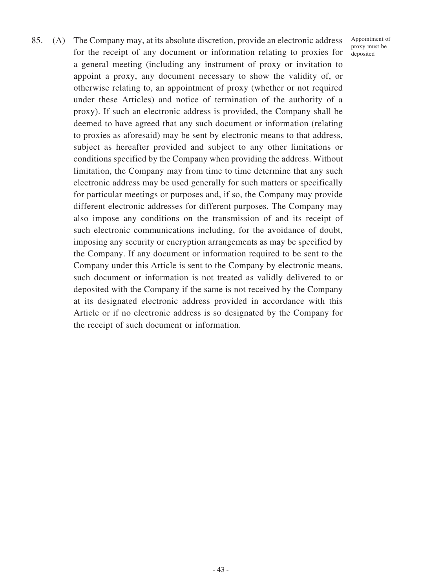85. (A) The Company may, at its absolute discretion, provide an electronic address for the receipt of any document or information relating to proxies for a general meeting (including any instrument of proxy or invitation to appoint a proxy, any document necessary to show the validity of, or otherwise relating to, an appointment of proxy (whether or not required under these Articles) and notice of termination of the authority of a proxy). If such an electronic address is provided, the Company shall be deemed to have agreed that any such document or information (relating to proxies as aforesaid) may be sent by electronic means to that address, subject as hereafter provided and subject to any other limitations or conditions specified by the Company when providing the address. Without limitation, the Company may from time to time determine that any such electronic address may be used generally for such matters or specifically for particular meetings or purposes and, if so, the Company may provide different electronic addresses for different purposes. The Company may also impose any conditions on the transmission of and its receipt of such electronic communications including, for the avoidance of doubt, imposing any security or encryption arrangements as may be specified by the Company. If any document or information required to be sent to the Company under this Article is sent to the Company by electronic means, such document or information is not treated as validly delivered to or deposited with the Company if the same is not received by the Company at its designated electronic address provided in accordance with this Article or if no electronic address is so designated by the Company for the receipt of such document or information.

Appointment of proxy must be deposited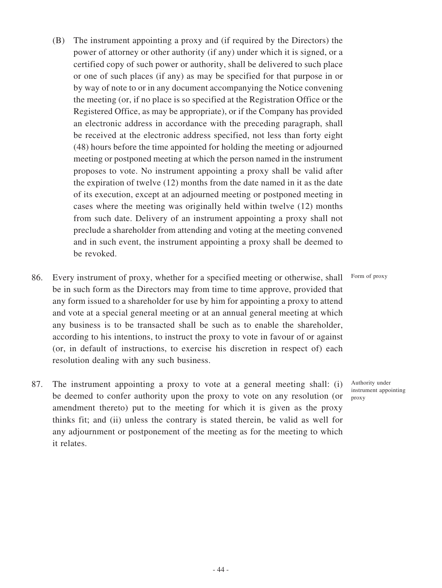- (B) The instrument appointing a proxy and (if required by the Directors) the power of attorney or other authority (if any) under which it is signed, or a certified copy of such power or authority, shall be delivered to such place or one of such places (if any) as may be specified for that purpose in or by way of note to or in any document accompanying the Notice convening the meeting (or, if no place is so specified at the Registration Office or the Registered Office, as may be appropriate), or if the Company has provided an electronic address in accordance with the preceding paragraph, shall be received at the electronic address specified, not less than forty eight (48) hours before the time appointed for holding the meeting or adjourned meeting or postponed meeting at which the person named in the instrument proposes to vote. No instrument appointing a proxy shall be valid after the expiration of twelve (12) months from the date named in it as the date of its execution, except at an adjourned meeting or postponed meeting in cases where the meeting was originally held within twelve (12) months from such date. Delivery of an instrument appointing a proxy shall not preclude a shareholder from attending and voting at the meeting convened and in such event, the instrument appointing a proxy shall be deemed to be revoked.
- 86. Every instrument of proxy, whether for a specified meeting or otherwise, shall be in such form as the Directors may from time to time approve, provided that any form issued to a shareholder for use by him for appointing a proxy to attend and vote at a special general meeting or at an annual general meeting at which any business is to be transacted shall be such as to enable the shareholder, according to his intentions, to instruct the proxy to vote in favour of or against (or, in default of instructions, to exercise his discretion in respect of) each resolution dealing with any such business.
- 87. The instrument appointing a proxy to vote at a general meeting shall: (i) be deemed to confer authority upon the proxy to vote on any resolution (or amendment thereto) put to the meeting for which it is given as the proxy thinks fit; and (ii) unless the contrary is stated therein, be valid as well for any adjournment or postponement of the meeting as for the meeting to which it relates.

Form of proxy

Authority under instrument appointing proxy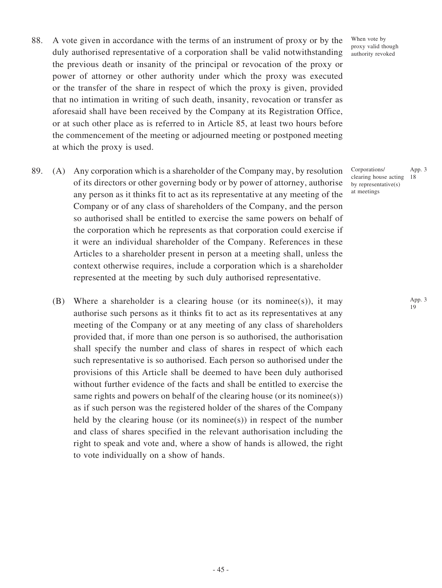- 88. A vote given in accordance with the terms of an instrument of proxy or by the duly authorised representative of a corporation shall be valid notwithstanding the previous death or insanity of the principal or revocation of the proxy or power of attorney or other authority under which the proxy was executed or the transfer of the share in respect of which the proxy is given, provided that no intimation in writing of such death, insanity, revocation or transfer as aforesaid shall have been received by the Company at its Registration Office, or at such other place as is referred to in Article 85, at least two hours before the commencement of the meeting or adjourned meeting or postponed meeting at which the proxy is used.
- 89. (A) Any corporation which is a shareholder of the Company may, by resolution of its directors or other governing body or by power of attorney, authorise any person as it thinks fit to act as its representative at any meeting of the Company or of any class of shareholders of the Company, and the person so authorised shall be entitled to exercise the same powers on behalf of the corporation which he represents as that corporation could exercise if it were an individual shareholder of the Company. References in these Articles to a shareholder present in person at a meeting shall, unless the context otherwise requires, include a corporation which is a shareholder represented at the meeting by such duly authorised representative.
	- (B) Where a shareholder is a clearing house (or its nominee(s)), it may authorise such persons as it thinks fit to act as its representatives at any meeting of the Company or at any meeting of any class of shareholders provided that, if more than one person is so authorised, the authorisation shall specify the number and class of shares in respect of which each such representative is so authorised. Each person so authorised under the provisions of this Article shall be deemed to have been duly authorised without further evidence of the facts and shall be entitled to exercise the same rights and powers on behalf of the clearing house (or its nominee(s)) as if such person was the registered holder of the shares of the Company held by the clearing house (or its nominee(s)) in respect of the number and class of shares specified in the relevant authorisation including the right to speak and vote and, where a show of hands is allowed, the right to vote individually on a show of hands.

When vote by proxy valid though authority revoked

Corporations/ clearing house acting by representative(s) at meetings App. 3 18

> App. 3 19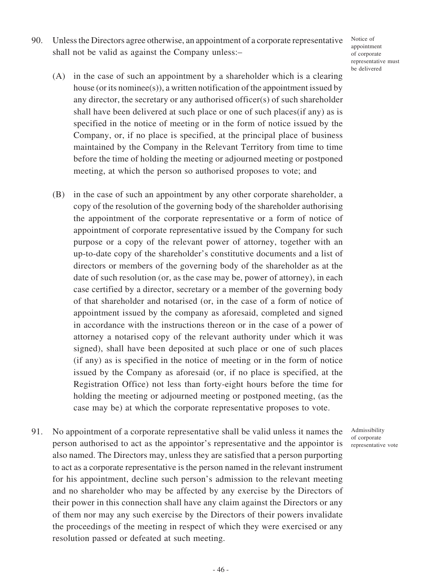90. Unless the Directors agree otherwise, an appointment of a corporate representative shall not be valid as against the Company unless:–

Notice of appointment of corporate representative must be delivered

- (A) in the case of such an appointment by a shareholder which is a clearing house (or its nominee(s)), a written notification of the appointment issued by any director, the secretary or any authorised officer(s) of such shareholder shall have been delivered at such place or one of such places(if any) as is specified in the notice of meeting or in the form of notice issued by the Company, or, if no place is specified, at the principal place of business maintained by the Company in the Relevant Territory from time to time before the time of holding the meeting or adjourned meeting or postponed meeting, at which the person so authorised proposes to vote; and
- (B) in the case of such an appointment by any other corporate shareholder, a copy of the resolution of the governing body of the shareholder authorising the appointment of the corporate representative or a form of notice of appointment of corporate representative issued by the Company for such purpose or a copy of the relevant power of attorney, together with an up-to-date copy of the shareholder's constitutive documents and a list of directors or members of the governing body of the shareholder as at the date of such resolution (or, as the case may be, power of attorney), in each case certified by a director, secretary or a member of the governing body of that shareholder and notarised (or, in the case of a form of notice of appointment issued by the company as aforesaid, completed and signed in accordance with the instructions thereon or in the case of a power of attorney a notarised copy of the relevant authority under which it was signed), shall have been deposited at such place or one of such places (if any) as is specified in the notice of meeting or in the form of notice issued by the Company as aforesaid (or, if no place is specified, at the Registration Office) not less than forty-eight hours before the time for holding the meeting or adjourned meeting or postponed meeting, (as the case may be) at which the corporate representative proposes to vote.
- 91. No appointment of a corporate representative shall be valid unless it names the person authorised to act as the appointor's representative and the appointor is also named. The Directors may, unless they are satisfied that a person purporting to act as a corporate representative is the person named in the relevant instrument for his appointment, decline such person's admission to the relevant meeting and no shareholder who may be affected by any exercise by the Directors of their power in this connection shall have any claim against the Directors or any of them nor may any such exercise by the Directors of their powers invalidate the proceedings of the meeting in respect of which they were exercised or any resolution passed or defeated at such meeting.

Admissibility of corporate representative vote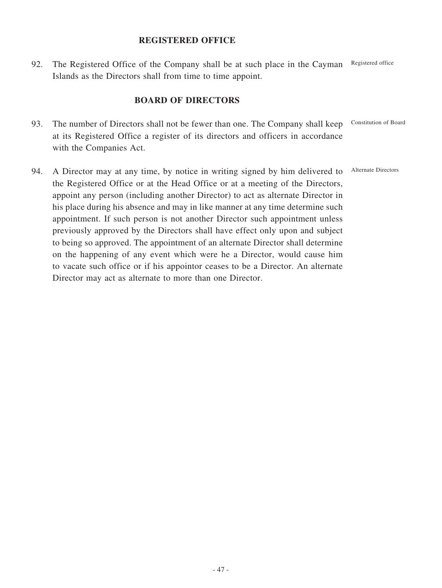## **REGISTERED OFFICE**

92. The Registered Office of the Company shall be at such place in the Cayman Islands as the Directors shall from time to time appoint. Registered office

# **BOARD OF DIRECTORS**

- 93. The number of Directors shall not be fewer than one. The Company shall keep at its Registered Office a register of its directors and officers in accordance with the Companies Act. Constitution of Board
- 94. A Director may at any time, by notice in writing signed by him delivered to the Registered Office or at the Head Office or at a meeting of the Directors, appoint any person (including another Director) to act as alternate Director in his place during his absence and may in like manner at any time determine such appointment. If such person is not another Director such appointment unless previously approved by the Directors shall have effect only upon and subject to being so approved. The appointment of an alternate Director shall determine on the happening of any event which were he a Director, would cause him to vacate such office or if his appointor ceases to be a Director. An alternate Director may act as alternate to more than one Director. Alternate Directors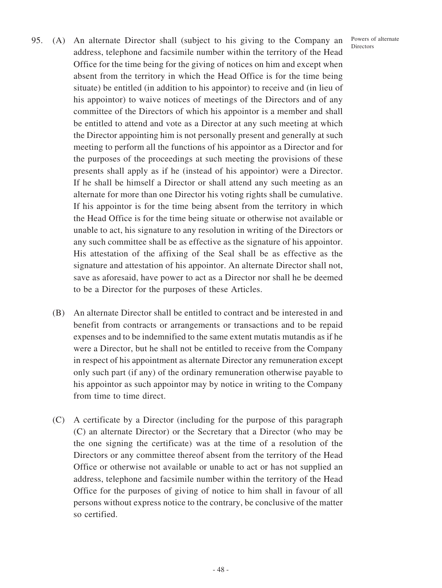- Powers of alternate Directors
- 95. (A) An alternate Director shall (subject to his giving to the Company an address, telephone and facsimile number within the territory of the Head Office for the time being for the giving of notices on him and except when absent from the territory in which the Head Office is for the time being situate) be entitled (in addition to his appointor) to receive and (in lieu of his appointor) to waive notices of meetings of the Directors and of any committee of the Directors of which his appointor is a member and shall be entitled to attend and vote as a Director at any such meeting at which the Director appointing him is not personally present and generally at such meeting to perform all the functions of his appointor as a Director and for the purposes of the proceedings at such meeting the provisions of these presents shall apply as if he (instead of his appointor) were a Director. If he shall be himself a Director or shall attend any such meeting as an alternate for more than one Director his voting rights shall be cumulative. If his appointor is for the time being absent from the territory in which the Head Office is for the time being situate or otherwise not available or unable to act, his signature to any resolution in writing of the Directors or any such committee shall be as effective as the signature of his appointor. His attestation of the affixing of the Seal shall be as effective as the signature and attestation of his appointor. An alternate Director shall not, save as aforesaid, have power to act as a Director nor shall he be deemed to be a Director for the purposes of these Articles.
	- (B) An alternate Director shall be entitled to contract and be interested in and benefit from contracts or arrangements or transactions and to be repaid expenses and to be indemnified to the same extent mutatis mutandis as if he were a Director, but he shall not be entitled to receive from the Company in respect of his appointment as alternate Director any remuneration except only such part (if any) of the ordinary remuneration otherwise payable to his appointor as such appointor may by notice in writing to the Company from time to time direct.
	- (C) A certificate by a Director (including for the purpose of this paragraph (C) an alternate Director) or the Secretary that a Director (who may be the one signing the certificate) was at the time of a resolution of the Directors or any committee thereof absent from the territory of the Head Office or otherwise not available or unable to act or has not supplied an address, telephone and facsimile number within the territory of the Head Office for the purposes of giving of notice to him shall in favour of all persons without express notice to the contrary, be conclusive of the matter so certified.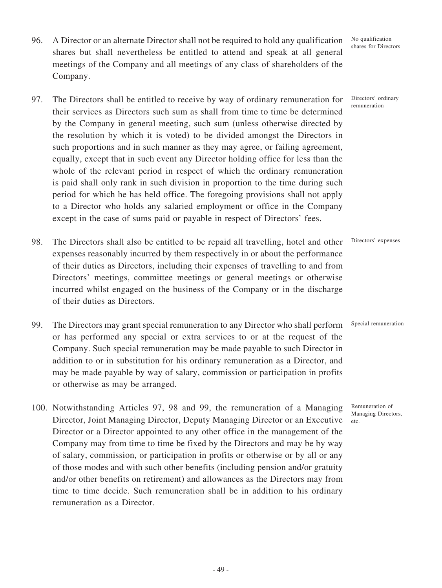- 96. A Director or an alternate Director shall not be required to hold any qualification shares but shall nevertheless be entitled to attend and speak at all general meetings of the Company and all meetings of any class of shareholders of the Company.
- 97. The Directors shall be entitled to receive by way of ordinary remuneration for their services as Directors such sum as shall from time to time be determined by the Company in general meeting, such sum (unless otherwise directed by the resolution by which it is voted) to be divided amongst the Directors in such proportions and in such manner as they may agree, or failing agreement, equally, except that in such event any Director holding office for less than the whole of the relevant period in respect of which the ordinary remuneration is paid shall only rank in such division in proportion to the time during such period for which he has held office. The foregoing provisions shall not apply to a Director who holds any salaried employment or office in the Company except in the case of sums paid or payable in respect of Directors' fees.
- 98. The Directors shall also be entitled to be repaid all travelling, hotel and other expenses reasonably incurred by them respectively in or about the performance of their duties as Directors, including their expenses of travelling to and from Directors' meetings, committee meetings or general meetings or otherwise incurred whilst engaged on the business of the Company or in the discharge of their duties as Directors.
- 99. The Directors may grant special remuneration to any Director who shall perform or has performed any special or extra services to or at the request of the Company. Such special remuneration may be made payable to such Director in addition to or in substitution for his ordinary remuneration as a Director, and may be made payable by way of salary, commission or participation in profits or otherwise as may be arranged.
- 100. Notwithstanding Articles 97, 98 and 99, the remuneration of a Managing Director, Joint Managing Director, Deputy Managing Director or an Executive Director or a Director appointed to any other office in the management of the Company may from time to time be fixed by the Directors and may be by way of salary, commission, or participation in profits or otherwise or by all or any of those modes and with such other benefits (including pension and/or gratuity and/or other benefits on retirement) and allowances as the Directors may from time to time decide. Such remuneration shall be in addition to his ordinary remuneration as a Director.

No qualification shares for Directors

Directors' ordinary remuneration

Directors' expenses

Special remuneration

Remuneration of Managing Directors,

etc.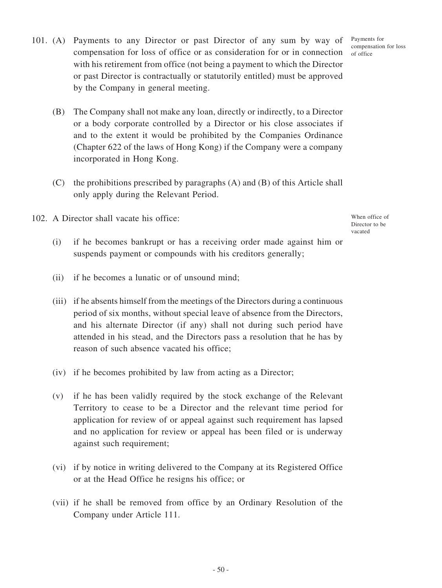- 101. (A) Payments to any Director or past Director of any sum by way of compensation for loss of office or as consideration for or in connection with his retirement from office (not being a payment to which the Director or past Director is contractually or statutorily entitled) must be approved by the Company in general meeting.
	- (B) The Company shall not make any loan, directly or indirectly, to a Director or a body corporate controlled by a Director or his close associates if and to the extent it would be prohibited by the Companies Ordinance (Chapter 622 of the laws of Hong Kong) if the Company were a company incorporated in Hong Kong.
	- (C) the prohibitions prescribed by paragraphs (A) and (B) of this Article shall only apply during the Relevant Period.

102. A Director shall vacate his office:

- (i) if he becomes bankrupt or has a receiving order made against him or suspends payment or compounds with his creditors generally;
- (ii) if he becomes a lunatic or of unsound mind;
- (iii) if he absents himself from the meetings of the Directors during a continuous period of six months, without special leave of absence from the Directors, and his alternate Director (if any) shall not during such period have attended in his stead, and the Directors pass a resolution that he has by reason of such absence vacated his office;
- (iv) if he becomes prohibited by law from acting as a Director;
- (v) if he has been validly required by the stock exchange of the Relevant Territory to cease to be a Director and the relevant time period for application for review of or appeal against such requirement has lapsed and no application for review or appeal has been filed or is underway against such requirement;
- (vi) if by notice in writing delivered to the Company at its Registered Office or at the Head Office he resigns his office; or
- (vii) if he shall be removed from office by an Ordinary Resolution of the Company under Article 111.

Payments for compensation for loss of office

When office of Director to be vacated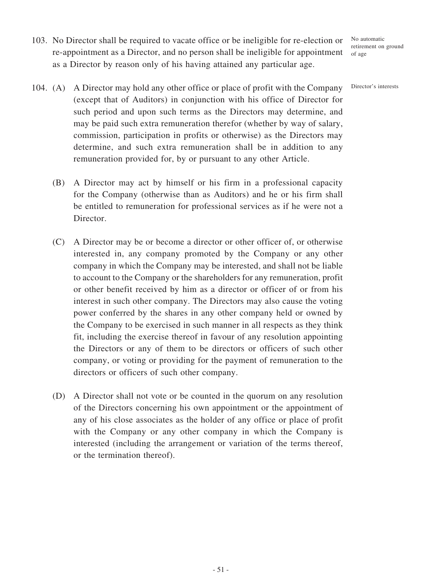No automatic retirement on ground of age

- 103. No Director shall be required to vacate office or be ineligible for re-election or re-appointment as a Director, and no person shall be ineligible for appointment as a Director by reason only of his having attained any particular age.
- 104. (A) A Director may hold any other office or place of profit with the Company (except that of Auditors) in conjunction with his office of Director for such period and upon such terms as the Directors may determine, and may be paid such extra remuneration therefor (whether by way of salary, commission, participation in profits or otherwise) as the Directors may determine, and such extra remuneration shall be in addition to any remuneration provided for, by or pursuant to any other Article.
	- (B) A Director may act by himself or his firm in a professional capacity for the Company (otherwise than as Auditors) and he or his firm shall be entitled to remuneration for professional services as if he were not a Director.
	- (C) A Director may be or become a director or other officer of, or otherwise interested in, any company promoted by the Company or any other company in which the Company may be interested, and shall not be liable to account to the Company or the shareholders for any remuneration, profit or other benefit received by him as a director or officer of or from his interest in such other company. The Directors may also cause the voting power conferred by the shares in any other company held or owned by the Company to be exercised in such manner in all respects as they think fit, including the exercise thereof in favour of any resolution appointing the Directors or any of them to be directors or officers of such other company, or voting or providing for the payment of remuneration to the directors or officers of such other company.
	- (D) A Director shall not vote or be counted in the quorum on any resolution of the Directors concerning his own appointment or the appointment of any of his close associates as the holder of any office or place of profit with the Company or any other company in which the Company is interested (including the arrangement or variation of the terms thereof, or the termination thereof).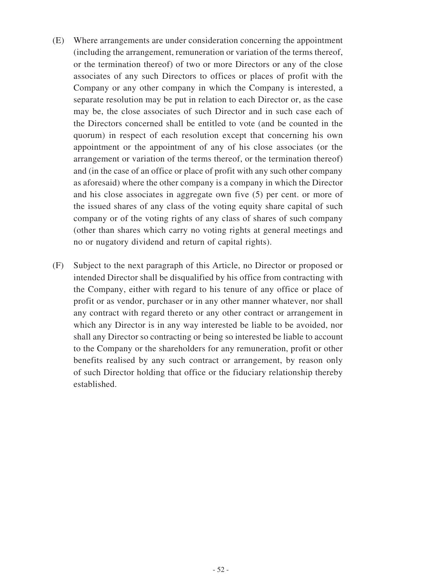- (E) Where arrangements are under consideration concerning the appointment (including the arrangement, remuneration or variation of the terms thereof, or the termination thereof) of two or more Directors or any of the close associates of any such Directors to offices or places of profit with the Company or any other company in which the Company is interested, a separate resolution may be put in relation to each Director or, as the case may be, the close associates of such Director and in such case each of the Directors concerned shall be entitled to vote (and be counted in the quorum) in respect of each resolution except that concerning his own appointment or the appointment of any of his close associates (or the arrangement or variation of the terms thereof, or the termination thereof) and (in the case of an office or place of profit with any such other company as aforesaid) where the other company is a company in which the Director and his close associates in aggregate own five (5) per cent. or more of the issued shares of any class of the voting equity share capital of such company or of the voting rights of any class of shares of such company (other than shares which carry no voting rights at general meetings and no or nugatory dividend and return of capital rights).
- (F) Subject to the next paragraph of this Article, no Director or proposed or intended Director shall be disqualified by his office from contracting with the Company, either with regard to his tenure of any office or place of profit or as vendor, purchaser or in any other manner whatever, nor shall any contract with regard thereto or any other contract or arrangement in which any Director is in any way interested be liable to be avoided, nor shall any Director so contracting or being so interested be liable to account to the Company or the shareholders for any remuneration, profit or other benefits realised by any such contract or arrangement, by reason only of such Director holding that office or the fiduciary relationship thereby established.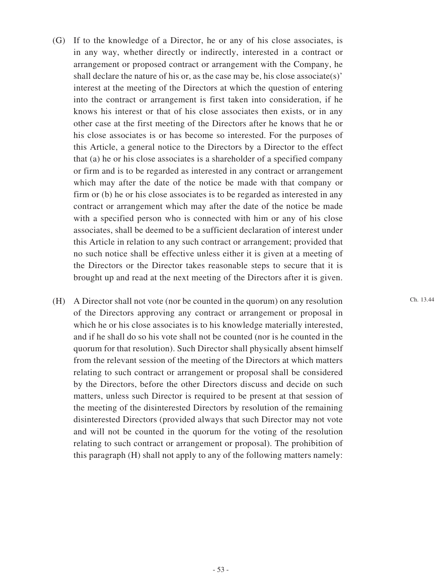- (G) If to the knowledge of a Director, he or any of his close associates, is in any way, whether directly or indirectly, interested in a contract or arrangement or proposed contract or arrangement with the Company, he shall declare the nature of his or, as the case may be, his close associate(s)' interest at the meeting of the Directors at which the question of entering into the contract or arrangement is first taken into consideration, if he knows his interest or that of his close associates then exists, or in any other case at the first meeting of the Directors after he knows that he or his close associates is or has become so interested. For the purposes of this Article, a general notice to the Directors by a Director to the effect that (a) he or his close associates is a shareholder of a specified company or firm and is to be regarded as interested in any contract or arrangement which may after the date of the notice be made with that company or firm or (b) he or his close associates is to be regarded as interested in any contract or arrangement which may after the date of the notice be made with a specified person who is connected with him or any of his close associates, shall be deemed to be a sufficient declaration of interest under this Article in relation to any such contract or arrangement; provided that no such notice shall be effective unless either it is given at a meeting of the Directors or the Director takes reasonable steps to secure that it is brought up and read at the next meeting of the Directors after it is given.
- (H) A Director shall not vote (nor be counted in the quorum) on any resolution of the Directors approving any contract or arrangement or proposal in which he or his close associates is to his knowledge materially interested, and if he shall do so his vote shall not be counted (nor is he counted in the quorum for that resolution). Such Director shall physically absent himself from the relevant session of the meeting of the Directors at which matters relating to such contract or arrangement or proposal shall be considered by the Directors, before the other Directors discuss and decide on such matters, unless such Director is required to be present at that session of the meeting of the disinterested Directors by resolution of the remaining disinterested Directors (provided always that such Director may not vote and will not be counted in the quorum for the voting of the resolution relating to such contract or arrangement or proposal). The prohibition of this paragraph (H) shall not apply to any of the following matters namely:

Ch. 13.44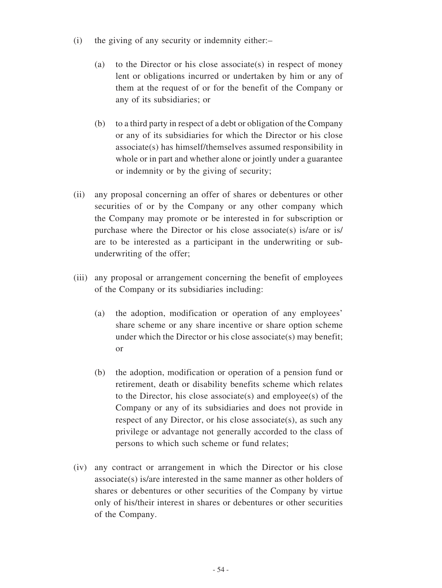- (i) the giving of any security or indemnity either:–
	- (a) to the Director or his close associate(s) in respect of money lent or obligations incurred or undertaken by him or any of them at the request of or for the benefit of the Company or any of its subsidiaries; or
	- (b) to a third party in respect of a debt or obligation of the Company or any of its subsidiaries for which the Director or his close associate(s) has himself/themselves assumed responsibility in whole or in part and whether alone or jointly under a guarantee or indemnity or by the giving of security;
- (ii) any proposal concerning an offer of shares or debentures or other securities of or by the Company or any other company which the Company may promote or be interested in for subscription or purchase where the Director or his close associate(s) is/are or is/ are to be interested as a participant in the underwriting or subunderwriting of the offer;
- (iii) any proposal or arrangement concerning the benefit of employees of the Company or its subsidiaries including:
	- (a) the adoption, modification or operation of any employees' share scheme or any share incentive or share option scheme under which the Director or his close associate(s) may benefit; or
	- (b) the adoption, modification or operation of a pension fund or retirement, death or disability benefits scheme which relates to the Director, his close associate(s) and employee(s) of the Company or any of its subsidiaries and does not provide in respect of any Director, or his close associate(s), as such any privilege or advantage not generally accorded to the class of persons to which such scheme or fund relates;
- (iv) any contract or arrangement in which the Director or his close associate(s) is/are interested in the same manner as other holders of shares or debentures or other securities of the Company by virtue only of his/their interest in shares or debentures or other securities of the Company.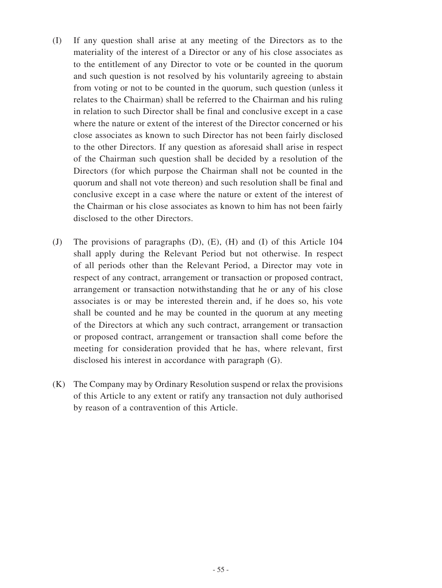- (I) If any question shall arise at any meeting of the Directors as to the materiality of the interest of a Director or any of his close associates as to the entitlement of any Director to vote or be counted in the quorum and such question is not resolved by his voluntarily agreeing to abstain from voting or not to be counted in the quorum, such question (unless it relates to the Chairman) shall be referred to the Chairman and his ruling in relation to such Director shall be final and conclusive except in a case where the nature or extent of the interest of the Director concerned or his close associates as known to such Director has not been fairly disclosed to the other Directors. If any question as aforesaid shall arise in respect of the Chairman such question shall be decided by a resolution of the Directors (for which purpose the Chairman shall not be counted in the quorum and shall not vote thereon) and such resolution shall be final and conclusive except in a case where the nature or extent of the interest of the Chairman or his close associates as known to him has not been fairly disclosed to the other Directors.
- (J) The provisions of paragraphs (D), (E), (H) and (I) of this Article 104 shall apply during the Relevant Period but not otherwise. In respect of all periods other than the Relevant Period, a Director may vote in respect of any contract, arrangement or transaction or proposed contract, arrangement or transaction notwithstanding that he or any of his close associates is or may be interested therein and, if he does so, his vote shall be counted and he may be counted in the quorum at any meeting of the Directors at which any such contract, arrangement or transaction or proposed contract, arrangement or transaction shall come before the meeting for consideration provided that he has, where relevant, first disclosed his interest in accordance with paragraph (G).
- (K) The Company may by Ordinary Resolution suspend or relax the provisions of this Article to any extent or ratify any transaction not duly authorised by reason of a contravention of this Article.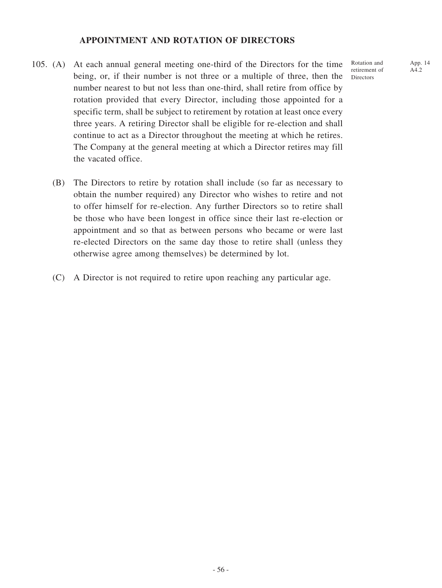### **APPOINTMENT AND ROTATION OF DIRECTORS**

- 105. (A) At each annual general meeting one-third of the Directors for the time being, or, if their number is not three or a multiple of three, then the number nearest to but not less than one-third, shall retire from office by rotation provided that every Director, including those appointed for a specific term, shall be subject to retirement by rotation at least once every three years. A retiring Director shall be eligible for re-election and shall continue to act as a Director throughout the meeting at which he retires. The Company at the general meeting at which a Director retires may fill the vacated office.
	- (B) The Directors to retire by rotation shall include (so far as necessary to obtain the number required) any Director who wishes to retire and not to offer himself for re-election. Any further Directors so to retire shall be those who have been longest in office since their last re-election or appointment and so that as between persons who became or were last re-elected Directors on the same day those to retire shall (unless they otherwise agree among themselves) be determined by lot.
	- (C) A Director is not required to retire upon reaching any particular age.

App. 14 A4.2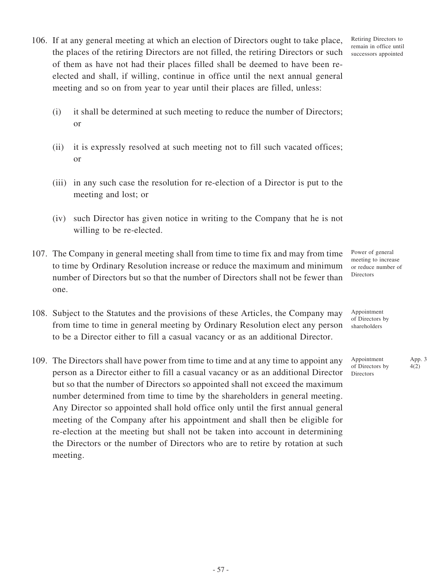- 106. If at any general meeting at which an election of Directors ought to take place, the places of the retiring Directors are not filled, the retiring Directors or such of them as have not had their places filled shall be deemed to have been reelected and shall, if willing, continue in office until the next annual general meeting and so on from year to year until their places are filled, unless:
	- (i) it shall be determined at such meeting to reduce the number of Directors; or
	- (ii) it is expressly resolved at such meeting not to fill such vacated offices; or
	- (iii) in any such case the resolution for re-election of a Director is put to the meeting and lost; or
	- (iv) such Director has given notice in writing to the Company that he is not willing to be re-elected.
- 107. The Company in general meeting shall from time to time fix and may from time to time by Ordinary Resolution increase or reduce the maximum and minimum number of Directors but so that the number of Directors shall not be fewer than one.
- 108. Subject to the Statutes and the provisions of these Articles, the Company may from time to time in general meeting by Ordinary Resolution elect any person to be a Director either to fill a casual vacancy or as an additional Director.
- 109. The Directors shall have power from time to time and at any time to appoint any person as a Director either to fill a casual vacancy or as an additional Director but so that the number of Directors so appointed shall not exceed the maximum number determined from time to time by the shareholders in general meeting. Any Director so appointed shall hold office only until the first annual general meeting of the Company after his appointment and shall then be eligible for re-election at the meeting but shall not be taken into account in determining the Directors or the number of Directors who are to retire by rotation at such meeting.

Power of general meeting to increase or reduce number of Directors

Appointment of Directors by shareholders

Appointment of Directors by Directors

App. 3 4(2)

Retiring Directors to remain in office until successors appointed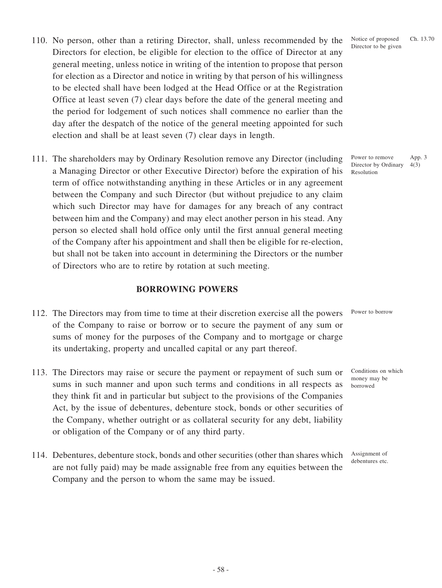- 110. No person, other than a retiring Director, shall, unless recommended by the Directors for election, be eligible for election to the office of Director at any general meeting, unless notice in writing of the intention to propose that person for election as a Director and notice in writing by that person of his willingness to be elected shall have been lodged at the Head Office or at the Registration Office at least seven (7) clear days before the date of the general meeting and the period for lodgement of such notices shall commence no earlier than the day after the despatch of the notice of the general meeting appointed for such election and shall be at least seven (7) clear days in length.
- 111. The shareholders may by Ordinary Resolution remove any Director (including a Managing Director or other Executive Director) before the expiration of his term of office notwithstanding anything in these Articles or in any agreement between the Company and such Director (but without prejudice to any claim which such Director may have for damages for any breach of any contract between him and the Company) and may elect another person in his stead. Any person so elected shall hold office only until the first annual general meeting of the Company after his appointment and shall then be eligible for re-election, but shall not be taken into account in determining the Directors or the number of Directors who are to retire by rotation at such meeting.

### **BORROWING POWERS**

- 112. The Directors may from time to time at their discretion exercise all the powers of the Company to raise or borrow or to secure the payment of any sum or sums of money for the purposes of the Company and to mortgage or charge its undertaking, property and uncalled capital or any part thereof. Power to borrow
- 113. The Directors may raise or secure the payment or repayment of such sum or sums in such manner and upon such terms and conditions in all respects as they think fit and in particular but subject to the provisions of the Companies Act, by the issue of debentures, debenture stock, bonds or other securities of the Company, whether outright or as collateral security for any debt, liability or obligation of the Company or of any third party.
- 114. Debentures, debenture stock, bonds and other securities (other than shares which are not fully paid) may be made assignable free from any equities between the Company and the person to whom the same may be issued.

Notice of proposed Director to be given Ch. 13.70

Power to remove Director by Ordinary Resolution App. 3 4(3)

Conditions on which money may be borrowed

Assignment of debentures etc.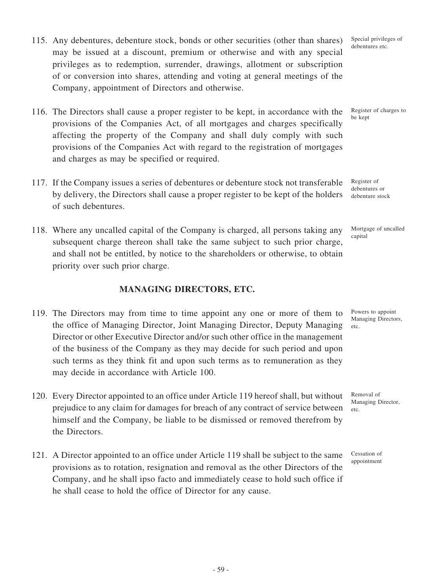- 115. Any debentures, debenture stock, bonds or other securities (other than shares) may be issued at a discount, premium or otherwise and with any special privileges as to redemption, surrender, drawings, allotment or subscription of or conversion into shares, attending and voting at general meetings of the Company, appointment of Directors and otherwise.
- 116. The Directors shall cause a proper register to be kept, in accordance with the provisions of the Companies Act, of all mortgages and charges specifically affecting the property of the Company and shall duly comply with such provisions of the Companies Act with regard to the registration of mortgages and charges as may be specified or required.
- 117. If the Company issues a series of debentures or debenture stock not transferable by delivery, the Directors shall cause a proper register to be kept of the holders of such debentures.
- 118. Where any uncalled capital of the Company is charged, all persons taking any subsequent charge thereon shall take the same subject to such prior charge, and shall not be entitled, by notice to the shareholders or otherwise, to obtain priority over such prior charge.

# **MANAGING DIRECTORS, ETC.**

- 119. The Directors may from time to time appoint any one or more of them to the office of Managing Director, Joint Managing Director, Deputy Managing Director or other Executive Director and/or such other office in the management of the business of the Company as they may decide for such period and upon such terms as they think fit and upon such terms as to remuneration as they may decide in accordance with Article 100.
- 120. Every Director appointed to an office under Article 119 hereof shall, but without prejudice to any claim for damages for breach of any contract of service between himself and the Company, be liable to be dismissed or removed therefrom by the Directors.
- 121. A Director appointed to an office under Article 119 shall be subject to the same provisions as to rotation, resignation and removal as the other Directors of the Company, and he shall ipso facto and immediately cease to hold such office if he shall cease to hold the office of Director for any cause.

Special privileges of debentures etc.

Register of charges to be kept

Register of debentures or debenture stock

Mortgage of uncalled capital

Powers to appoint Managing Directors, etc.

Cessation of appointment

Removal of Managing Director,

etc.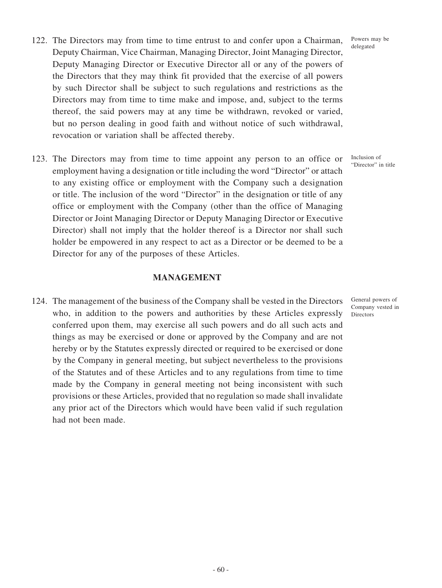- 122. The Directors may from time to time entrust to and confer upon a Chairman, Deputy Chairman, Vice Chairman, Managing Director, Joint Managing Director, Deputy Managing Director or Executive Director all or any of the powers of the Directors that they may think fit provided that the exercise of all powers by such Director shall be subject to such regulations and restrictions as the Directors may from time to time make and impose, and, subject to the terms thereof, the said powers may at any time be withdrawn, revoked or varied, but no person dealing in good faith and without notice of such withdrawal, revocation or variation shall be affected thereby.
- 123. The Directors may from time to time appoint any person to an office or employment having a designation or title including the word "Director" or attach to any existing office or employment with the Company such a designation or title. The inclusion of the word "Director" in the designation or title of any office or employment with the Company (other than the office of Managing Director or Joint Managing Director or Deputy Managing Director or Executive Director) shall not imply that the holder thereof is a Director nor shall such holder be empowered in any respect to act as a Director or be deemed to be a Director for any of the purposes of these Articles.

#### **MANAGEMENT**

124. The management of the business of the Company shall be vested in the Directors who, in addition to the powers and authorities by these Articles expressly conferred upon them, may exercise all such powers and do all such acts and things as may be exercised or done or approved by the Company and are not hereby or by the Statutes expressly directed or required to be exercised or done by the Company in general meeting, but subject nevertheless to the provisions of the Statutes and of these Articles and to any regulations from time to time made by the Company in general meeting not being inconsistent with such provisions or these Articles, provided that no regulation so made shall invalidate any prior act of the Directors which would have been valid if such regulation had not been made.

Powers may be delegated

Inclusion of "Director" in title

General powers of Company vested in **Directors**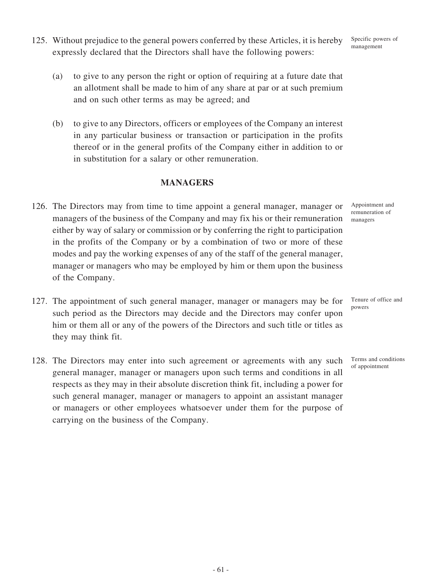- 125. Without prejudice to the general powers conferred by these Articles, it is hereby expressly declared that the Directors shall have the following powers:
	- (a) to give to any person the right or option of requiring at a future date that an allotment shall be made to him of any share at par or at such premium and on such other terms as may be agreed; and
	- (b) to give to any Directors, officers or employees of the Company an interest in any particular business or transaction or participation in the profits thereof or in the general profits of the Company either in addition to or in substitution for a salary or other remuneration.

## **MANAGERS**

- 126. The Directors may from time to time appoint a general manager, manager or managers of the business of the Company and may fix his or their remuneration either by way of salary or commission or by conferring the right to participation in the profits of the Company or by a combination of two or more of these modes and pay the working expenses of any of the staff of the general manager, manager or managers who may be employed by him or them upon the business of the Company.
- 127. The appointment of such general manager, manager or managers may be for such period as the Directors may decide and the Directors may confer upon him or them all or any of the powers of the Directors and such title or titles as they may think fit. Tenure of office and powers
- 128. The Directors may enter into such agreement or agreements with any such general manager, manager or managers upon such terms and conditions in all respects as they may in their absolute discretion think fit, including a power for such general manager, manager or managers to appoint an assistant manager or managers or other employees whatsoever under them for the purpose of carrying on the business of the Company.

Appointment and remuneration of managers

Terms and conditions

of appointment

Specific powers of management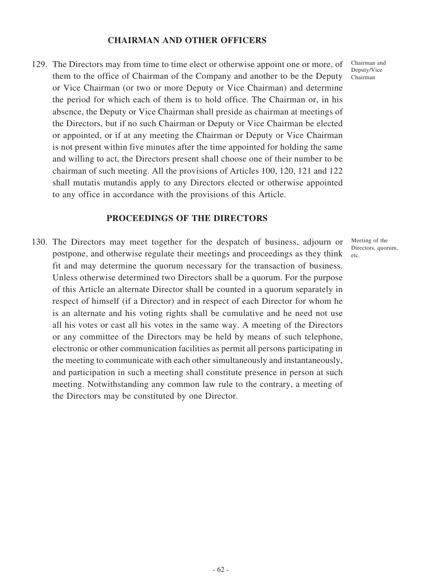### **CHAIRMAN AND OTHER OFFICERS**

129. The Directors may from time to time elect or otherwise appoint one or more, of them to the office of Chairman of the Company and another to be the Deputy or Vice Chairman (or two or more Deputy or Vice Chairman) and determine the period for which each of them is to hold office. The Chairman or, in his absence, the Deputy or Vice Chairman shall preside as chairman at meetings of the Directors, but if no such Chairman or Deputy or Vice Chairman be elected or appointed, or if at any meeting the Chairman or Deputy or Vice Chairman is not present within five minutes after the time appointed for holding the same and willing to act, the Directors present shall choose one of their number to be chairman of such meeting. All the provisions of Articles 100, 120, 121 and 122 shall mutatis mutandis apply to any Directors elected or otherwise appointed to any office in accordance with the provisions of this Article.

# **PROCEEDINGS OF THE DIRECTORS**

130. The Directors may meet together for the despatch of business, adjourn or postpone, and otherwise regulate their meetings and proceedings as they think fit and may determine the quorum necessary for the transaction of business. Unless otherwise determined two Directors shall be a quorum. For the purpose of this Article an alternate Director shall be counted in a quorum separately in respect of himself (if a Director) and in respect of each Director for whom he is an alternate and his voting rights shall be cumulative and he need not use all his votes or cast all his votes in the same way. A meeting of the Directors or any committee of the Directors may be held by means of such telephone, electronic or other communication facilities as permit all persons participating in the meeting to communicate with each other simultaneously and instantaneously, and participation in such a meeting shall constitute presence in person at such meeting. Notwithstanding any common law rule to the contrary, a meeting of the Directors may be constituted by one Director.

Chairman and Deputy/Vice Chairman

Meeting of the Directors, quorum, etc.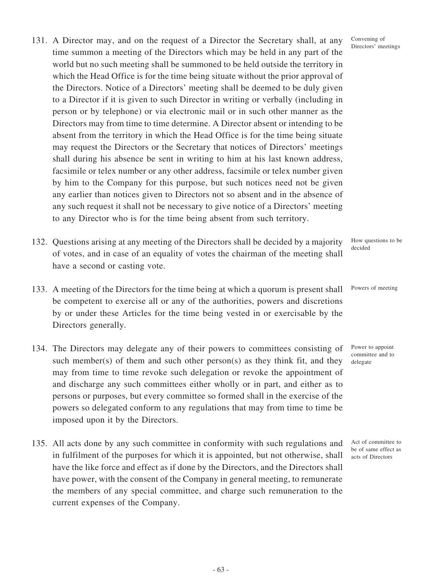- 131. A Director may, and on the request of a Director the Secretary shall, at any time summon a meeting of the Directors which may be held in any part of the world but no such meeting shall be summoned to be held outside the territory in which the Head Office is for the time being situate without the prior approval of the Directors. Notice of a Directors' meeting shall be deemed to be duly given to a Director if it is given to such Director in writing or verbally (including in person or by telephone) or via electronic mail or in such other manner as the Directors may from time to time determine. A Director absent or intending to be absent from the territory in which the Head Office is for the time being situate may request the Directors or the Secretary that notices of Directors' meetings shall during his absence be sent in writing to him at his last known address, facsimile or telex number or any other address, facsimile or telex number given by him to the Company for this purpose, but such notices need not be given any earlier than notices given to Directors not so absent and in the absence of any such request it shall not be necessary to give notice of a Directors' meeting to any Director who is for the time being absent from such territory.
- 132. Questions arising at any meeting of the Directors shall be decided by a majority of votes, and in case of an equality of votes the chairman of the meeting shall have a second or casting vote.
- 133. A meeting of the Directors for the time being at which a quorum is present shall be competent to exercise all or any of the authorities, powers and discretions by or under these Articles for the time being vested in or exercisable by the Directors generally.
- 134. The Directors may delegate any of their powers to committees consisting of such member(s) of them and such other person(s) as they think fit, and they may from time to time revoke such delegation or revoke the appointment of and discharge any such committees either wholly or in part, and either as to persons or purposes, but every committee so formed shall in the exercise of the powers so delegated conform to any regulations that may from time to time be imposed upon it by the Directors.
- 135. All acts done by any such committee in conformity with such regulations and in fulfilment of the purposes for which it is appointed, but not otherwise, shall have the like force and effect as if done by the Directors, and the Directors shall have power, with the consent of the Company in general meeting, to remunerate the members of any special committee, and charge such remuneration to the current expenses of the Company.

Convening of Directors' meetings

How questions to be decided

Powers of meeting

Power to appoint committee and to delegate

Act of committee to be of same effect as acts of Directors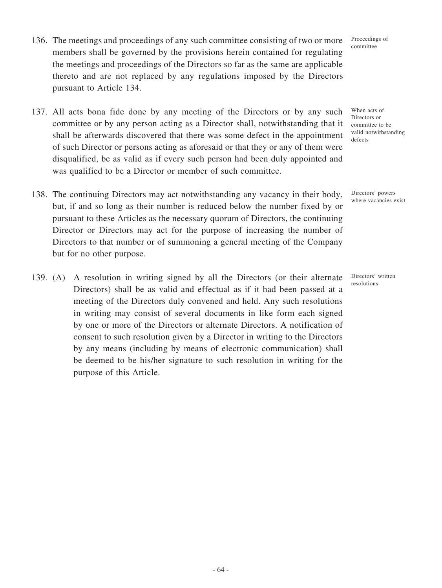- 136. The meetings and proceedings of any such committee consisting of two or more members shall be governed by the provisions herein contained for regulating the meetings and proceedings of the Directors so far as the same are applicable thereto and are not replaced by any regulations imposed by the Directors pursuant to Article 134.
- 137. All acts bona fide done by any meeting of the Directors or by any such committee or by any person acting as a Director shall, notwithstanding that it shall be afterwards discovered that there was some defect in the appointment of such Director or persons acting as aforesaid or that they or any of them were disqualified, be as valid as if every such person had been duly appointed and was qualified to be a Director or member of such committee.
- 138. The continuing Directors may act notwithstanding any vacancy in their body, but, if and so long as their number is reduced below the number fixed by or pursuant to these Articles as the necessary quorum of Directors, the continuing Director or Directors may act for the purpose of increasing the number of Directors to that number or of summoning a general meeting of the Company but for no other purpose.
- 139. (A) A resolution in writing signed by all the Directors (or their alternate Directors) shall be as valid and effectual as if it had been passed at a meeting of the Directors duly convened and held. Any such resolutions in writing may consist of several documents in like form each signed by one or more of the Directors or alternate Directors. A notification of consent to such resolution given by a Director in writing to the Directors by any means (including by means of electronic communication) shall be deemed to be his/her signature to such resolution in writing for the purpose of this Article.

When acts of Directors or committee to be valid notwithstanding defects

> Directors' powers where vacancies exist

Directors' written resolutions

Proceedings of committee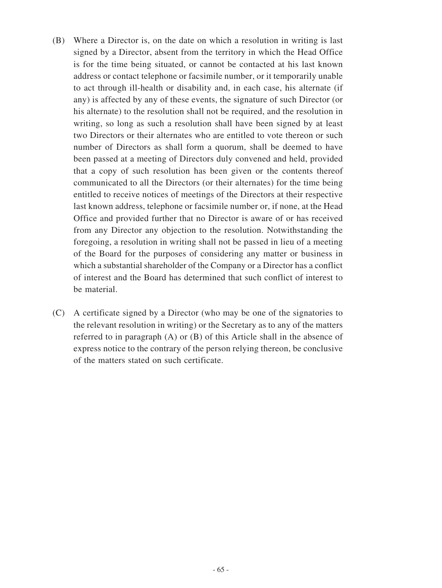- (B) Where a Director is, on the date on which a resolution in writing is last signed by a Director, absent from the territory in which the Head Office is for the time being situated, or cannot be contacted at his last known address or contact telephone or facsimile number, or it temporarily unable to act through ill-health or disability and, in each case, his alternate (if any) is affected by any of these events, the signature of such Director (or his alternate) to the resolution shall not be required, and the resolution in writing, so long as such a resolution shall have been signed by at least two Directors or their alternates who are entitled to vote thereon or such number of Directors as shall form a quorum, shall be deemed to have been passed at a meeting of Directors duly convened and held, provided that a copy of such resolution has been given or the contents thereof communicated to all the Directors (or their alternates) for the time being entitled to receive notices of meetings of the Directors at their respective last known address, telephone or facsimile number or, if none, at the Head Office and provided further that no Director is aware of or has received from any Director any objection to the resolution. Notwithstanding the foregoing, a resolution in writing shall not be passed in lieu of a meeting of the Board for the purposes of considering any matter or business in which a substantial shareholder of the Company or a Director has a conflict of interest and the Board has determined that such conflict of interest to be material.
- (C) A certificate signed by a Director (who may be one of the signatories to the relevant resolution in writing) or the Secretary as to any of the matters referred to in paragraph (A) or (B) of this Article shall in the absence of express notice to the contrary of the person relying thereon, be conclusive of the matters stated on such certificate.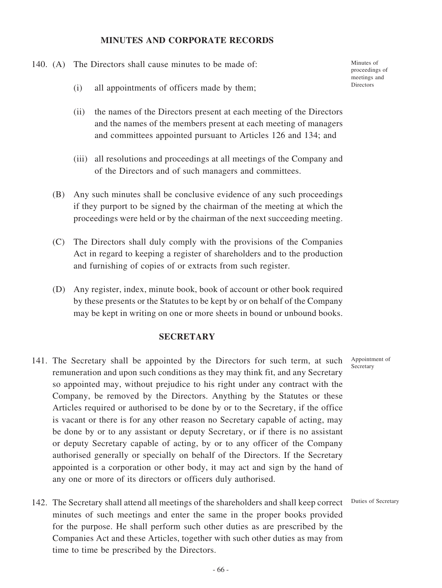#### **MINUTES AND CORPORATE RECORDS**

140. (A) The Directors shall cause minutes to be made of:

Minutes of proceedings of meetings and **Directors** 

- (i) all appointments of officers made by them;
- (ii) the names of the Directors present at each meeting of the Directors and the names of the members present at each meeting of managers and committees appointed pursuant to Articles 126 and 134; and
- (iii) all resolutions and proceedings at all meetings of the Company and of the Directors and of such managers and committees.
- (B) Any such minutes shall be conclusive evidence of any such proceedings if they purport to be signed by the chairman of the meeting at which the proceedings were held or by the chairman of the next succeeding meeting.
- (C) The Directors shall duly comply with the provisions of the Companies Act in regard to keeping a register of shareholders and to the production and furnishing of copies of or extracts from such register.
- (D) Any register, index, minute book, book of account or other book required by these presents or the Statutes to be kept by or on behalf of the Company may be kept in writing on one or more sheets in bound or unbound books.

### **SECRETARY**

- 141. The Secretary shall be appointed by the Directors for such term, at such remuneration and upon such conditions as they may think fit, and any Secretary so appointed may, without prejudice to his right under any contract with the Company, be removed by the Directors. Anything by the Statutes or these Articles required or authorised to be done by or to the Secretary, if the office is vacant or there is for any other reason no Secretary capable of acting, may be done by or to any assistant or deputy Secretary, or if there is no assistant or deputy Secretary capable of acting, by or to any officer of the Company authorised generally or specially on behalf of the Directors. If the Secretary appointed is a corporation or other body, it may act and sign by the hand of any one or more of its directors or officers duly authorised.
- 142. The Secretary shall attend all meetings of the shareholders and shall keep correct minutes of such meetings and enter the same in the proper books provided for the purpose. He shall perform such other duties as are prescribed by the Companies Act and these Articles, together with such other duties as may from time to time be prescribed by the Directors.

Appointment of Secretary

Duties of Secretary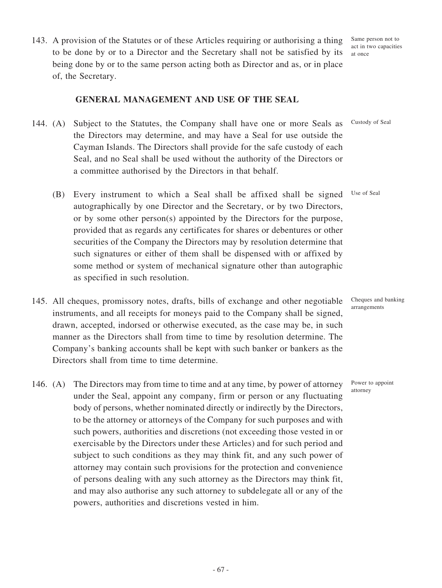143. A provision of the Statutes or of these Articles requiring or authorising a thing to be done by or to a Director and the Secretary shall not be satisfied by its being done by or to the same person acting both as Director and as, or in place of, the Secretary.

#### **GENERAL MANAGEMENT AND USE OF THE SEAL**

- 144. (A) Subject to the Statutes, the Company shall have one or more Seals as the Directors may determine, and may have a Seal for use outside the Cayman Islands. The Directors shall provide for the safe custody of each Seal, and no Seal shall be used without the authority of the Directors or a committee authorised by the Directors in that behalf.
	- (B) Every instrument to which a Seal shall be affixed shall be signed autographically by one Director and the Secretary, or by two Directors, or by some other person(s) appointed by the Directors for the purpose, provided that as regards any certificates for shares or debentures or other securities of the Company the Directors may by resolution determine that such signatures or either of them shall be dispensed with or affixed by some method or system of mechanical signature other than autographic as specified in such resolution. Use of Seal
- 145. All cheques, promissory notes, drafts, bills of exchange and other negotiable instruments, and all receipts for moneys paid to the Company shall be signed, drawn, accepted, indorsed or otherwise executed, as the case may be, in such manner as the Directors shall from time to time by resolution determine. The Company's banking accounts shall be kept with such banker or bankers as the Directors shall from time to time determine.
- 146. (A) The Directors may from time to time and at any time, by power of attorney under the Seal, appoint any company, firm or person or any fluctuating body of persons, whether nominated directly or indirectly by the Directors, to be the attorney or attorneys of the Company for such purposes and with such powers, authorities and discretions (not exceeding those vested in or exercisable by the Directors under these Articles) and for such period and subject to such conditions as they may think fit, and any such power of attorney may contain such provisions for the protection and convenience of persons dealing with any such attorney as the Directors may think fit, and may also authorise any such attorney to subdelegate all or any of the powers, authorities and discretions vested in him.

Same person not to act in two capacities at once

Custody of Seal

Cheques and banking arrangements

Power to appoint attorney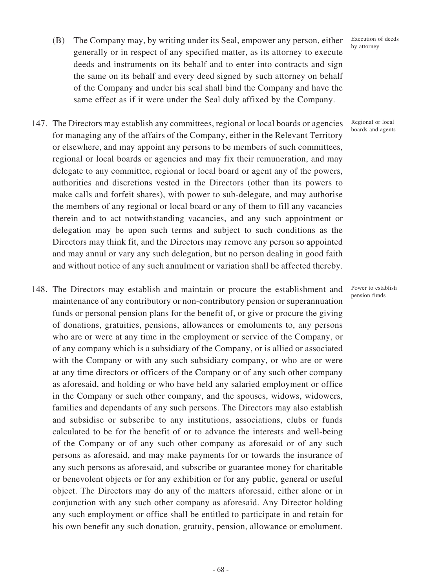- (B) The Company may, by writing under its Seal, empower any person, either generally or in respect of any specified matter, as its attorney to execute deeds and instruments on its behalf and to enter into contracts and sign the same on its behalf and every deed signed by such attorney on behalf of the Company and under his seal shall bind the Company and have the same effect as if it were under the Seal duly affixed by the Company.
- 147. The Directors may establish any committees, regional or local boards or agencies for managing any of the affairs of the Company, either in the Relevant Territory or elsewhere, and may appoint any persons to be members of such committees, regional or local boards or agencies and may fix their remuneration, and may delegate to any committee, regional or local board or agent any of the powers, authorities and discretions vested in the Directors (other than its powers to make calls and forfeit shares), with power to sub-delegate, and may authorise the members of any regional or local board or any of them to fill any vacancies therein and to act notwithstanding vacancies, and any such appointment or delegation may be upon such terms and subject to such conditions as the Directors may think fit, and the Directors may remove any person so appointed and may annul or vary any such delegation, but no person dealing in good faith and without notice of any such annulment or variation shall be affected thereby.
- 148. The Directors may establish and maintain or procure the establishment and maintenance of any contributory or non-contributory pension or superannuation funds or personal pension plans for the benefit of, or give or procure the giving of donations, gratuities, pensions, allowances or emoluments to, any persons who are or were at any time in the employment or service of the Company, or of any company which is a subsidiary of the Company, or is allied or associated with the Company or with any such subsidiary company, or who are or were at any time directors or officers of the Company or of any such other company as aforesaid, and holding or who have held any salaried employment or office in the Company or such other company, and the spouses, widows, widowers, families and dependants of any such persons. The Directors may also establish and subsidise or subscribe to any institutions, associations, clubs or funds calculated to be for the benefit of or to advance the interests and well-being of the Company or of any such other company as aforesaid or of any such persons as aforesaid, and may make payments for or towards the insurance of any such persons as aforesaid, and subscribe or guarantee money for charitable or benevolent objects or for any exhibition or for any public, general or useful object. The Directors may do any of the matters aforesaid, either alone or in conjunction with any such other company as aforesaid. Any Director holding any such employment or office shall be entitled to participate in and retain for his own benefit any such donation, gratuity, pension, allowance or emolument.

Regional or local boards and agents

Power to establish pension funds

Execution of deeds by attorney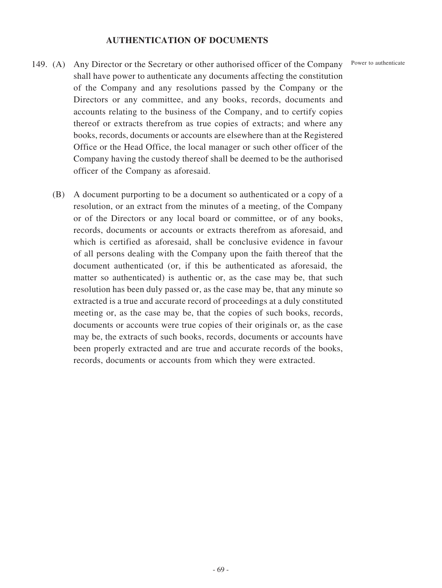### **AUTHENTICATION OF DOCUMENTS**

Power to authenticate

- 149. (A) Any Director or the Secretary or other authorised officer of the Company shall have power to authenticate any documents affecting the constitution of the Company and any resolutions passed by the Company or the Directors or any committee, and any books, records, documents and accounts relating to the business of the Company, and to certify copies thereof or extracts therefrom as true copies of extracts; and where any books, records, documents or accounts are elsewhere than at the Registered Office or the Head Office, the local manager or such other officer of the Company having the custody thereof shall be deemed to be the authorised officer of the Company as aforesaid.
	- (B) A document purporting to be a document so authenticated or a copy of a resolution, or an extract from the minutes of a meeting, of the Company or of the Directors or any local board or committee, or of any books, records, documents or accounts or extracts therefrom as aforesaid, and which is certified as aforesaid, shall be conclusive evidence in favour of all persons dealing with the Company upon the faith thereof that the document authenticated (or, if this be authenticated as aforesaid, the matter so authenticated) is authentic or, as the case may be, that such resolution has been duly passed or, as the case may be, that any minute so extracted is a true and accurate record of proceedings at a duly constituted meeting or, as the case may be, that the copies of such books, records, documents or accounts were true copies of their originals or, as the case may be, the extracts of such books, records, documents or accounts have been properly extracted and are true and accurate records of the books, records, documents or accounts from which they were extracted.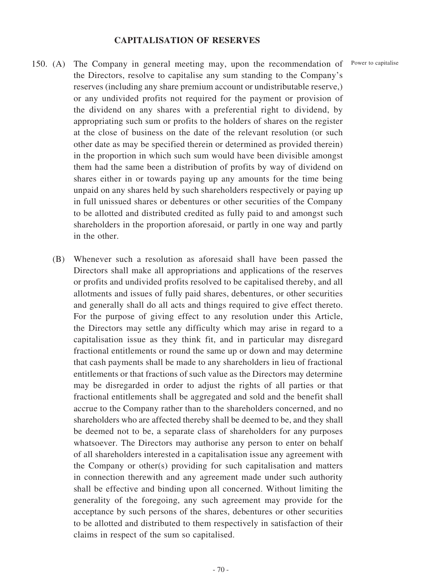#### **CAPITALISATION OF RESERVES**

- 150. (A) The Company in general meeting may, upon the recommendation of Power to capitalise the Directors, resolve to capitalise any sum standing to the Company's reserves (including any share premium account or undistributable reserve,) or any undivided profits not required for the payment or provision of the dividend on any shares with a preferential right to dividend, by appropriating such sum or profits to the holders of shares on the register at the close of business on the date of the relevant resolution (or such other date as may be specified therein or determined as provided therein) in the proportion in which such sum would have been divisible amongst them had the same been a distribution of profits by way of dividend on shares either in or towards paying up any amounts for the time being unpaid on any shares held by such shareholders respectively or paying up in full unissued shares or debentures or other securities of the Company to be allotted and distributed credited as fully paid to and amongst such shareholders in the proportion aforesaid, or partly in one way and partly in the other.
	- (B) Whenever such a resolution as aforesaid shall have been passed the Directors shall make all appropriations and applications of the reserves or profits and undivided profits resolved to be capitalised thereby, and all allotments and issues of fully paid shares, debentures, or other securities and generally shall do all acts and things required to give effect thereto. For the purpose of giving effect to any resolution under this Article, the Directors may settle any difficulty which may arise in regard to a capitalisation issue as they think fit, and in particular may disregard fractional entitlements or round the same up or down and may determine that cash payments shall be made to any shareholders in lieu of fractional entitlements or that fractions of such value as the Directors may determine may be disregarded in order to adjust the rights of all parties or that fractional entitlements shall be aggregated and sold and the benefit shall accrue to the Company rather than to the shareholders concerned, and no shareholders who are affected thereby shall be deemed to be, and they shall be deemed not to be, a separate class of shareholders for any purposes whatsoever. The Directors may authorise any person to enter on behalf of all shareholders interested in a capitalisation issue any agreement with the Company or other(s) providing for such capitalisation and matters in connection therewith and any agreement made under such authority shall be effective and binding upon all concerned. Without limiting the generality of the foregoing, any such agreement may provide for the acceptance by such persons of the shares, debentures or other securities to be allotted and distributed to them respectively in satisfaction of their claims in respect of the sum so capitalised.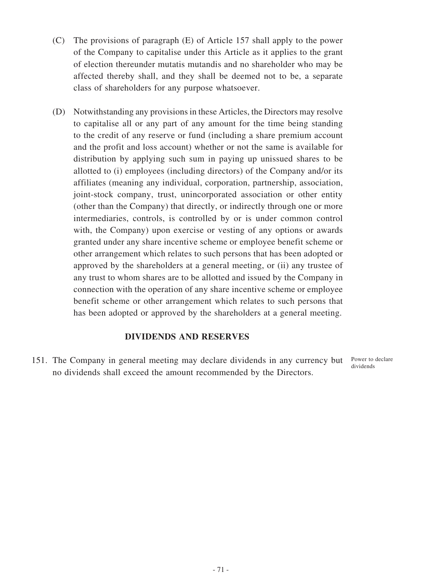- (C) The provisions of paragraph (E) of Article 157 shall apply to the power of the Company to capitalise under this Article as it applies to the grant of election thereunder mutatis mutandis and no shareholder who may be affected thereby shall, and they shall be deemed not to be, a separate class of shareholders for any purpose whatsoever.
- (D) Notwithstanding any provisions in these Articles, the Directors may resolve to capitalise all or any part of any amount for the time being standing to the credit of any reserve or fund (including a share premium account and the profit and loss account) whether or not the same is available for distribution by applying such sum in paying up unissued shares to be allotted to (i) employees (including directors) of the Company and/or its affiliates (meaning any individual, corporation, partnership, association, joint-stock company, trust, unincorporated association or other entity (other than the Company) that directly, or indirectly through one or more intermediaries, controls, is controlled by or is under common control with, the Company) upon exercise or vesting of any options or awards granted under any share incentive scheme or employee benefit scheme or other arrangement which relates to such persons that has been adopted or approved by the shareholders at a general meeting, or (ii) any trustee of any trust to whom shares are to be allotted and issued by the Company in connection with the operation of any share incentive scheme or employee benefit scheme or other arrangement which relates to such persons that has been adopted or approved by the shareholders at a general meeting.

## **DIVIDENDS AND RESERVES**

151. The Company in general meeting may declare dividends in any currency but no dividends shall exceed the amount recommended by the Directors. Power to declare dividends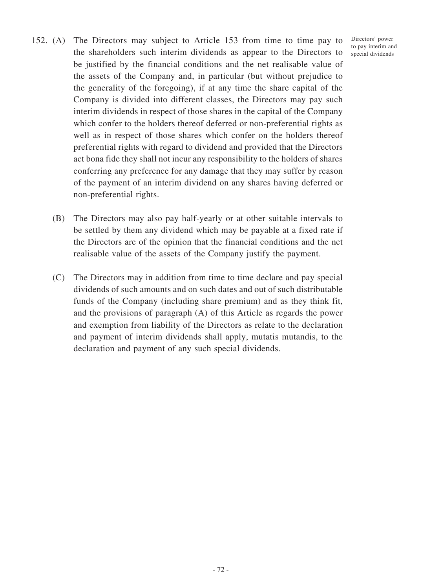Directors' power to pay interim and special dividends

- 152. (A) The Directors may subject to Article 153 from time to time pay to the shareholders such interim dividends as appear to the Directors to be justified by the financial conditions and the net realisable value of the assets of the Company and, in particular (but without prejudice to the generality of the foregoing), if at any time the share capital of the Company is divided into different classes, the Directors may pay such interim dividends in respect of those shares in the capital of the Company which confer to the holders thereof deferred or non-preferential rights as well as in respect of those shares which confer on the holders thereof preferential rights with regard to dividend and provided that the Directors act bona fide they shall not incur any responsibility to the holders of shares conferring any preference for any damage that they may suffer by reason of the payment of an interim dividend on any shares having deferred or non-preferential rights.
	- (B) The Directors may also pay half-yearly or at other suitable intervals to be settled by them any dividend which may be payable at a fixed rate if the Directors are of the opinion that the financial conditions and the net realisable value of the assets of the Company justify the payment.
	- (C) The Directors may in addition from time to time declare and pay special dividends of such amounts and on such dates and out of such distributable funds of the Company (including share premium) and as they think fit, and the provisions of paragraph (A) of this Article as regards the power and exemption from liability of the Directors as relate to the declaration and payment of interim dividends shall apply, mutatis mutandis, to the declaration and payment of any such special dividends.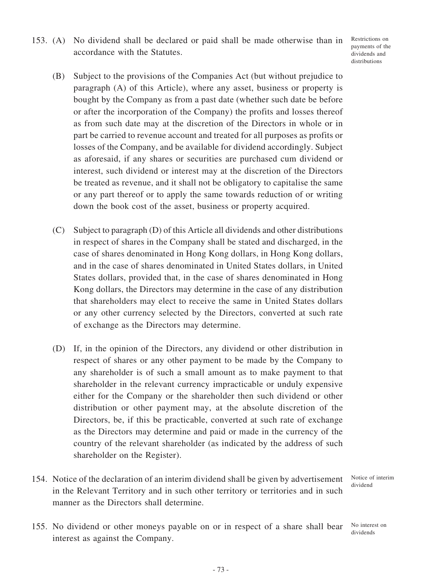Restrictions on payments of the dividends and distributions

- (B) Subject to the provisions of the Companies Act (but without prejudice to paragraph (A) of this Article), where any asset, business or property is bought by the Company as from a past date (whether such date be before or after the incorporation of the Company) the profits and losses thereof as from such date may at the discretion of the Directors in whole or in part be carried to revenue account and treated for all purposes as profits or losses of the Company, and be available for dividend accordingly. Subject as aforesaid, if any shares or securities are purchased cum dividend or interest, such dividend or interest may at the discretion of the Directors be treated as revenue, and it shall not be obligatory to capitalise the same or any part thereof or to apply the same towards reduction of or writing down the book cost of the asset, business or property acquired.
- (C) Subject to paragraph (D) of this Article all dividends and other distributions in respect of shares in the Company shall be stated and discharged, in the case of shares denominated in Hong Kong dollars, in Hong Kong dollars, and in the case of shares denominated in United States dollars, in United States dollars, provided that, in the case of shares denominated in Hong Kong dollars, the Directors may determine in the case of any distribution that shareholders may elect to receive the same in United States dollars or any other currency selected by the Directors, converted at such rate of exchange as the Directors may determine.
- (D) If, in the opinion of the Directors, any dividend or other distribution in respect of shares or any other payment to be made by the Company to any shareholder is of such a small amount as to make payment to that shareholder in the relevant currency impracticable or unduly expensive either for the Company or the shareholder then such dividend or other distribution or other payment may, at the absolute discretion of the Directors, be, if this be practicable, converted at such rate of exchange as the Directors may determine and paid or made in the currency of the country of the relevant shareholder (as indicated by the address of such shareholder on the Register).
- 154. Notice of the declaration of an interim dividend shall be given by advertisement in the Relevant Territory and in such other territory or territories and in such manner as the Directors shall determine.

Notice of interim dividend

155. No dividend or other moneys payable on or in respect of a share shall bear interest as against the Company.

No interest on dividends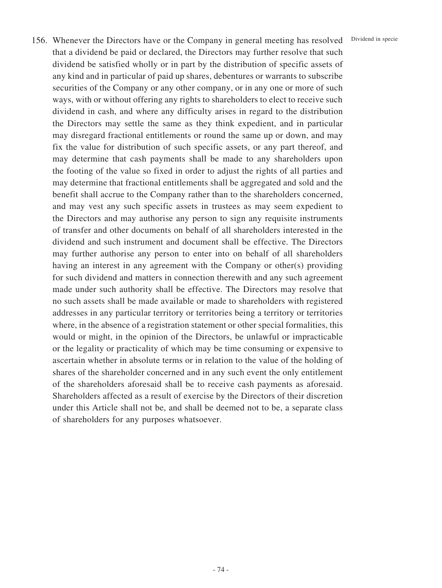156. Whenever the Directors have or the Company in general meeting has resolved Dividend in specie that a dividend be paid or declared, the Directors may further resolve that such dividend be satisfied wholly or in part by the distribution of specific assets of any kind and in particular of paid up shares, debentures or warrants to subscribe securities of the Company or any other company, or in any one or more of such ways, with or without offering any rights to shareholders to elect to receive such dividend in cash, and where any difficulty arises in regard to the distribution the Directors may settle the same as they think expedient, and in particular may disregard fractional entitlements or round the same up or down, and may fix the value for distribution of such specific assets, or any part thereof, and may determine that cash payments shall be made to any shareholders upon the footing of the value so fixed in order to adjust the rights of all parties and may determine that fractional entitlements shall be aggregated and sold and the benefit shall accrue to the Company rather than to the shareholders concerned, and may vest any such specific assets in trustees as may seem expedient to the Directors and may authorise any person to sign any requisite instruments of transfer and other documents on behalf of all shareholders interested in the dividend and such instrument and document shall be effective. The Directors may further authorise any person to enter into on behalf of all shareholders having an interest in any agreement with the Company or other(s) providing for such dividend and matters in connection therewith and any such agreement made under such authority shall be effective. The Directors may resolve that no such assets shall be made available or made to shareholders with registered addresses in any particular territory or territories being a territory or territories where, in the absence of a registration statement or other special formalities, this would or might, in the opinion of the Directors, be unlawful or impracticable or the legality or practicality of which may be time consuming or expensive to ascertain whether in absolute terms or in relation to the value of the holding of shares of the shareholder concerned and in any such event the only entitlement of the shareholders aforesaid shall be to receive cash payments as aforesaid. Shareholders affected as a result of exercise by the Directors of their discretion under this Article shall not be, and shall be deemed not to be, a separate class of shareholders for any purposes whatsoever.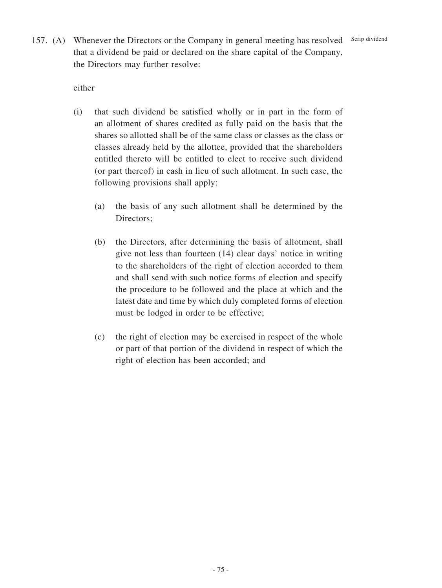157. (A) Whenever the Directors or the Company in general meeting has resolved Scrip dividend that a dividend be paid or declared on the share capital of the Company, the Directors may further resolve:

either

- (i) that such dividend be satisfied wholly or in part in the form of an allotment of shares credited as fully paid on the basis that the shares so allotted shall be of the same class or classes as the class or classes already held by the allottee, provided that the shareholders entitled thereto will be entitled to elect to receive such dividend (or part thereof) in cash in lieu of such allotment. In such case, the following provisions shall apply:
	- (a) the basis of any such allotment shall be determined by the Directors;
	- (b) the Directors, after determining the basis of allotment, shall give not less than fourteen (14) clear days' notice in writing to the shareholders of the right of election accorded to them and shall send with such notice forms of election and specify the procedure to be followed and the place at which and the latest date and time by which duly completed forms of election must be lodged in order to be effective;
	- (c) the right of election may be exercised in respect of the whole or part of that portion of the dividend in respect of which the right of election has been accorded; and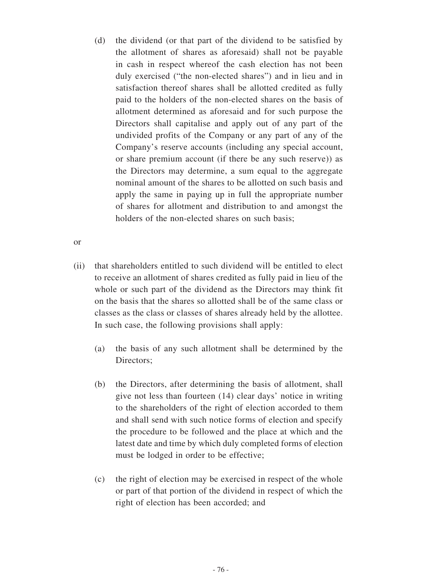(d) the dividend (or that part of the dividend to be satisfied by the allotment of shares as aforesaid) shall not be payable in cash in respect whereof the cash election has not been duly exercised ("the non-elected shares") and in lieu and in satisfaction thereof shares shall be allotted credited as fully paid to the holders of the non-elected shares on the basis of allotment determined as aforesaid and for such purpose the Directors shall capitalise and apply out of any part of the undivided profits of the Company or any part of any of the Company's reserve accounts (including any special account, or share premium account (if there be any such reserve)) as the Directors may determine, a sum equal to the aggregate nominal amount of the shares to be allotted on such basis and apply the same in paying up in full the appropriate number of shares for allotment and distribution to and amongst the holders of the non-elected shares on such basis;

or

- (ii) that shareholders entitled to such dividend will be entitled to elect to receive an allotment of shares credited as fully paid in lieu of the whole or such part of the dividend as the Directors may think fit on the basis that the shares so allotted shall be of the same class or classes as the class or classes of shares already held by the allottee. In such case, the following provisions shall apply:
	- (a) the basis of any such allotment shall be determined by the Directors:
	- (b) the Directors, after determining the basis of allotment, shall give not less than fourteen (14) clear days' notice in writing to the shareholders of the right of election accorded to them and shall send with such notice forms of election and specify the procedure to be followed and the place at which and the latest date and time by which duly completed forms of election must be lodged in order to be effective;
	- (c) the right of election may be exercised in respect of the whole or part of that portion of the dividend in respect of which the right of election has been accorded; and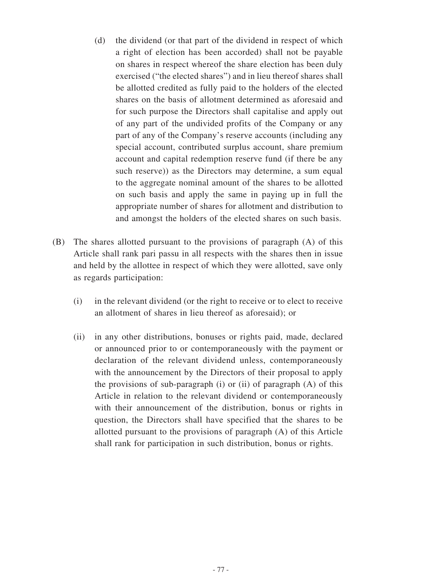- (d) the dividend (or that part of the dividend in respect of which a right of election has been accorded) shall not be payable on shares in respect whereof the share election has been duly exercised ("the elected shares") and in lieu thereof shares shall be allotted credited as fully paid to the holders of the elected shares on the basis of allotment determined as aforesaid and for such purpose the Directors shall capitalise and apply out of any part of the undivided profits of the Company or any part of any of the Company's reserve accounts (including any special account, contributed surplus account, share premium account and capital redemption reserve fund (if there be any such reserve)) as the Directors may determine, a sum equal to the aggregate nominal amount of the shares to be allotted on such basis and apply the same in paying up in full the appropriate number of shares for allotment and distribution to and amongst the holders of the elected shares on such basis.
- (B) The shares allotted pursuant to the provisions of paragraph (A) of this Article shall rank pari passu in all respects with the shares then in issue and held by the allottee in respect of which they were allotted, save only as regards participation:
	- (i) in the relevant dividend (or the right to receive or to elect to receive an allotment of shares in lieu thereof as aforesaid); or
	- (ii) in any other distributions, bonuses or rights paid, made, declared or announced prior to or contemporaneously with the payment or declaration of the relevant dividend unless, contemporaneously with the announcement by the Directors of their proposal to apply the provisions of sub-paragraph  $(i)$  or  $(ii)$  of paragraph  $(A)$  of this Article in relation to the relevant dividend or contemporaneously with their announcement of the distribution, bonus or rights in question, the Directors shall have specified that the shares to be allotted pursuant to the provisions of paragraph (A) of this Article shall rank for participation in such distribution, bonus or rights.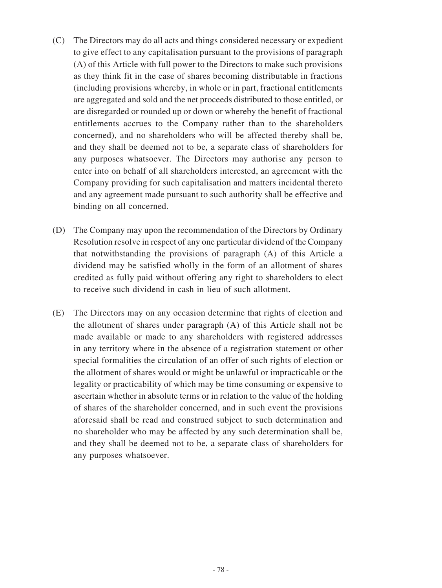- (C) The Directors may do all acts and things considered necessary or expedient to give effect to any capitalisation pursuant to the provisions of paragraph (A) of this Article with full power to the Directors to make such provisions as they think fit in the case of shares becoming distributable in fractions (including provisions whereby, in whole or in part, fractional entitlements are aggregated and sold and the net proceeds distributed to those entitled, or are disregarded or rounded up or down or whereby the benefit of fractional entitlements accrues to the Company rather than to the shareholders concerned), and no shareholders who will be affected thereby shall be, and they shall be deemed not to be, a separate class of shareholders for any purposes whatsoever. The Directors may authorise any person to enter into on behalf of all shareholders interested, an agreement with the Company providing for such capitalisation and matters incidental thereto and any agreement made pursuant to such authority shall be effective and binding on all concerned.
- (D) The Company may upon the recommendation of the Directors by Ordinary Resolution resolve in respect of any one particular dividend of the Company that notwithstanding the provisions of paragraph (A) of this Article a dividend may be satisfied wholly in the form of an allotment of shares credited as fully paid without offering any right to shareholders to elect to receive such dividend in cash in lieu of such allotment.
- (E) The Directors may on any occasion determine that rights of election and the allotment of shares under paragraph (A) of this Article shall not be made available or made to any shareholders with registered addresses in any territory where in the absence of a registration statement or other special formalities the circulation of an offer of such rights of election or the allotment of shares would or might be unlawful or impracticable or the legality or practicability of which may be time consuming or expensive to ascertain whether in absolute terms or in relation to the value of the holding of shares of the shareholder concerned, and in such event the provisions aforesaid shall be read and construed subject to such determination and no shareholder who may be affected by any such determination shall be, and they shall be deemed not to be, a separate class of shareholders for any purposes whatsoever.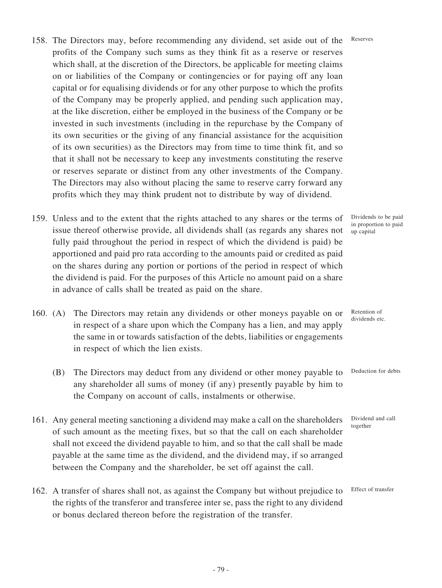- 158. The Directors may, before recommending any dividend, set aside out of the profits of the Company such sums as they think fit as a reserve or reserves which shall, at the discretion of the Directors, be applicable for meeting claims on or liabilities of the Company or contingencies or for paying off any loan capital or for equalising dividends or for any other purpose to which the profits of the Company may be properly applied, and pending such application may, at the like discretion, either be employed in the business of the Company or be invested in such investments (including in the repurchase by the Company of its own securities or the giving of any financial assistance for the acquisition of its own securities) as the Directors may from time to time think fit, and so that it shall not be necessary to keep any investments constituting the reserve or reserves separate or distinct from any other investments of the Company. The Directors may also without placing the same to reserve carry forward any profits which they may think prudent not to distribute by way of dividend. Reserves
- 159. Unless and to the extent that the rights attached to any shares or the terms of issue thereof otherwise provide, all dividends shall (as regards any shares not fully paid throughout the period in respect of which the dividend is paid) be apportioned and paid pro rata according to the amounts paid or credited as paid on the shares during any portion or portions of the period in respect of which the dividend is paid. For the purposes of this Article no amount paid on a share in advance of calls shall be treated as paid on the share.
- 160. (A) The Directors may retain any dividends or other moneys payable on or in respect of a share upon which the Company has a lien, and may apply the same in or towards satisfaction of the debts, liabilities or engagements in respect of which the lien exists.
	- (B) The Directors may deduct from any dividend or other money payable to any shareholder all sums of money (if any) presently payable by him to the Company on account of calls, instalments or otherwise.
- 161. Any general meeting sanctioning a dividend may make a call on the shareholders of such amount as the meeting fixes, but so that the call on each shareholder shall not exceed the dividend payable to him, and so that the call shall be made payable at the same time as the dividend, and the dividend may, if so arranged between the Company and the shareholder, be set off against the call.
- 162. A transfer of shares shall not, as against the Company but without prejudice to the rights of the transferor and transferee inter se, pass the right to any dividend or bonus declared thereon before the registration of the transfer.

Dividends to be paid in proportion to paid up capital

Retention of dividends etc.

Deduction for debts

Dividend and call together

Effect of transfer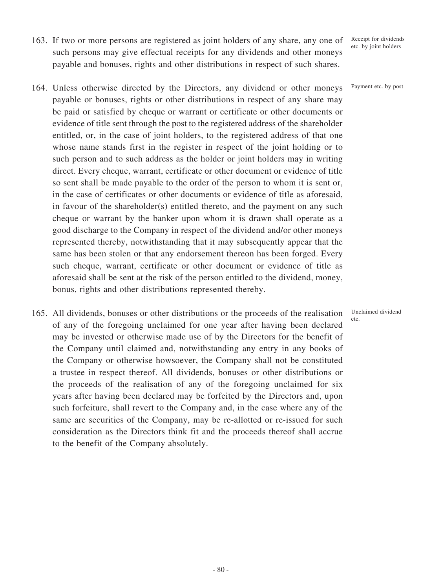- 163. If two or more persons are registered as joint holders of any share, any one of such persons may give effectual receipts for any dividends and other moneys payable and bonuses, rights and other distributions in respect of such shares.
- 164. Unless otherwise directed by the Directors, any dividend or other moneys payable or bonuses, rights or other distributions in respect of any share may be paid or satisfied by cheque or warrant or certificate or other documents or evidence of title sent through the post to the registered address of the shareholder entitled, or, in the case of joint holders, to the registered address of that one whose name stands first in the register in respect of the joint holding or to such person and to such address as the holder or joint holders may in writing direct. Every cheque, warrant, certificate or other document or evidence of title so sent shall be made payable to the order of the person to whom it is sent or, in the case of certificates or other documents or evidence of title as aforesaid, in favour of the shareholder(s) entitled thereto, and the payment on any such cheque or warrant by the banker upon whom it is drawn shall operate as a good discharge to the Company in respect of the dividend and/or other moneys represented thereby, notwithstanding that it may subsequently appear that the same has been stolen or that any endorsement thereon has been forged. Every such cheque, warrant, certificate or other document or evidence of title as aforesaid shall be sent at the risk of the person entitled to the dividend, money, bonus, rights and other distributions represented thereby.
- 165. All dividends, bonuses or other distributions or the proceeds of the realisation of any of the foregoing unclaimed for one year after having been declared may be invested or otherwise made use of by the Directors for the benefit of the Company until claimed and, notwithstanding any entry in any books of the Company or otherwise howsoever, the Company shall not be constituted a trustee in respect thereof. All dividends, bonuses or other distributions or the proceeds of the realisation of any of the foregoing unclaimed for six years after having been declared may be forfeited by the Directors and, upon such forfeiture, shall revert to the Company and, in the case where any of the same are securities of the Company, may be re-allotted or re-issued for such consideration as the Directors think fit and the proceeds thereof shall accrue to the benefit of the Company absolutely.

Receipt for dividends etc. by joint holders

Payment etc. by post

Unclaimed dividend etc.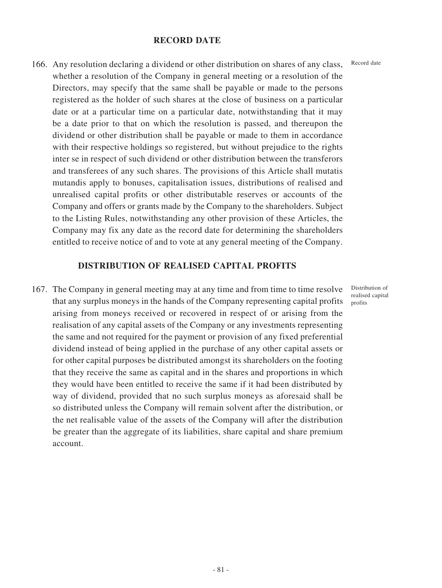#### **RECORD DATE**

166. Any resolution declaring a dividend or other distribution on shares of any class, whether a resolution of the Company in general meeting or a resolution of the Directors, may specify that the same shall be payable or made to the persons registered as the holder of such shares at the close of business on a particular date or at a particular time on a particular date, notwithstanding that it may be a date prior to that on which the resolution is passed, and thereupon the dividend or other distribution shall be payable or made to them in accordance with their respective holdings so registered, but without prejudice to the rights inter se in respect of such dividend or other distribution between the transferors and transferees of any such shares. The provisions of this Article shall mutatis mutandis apply to bonuses, capitalisation issues, distributions of realised and unrealised capital profits or other distributable reserves or accounts of the Company and offers or grants made by the Company to the shareholders. Subject to the Listing Rules, notwithstanding any other provision of these Articles, the Company may fix any date as the record date for determining the shareholders entitled to receive notice of and to vote at any general meeting of the Company.

#### **DISTRIBUTION OF REALISED CAPITAL PROFITS**

167. The Company in general meeting may at any time and from time to time resolve that any surplus moneys in the hands of the Company representing capital profits arising from moneys received or recovered in respect of or arising from the realisation of any capital assets of the Company or any investments representing the same and not required for the payment or provision of any fixed preferential dividend instead of being applied in the purchase of any other capital assets or for other capital purposes be distributed amongst its shareholders on the footing that they receive the same as capital and in the shares and proportions in which they would have been entitled to receive the same if it had been distributed by way of dividend, provided that no such surplus moneys as aforesaid shall be so distributed unless the Company will remain solvent after the distribution, or the net realisable value of the assets of the Company will after the distribution be greater than the aggregate of its liabilities, share capital and share premium account.

Record date

Distribution of realised capital profits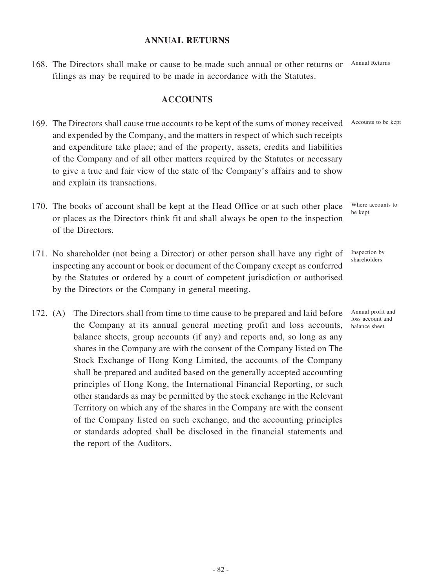#### **ANNUAL RETURNS**

168. The Directors shall make or cause to be made such annual or other returns or Annual Returns filings as may be required to be made in accordance with the Statutes.

#### **ACCOUNTS**

- 169. The Directors shall cause true accounts to be kept of the sums of money received and expended by the Company, and the matters in respect of which such receipts and expenditure take place; and of the property, assets, credits and liabilities of the Company and of all other matters required by the Statutes or necessary to give a true and fair view of the state of the Company's affairs and to show and explain its transactions. Accounts to be kept
- 170. The books of account shall be kept at the Head Office or at such other place or places as the Directors think fit and shall always be open to the inspection of the Directors.
- 171. No shareholder (not being a Director) or other person shall have any right of inspecting any account or book or document of the Company except as conferred by the Statutes or ordered by a court of competent jurisdiction or authorised by the Directors or the Company in general meeting.
- 172. (A) The Directors shall from time to time cause to be prepared and laid before the Company at its annual general meeting profit and loss accounts, balance sheets, group accounts (if any) and reports and, so long as any shares in the Company are with the consent of the Company listed on The Stock Exchange of Hong Kong Limited, the accounts of the Company shall be prepared and audited based on the generally accepted accounting principles of Hong Kong, the International Financial Reporting, or such other standards as may be permitted by the stock exchange in the Relevant Territory on which any of the shares in the Company are with the consent of the Company listed on such exchange, and the accounting principles or standards adopted shall be disclosed in the financial statements and the report of the Auditors.

Where accounts to be kept

Inspection by shareholders

Annual profit and loss account and balance sheet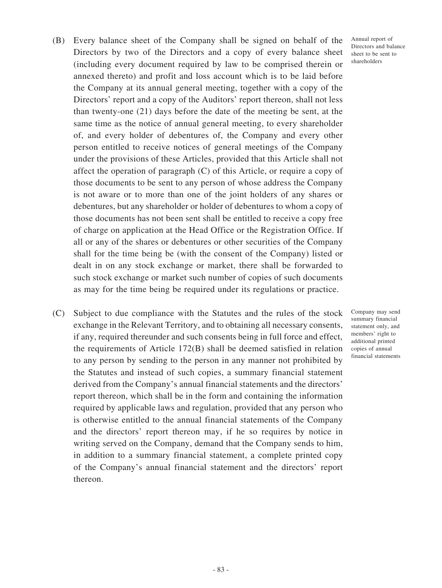- (B) Every balance sheet of the Company shall be signed on behalf of the Directors by two of the Directors and a copy of every balance sheet (including every document required by law to be comprised therein or annexed thereto) and profit and loss account which is to be laid before the Company at its annual general meeting, together with a copy of the Directors' report and a copy of the Auditors' report thereon, shall not less than twenty-one (21) days before the date of the meeting be sent, at the same time as the notice of annual general meeting, to every shareholder of, and every holder of debentures of, the Company and every other person entitled to receive notices of general meetings of the Company under the provisions of these Articles, provided that this Article shall not affect the operation of paragraph (C) of this Article, or require a copy of those documents to be sent to any person of whose address the Company is not aware or to more than one of the joint holders of any shares or debentures, but any shareholder or holder of debentures to whom a copy of those documents has not been sent shall be entitled to receive a copy free of charge on application at the Head Office or the Registration Office. If all or any of the shares or debentures or other securities of the Company shall for the time being be (with the consent of the Company) listed or dealt in on any stock exchange or market, there shall be forwarded to such stock exchange or market such number of copies of such documents as may for the time being be required under its regulations or practice.
- (C) Subject to due compliance with the Statutes and the rules of the stock exchange in the Relevant Territory, and to obtaining all necessary consents, if any, required thereunder and such consents being in full force and effect, the requirements of Article 172(B) shall be deemed satisfied in relation to any person by sending to the person in any manner not prohibited by the Statutes and instead of such copies, a summary financial statement derived from the Company's annual financial statements and the directors' report thereon, which shall be in the form and containing the information required by applicable laws and regulation, provided that any person who is otherwise entitled to the annual financial statements of the Company and the directors' report thereon may, if he so requires by notice in writing served on the Company, demand that the Company sends to him, in addition to a summary financial statement, a complete printed copy of the Company's annual financial statement and the directors' report thereon.

Annual report of Directors and balance sheet to be sent to shareholders

Company may send summary financial statement only, and members' right to additional printed copies of annual financial statements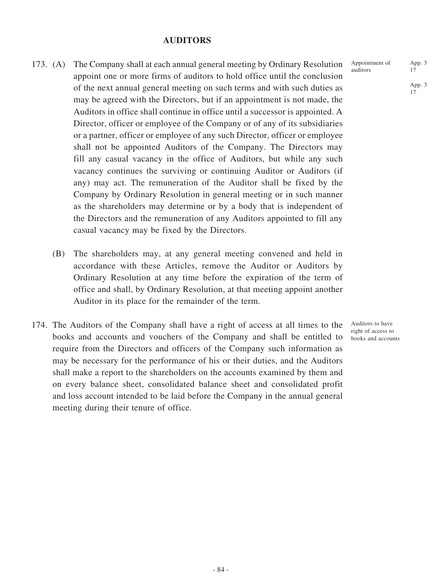#### **AUDITORS**

- 173. (A) The Company shall at each annual general meeting by Ordinary Resolution appoint one or more firms of auditors to hold office until the conclusion of the next annual general meeting on such terms and with such duties as may be agreed with the Directors, but if an appointment is not made, the Auditors in office shall continue in office until a successor is appointed. A Director, officer or employee of the Company or of any of its subsidiaries or a partner, officer or employee of any such Director, officer or employee shall not be appointed Auditors of the Company. The Directors may fill any casual vacancy in the office of Auditors, but while any such vacancy continues the surviving or continuing Auditor or Auditors (if any) may act. The remuneration of the Auditor shall be fixed by the Company by Ordinary Resolution in general meeting or in such manner as the shareholders may determine or by a body that is independent of the Directors and the remuneration of any Auditors appointed to fill any casual vacancy may be fixed by the Directors.
	- (B) The shareholders may, at any general meeting convened and held in accordance with these Articles, remove the Auditor or Auditors by Ordinary Resolution at any time before the expiration of the term of office and shall, by Ordinary Resolution, at that meeting appoint another Auditor in its place for the remainder of the term.
- 174. The Auditors of the Company shall have a right of access at all times to the books and accounts and vouchers of the Company and shall be entitled to require from the Directors and officers of the Company such information as may be necessary for the performance of his or their duties, and the Auditors shall make a report to the shareholders on the accounts examined by them and on every balance sheet, consolidated balance sheet and consolidated profit and loss account intended to be laid before the Company in the annual general meeting during their tenure of office.

Appointment of auditors

Auditors to have right of access to books and accounts App. 3

App. 3 17

17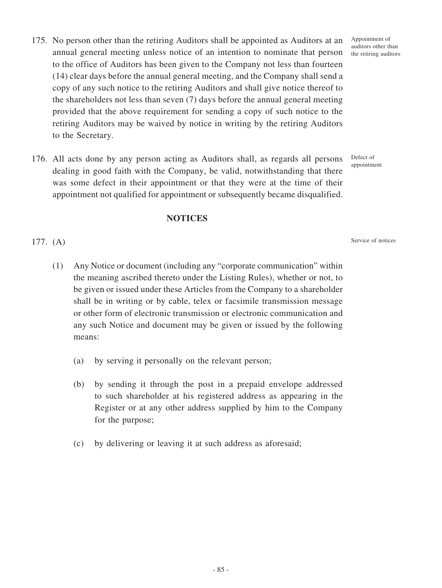- 175. No person other than the retiring Auditors shall be appointed as Auditors at an annual general meeting unless notice of an intention to nominate that person to the office of Auditors has been given to the Company not less than fourteen (14) clear days before the annual general meeting, and the Company shall send a copy of any such notice to the retiring Auditors and shall give notice thereof to the shareholders not less than seven (7) days before the annual general meeting provided that the above requirement for sending a copy of such notice to the retiring Auditors may be waived by notice in writing by the retiring Auditors to the Secretary.
- 176. All acts done by any person acting as Auditors shall, as regards all persons dealing in good faith with the Company, be valid, notwithstanding that there was some defect in their appointment or that they were at the time of their appointment not qualified for appointment or subsequently became disqualified.

**NOTICES**

177. (A)

# appointment

Defect of

Service of notices

- (1) Any Notice or document (including any "corporate communication" within the meaning ascribed thereto under the Listing Rules), whether or not, to be given or issued under these Articles from the Company to a shareholder shall be in writing or by cable, telex or facsimile transmission message or other form of electronic transmission or electronic communication and any such Notice and document may be given or issued by the following means:
	- (a) by serving it personally on the relevant person;
	- (b) by sending it through the post in a prepaid envelope addressed to such shareholder at his registered address as appearing in the Register or at any other address supplied by him to the Company for the purpose;
	- (c) by delivering or leaving it at such address as aforesaid;

Appointment of auditors other than the retiring auditors

- 85 -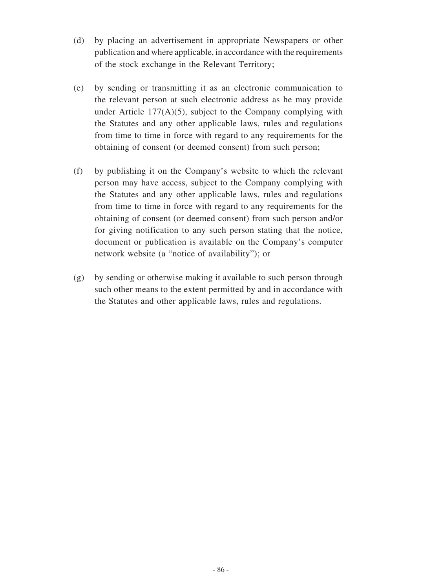- (d) by placing an advertisement in appropriate Newspapers or other publication and where applicable, in accordance with the requirements of the stock exchange in the Relevant Territory;
- (e) by sending or transmitting it as an electronic communication to the relevant person at such electronic address as he may provide under Article  $177(A)(5)$ , subject to the Company complying with the Statutes and any other applicable laws, rules and regulations from time to time in force with regard to any requirements for the obtaining of consent (or deemed consent) from such person;
- (f) by publishing it on the Company's website to which the relevant person may have access, subject to the Company complying with the Statutes and any other applicable laws, rules and regulations from time to time in force with regard to any requirements for the obtaining of consent (or deemed consent) from such person and/or for giving notification to any such person stating that the notice, document or publication is available on the Company's computer network website (a "notice of availability"); or
- (g) by sending or otherwise making it available to such person through such other means to the extent permitted by and in accordance with the Statutes and other applicable laws, rules and regulations.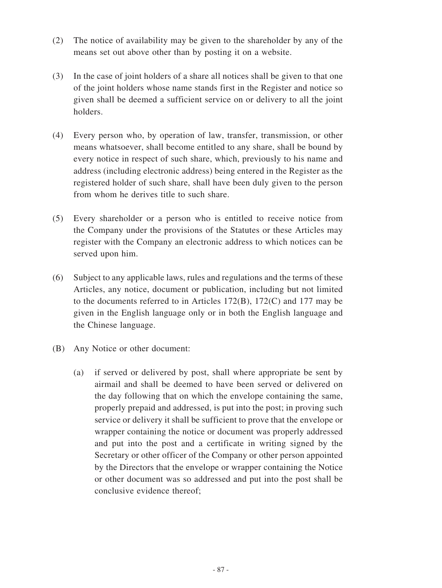- (2) The notice of availability may be given to the shareholder by any of the means set out above other than by posting it on a website.
- (3) In the case of joint holders of a share all notices shall be given to that one of the joint holders whose name stands first in the Register and notice so given shall be deemed a sufficient service on or delivery to all the joint holders.
- (4) Every person who, by operation of law, transfer, transmission, or other means whatsoever, shall become entitled to any share, shall be bound by every notice in respect of such share, which, previously to his name and address (including electronic address) being entered in the Register as the registered holder of such share, shall have been duly given to the person from whom he derives title to such share.
- (5) Every shareholder or a person who is entitled to receive notice from the Company under the provisions of the Statutes or these Articles may register with the Company an electronic address to which notices can be served upon him.
- (6) Subject to any applicable laws, rules and regulations and the terms of these Articles, any notice, document or publication, including but not limited to the documents referred to in Articles 172(B), 172(C) and 177 may be given in the English language only or in both the English language and the Chinese language.
- (B) Any Notice or other document:
	- (a) if served or delivered by post, shall where appropriate be sent by airmail and shall be deemed to have been served or delivered on the day following that on which the envelope containing the same, properly prepaid and addressed, is put into the post; in proving such service or delivery it shall be sufficient to prove that the envelope or wrapper containing the notice or document was properly addressed and put into the post and a certificate in writing signed by the Secretary or other officer of the Company or other person appointed by the Directors that the envelope or wrapper containing the Notice or other document was so addressed and put into the post shall be conclusive evidence thereof;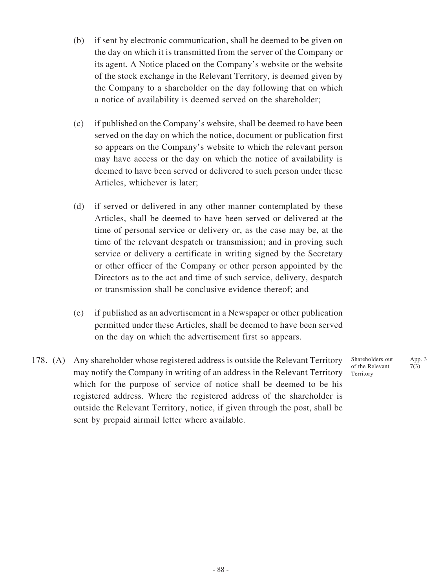- (b) if sent by electronic communication, shall be deemed to be given on the day on which it is transmitted from the server of the Company or its agent. A Notice placed on the Company's website or the website of the stock exchange in the Relevant Territory, is deemed given by the Company to a shareholder on the day following that on which a notice of availability is deemed served on the shareholder;
- (c) if published on the Company's website, shall be deemed to have been served on the day on which the notice, document or publication first so appears on the Company's website to which the relevant person may have access or the day on which the notice of availability is deemed to have been served or delivered to such person under these Articles, whichever is later;
- (d) if served or delivered in any other manner contemplated by these Articles, shall be deemed to have been served or delivered at the time of personal service or delivery or, as the case may be, at the time of the relevant despatch or transmission; and in proving such service or delivery a certificate in writing signed by the Secretary or other officer of the Company or other person appointed by the Directors as to the act and time of such service, delivery, despatch or transmission shall be conclusive evidence thereof; and
- (e) if published as an advertisement in a Newspaper or other publication permitted under these Articles, shall be deemed to have been served on the day on which the advertisement first so appears.
- 178. (A) Any shareholder whose registered address is outside the Relevant Territory may notify the Company in writing of an address in the Relevant Territory which for the purpose of service of notice shall be deemed to be his registered address. Where the registered address of the shareholder is outside the Relevant Territory, notice, if given through the post, shall be sent by prepaid airmail letter where available.

Shareholders out of the Relevant Territory

App. 3 7(3)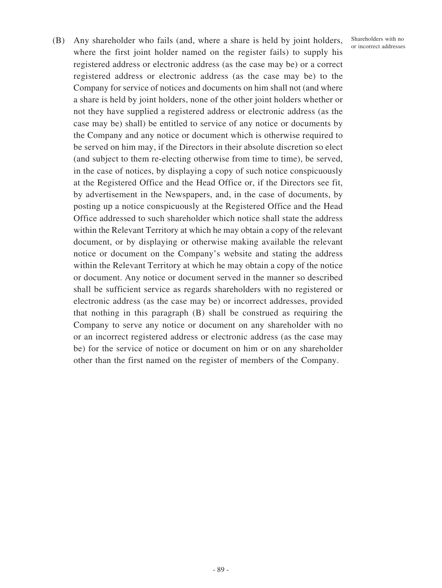Shareholders with no or incorrect addresses

(B) Any shareholder who fails (and, where a share is held by joint holders, where the first joint holder named on the register fails) to supply his registered address or electronic address (as the case may be) or a correct registered address or electronic address (as the case may be) to the Company for service of notices and documents on him shall not (and where a share is held by joint holders, none of the other joint holders whether or not they have supplied a registered address or electronic address (as the case may be) shall) be entitled to service of any notice or documents by the Company and any notice or document which is otherwise required to be served on him may, if the Directors in their absolute discretion so elect (and subject to them re-electing otherwise from time to time), be served, in the case of notices, by displaying a copy of such notice conspicuously at the Registered Office and the Head Office or, if the Directors see fit, by advertisement in the Newspapers, and, in the case of documents, by posting up a notice conspicuously at the Registered Office and the Head Office addressed to such shareholder which notice shall state the address within the Relevant Territory at which he may obtain a copy of the relevant document, or by displaying or otherwise making available the relevant notice or document on the Company's website and stating the address within the Relevant Territory at which he may obtain a copy of the notice or document. Any notice or document served in the manner so described shall be sufficient service as regards shareholders with no registered or electronic address (as the case may be) or incorrect addresses, provided that nothing in this paragraph (B) shall be construed as requiring the Company to serve any notice or document on any shareholder with no or an incorrect registered address or electronic address (as the case may be) for the service of notice or document on him or on any shareholder other than the first named on the register of members of the Company.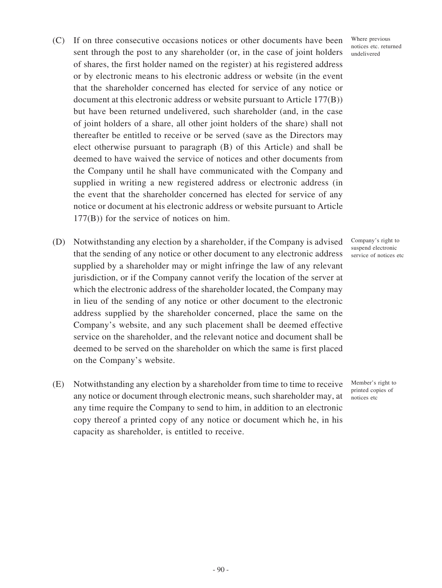- (C) If on three consecutive occasions notices or other documents have been sent through the post to any shareholder (or, in the case of joint holders of shares, the first holder named on the register) at his registered address or by electronic means to his electronic address or website (in the event that the shareholder concerned has elected for service of any notice or document at this electronic address or website pursuant to Article 177(B)) but have been returned undelivered, such shareholder (and, in the case of joint holders of a share, all other joint holders of the share) shall not thereafter be entitled to receive or be served (save as the Directors may elect otherwise pursuant to paragraph (B) of this Article) and shall be deemed to have waived the service of notices and other documents from the Company until he shall have communicated with the Company and supplied in writing a new registered address or electronic address (in the event that the shareholder concerned has elected for service of any notice or document at his electronic address or website pursuant to Article 177(B)) for the service of notices on him.
- (D) Notwithstanding any election by a shareholder, if the Company is advised that the sending of any notice or other document to any electronic address supplied by a shareholder may or might infringe the law of any relevant jurisdiction, or if the Company cannot verify the location of the server at which the electronic address of the shareholder located, the Company may in lieu of the sending of any notice or other document to the electronic address supplied by the shareholder concerned, place the same on the Company's website, and any such placement shall be deemed effective service on the shareholder, and the relevant notice and document shall be deemed to be served on the shareholder on which the same is first placed on the Company's website.
- (E) Notwithstanding any election by a shareholder from time to time to receive any notice or document through electronic means, such shareholder may, at any time require the Company to send to him, in addition to an electronic copy thereof a printed copy of any notice or document which he, in his capacity as shareholder, is entitled to receive.

Where previous notices etc. returned undelivered

Company's right to suspend electronic service of notices etc

Member's right to printed copies of notices etc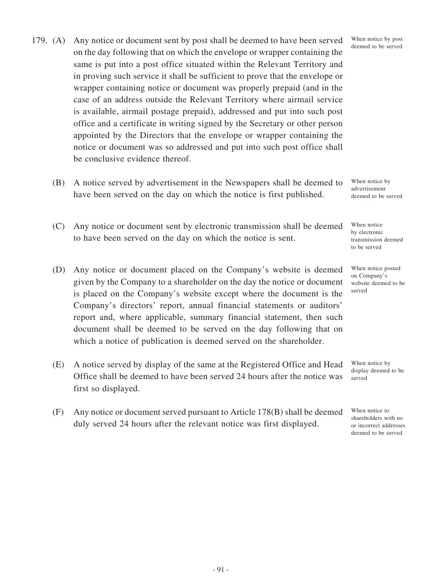- 179. (A) Any notice or document sent by post shall be deemed to have been served on the day following that on which the envelope or wrapper containing the same is put into a post office situated within the Relevant Territory and in proving such service it shall be sufficient to prove that the envelope or wrapper containing notice or document was properly prepaid (and in the case of an address outside the Relevant Territory where airmail service is available, airmail postage prepaid), addressed and put into such post office and a certificate in writing signed by the Secretary or other person appointed by the Directors that the envelope or wrapper containing the notice or document was so addressed and put into such post office shall be conclusive evidence thereof.
	- (B) A notice served by advertisement in the Newspapers shall be deemed to have been served on the day on which the notice is first published.
	- (C) Any notice or document sent by electronic transmission shall be deemed to have been served on the day on which the notice is sent.
	- (D) Any notice or document placed on the Company's website is deemed given by the Company to a shareholder on the day the notice or document is placed on the Company's website except where the document is the Company's directors' report, annual financial statements or auditors' report and, where applicable, summary financial statement, then such document shall be deemed to be served on the day following that on which a notice of publication is deemed served on the shareholder.
	- (E) A notice served by display of the same at the Registered Office and Head Office shall be deemed to have been served 24 hours after the notice was first so displayed.
	- (F) Any notice or document served pursuant to Article 178(B) shall be deemed duly served 24 hours after the relevant notice was first displayed.

When notice by post deemed to be served

When notice by advertisement deemed to be served

When notice by electronic transmission deemed to be served

When notice posted on Company's website deemed to be served

When notice by display deemed to be served

When notice to shareholders with no or incorrect addresses deemed to be served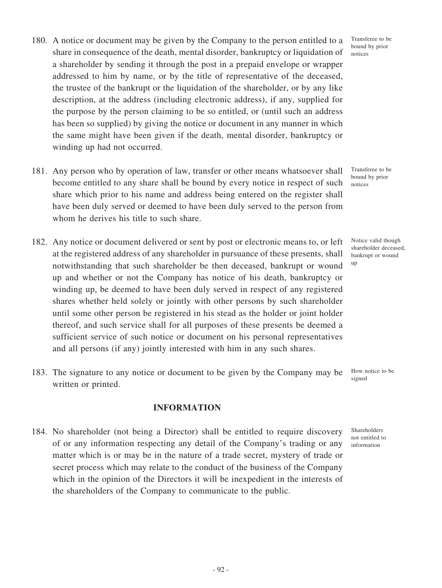- 180. A notice or document may be given by the Company to the person entitled to a share in consequence of the death, mental disorder, bankruptcy or liquidation of a shareholder by sending it through the post in a prepaid envelope or wrapper addressed to him by name, or by the title of representative of the deceased, the trustee of the bankrupt or the liquidation of the shareholder, or by any like description, at the address (including electronic address), if any, supplied for the purpose by the person claiming to be so entitled, or (until such an address has been so supplied) by giving the notice or document in any manner in which the same might have been given if the death, mental disorder, bankruptcy or winding up had not occurred.
- 181. Any person who by operation of law, transfer or other means whatsoever shall become entitled to any share shall be bound by every notice in respect of such share which prior to his name and address being entered on the register shall have been duly served or deemed to have been duly served to the person from whom he derives his title to such share.
- 182. Any notice or document delivered or sent by post or electronic means to, or left at the registered address of any shareholder in pursuance of these presents, shall notwithstanding that such shareholder be then deceased, bankrupt or wound up and whether or not the Company has notice of his death, bankruptcy or winding up, be deemed to have been duly served in respect of any registered shares whether held solely or jointly with other persons by such shareholder until some other person be registered in his stead as the holder or joint holder thereof, and such service shall for all purposes of these presents be deemed a sufficient service of such notice or document on his personal representatives and all persons (if any) jointly interested with him in any such shares.
- 183. The signature to any notice or document to be given by the Company may be written or printed.

#### **INFORMATION**

184. No shareholder (not being a Director) shall be entitled to require discovery of or any information respecting any detail of the Company's trading or any matter which is or may be in the nature of a trade secret, mystery of trade or secret process which may relate to the conduct of the business of the Company which in the opinion of the Directors it will be inexpedient in the interests of the shareholders of the Company to communicate to the public.

Transferee to be bound by prior notices

Transferee to be bound by prior notices

Notice valid though shareholder deceased, bankrupt or wound up

How notice to be signed

Shareholders not entitled to information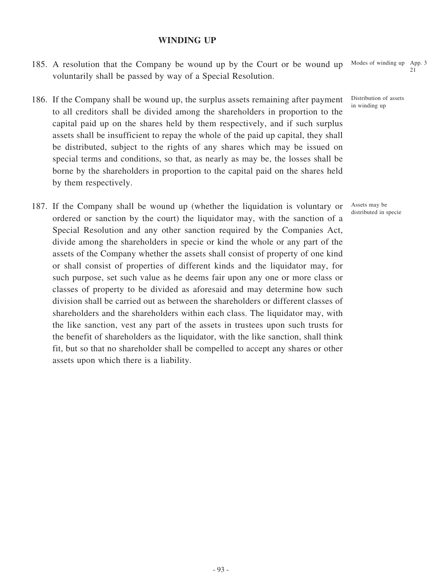#### **WINDING UP**

- 185. A resolution that the Company be wound up by the Court or be wound up voluntarily shall be passed by way of a Special Resolution. Modes of winding up App. 3 21
- 186. If the Company shall be wound up, the surplus assets remaining after payment to all creditors shall be divided among the shareholders in proportion to the capital paid up on the shares held by them respectively, and if such surplus assets shall be insufficient to repay the whole of the paid up capital, they shall be distributed, subject to the rights of any shares which may be issued on special terms and conditions, so that, as nearly as may be, the losses shall be borne by the shareholders in proportion to the capital paid on the shares held by them respectively.
- 187. If the Company shall be wound up (whether the liquidation is voluntary or ordered or sanction by the court) the liquidator may, with the sanction of a Special Resolution and any other sanction required by the Companies Act, divide among the shareholders in specie or kind the whole or any part of the assets of the Company whether the assets shall consist of property of one kind or shall consist of properties of different kinds and the liquidator may, for such purpose, set such value as he deems fair upon any one or more class or classes of property to be divided as aforesaid and may determine how such division shall be carried out as between the shareholders or different classes of shareholders and the shareholders within each class. The liquidator may, with the like sanction, vest any part of the assets in trustees upon such trusts for the benefit of shareholders as the liquidator, with the like sanction, shall think fit, but so that no shareholder shall be compelled to accept any shares or other assets upon which there is a liability.

Distribution of assets in winding up

Assets may be distributed in specie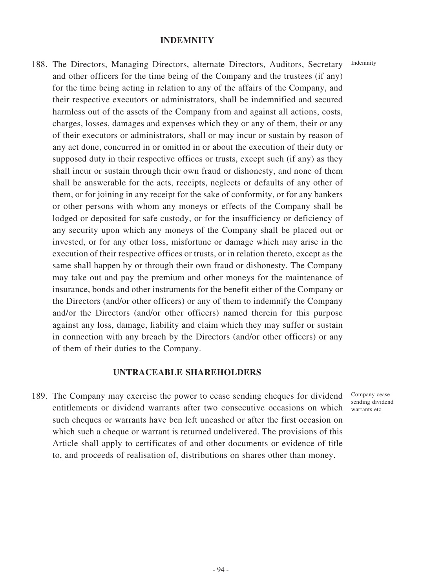#### **INDEMNITY**

188. The Directors, Managing Directors, alternate Directors, Auditors, Secretary and other officers for the time being of the Company and the trustees (if any) for the time being acting in relation to any of the affairs of the Company, and their respective executors or administrators, shall be indemnified and secured harmless out of the assets of the Company from and against all actions, costs, charges, losses, damages and expenses which they or any of them, their or any of their executors or administrators, shall or may incur or sustain by reason of any act done, concurred in or omitted in or about the execution of their duty or supposed duty in their respective offices or trusts, except such (if any) as they shall incur or sustain through their own fraud or dishonesty, and none of them shall be answerable for the acts, receipts, neglects or defaults of any other of them, or for joining in any receipt for the sake of conformity, or for any bankers or other persons with whom any moneys or effects of the Company shall be lodged or deposited for safe custody, or for the insufficiency or deficiency of any security upon which any moneys of the Company shall be placed out or invested, or for any other loss, misfortune or damage which may arise in the execution of their respective offices or trusts, or in relation thereto, except as the same shall happen by or through their own fraud or dishonesty. The Company may take out and pay the premium and other moneys for the maintenance of insurance, bonds and other instruments for the benefit either of the Company or the Directors (and/or other officers) or any of them to indemnify the Company and/or the Directors (and/or other officers) named therein for this purpose against any loss, damage, liability and claim which they may suffer or sustain in connection with any breach by the Directors (and/or other officers) or any of them of their duties to the Company.

#### **UNTRACEABLE SHAREHOLDERS**

189. The Company may exercise the power to cease sending cheques for dividend entitlements or dividend warrants after two consecutive occasions on which such cheques or warrants have ben left uncashed or after the first occasion on which such a cheque or warrant is returned undelivered. The provisions of this Article shall apply to certificates of and other documents or evidence of title to, and proceeds of realisation of, distributions on shares other than money.

Company cease sending dividend warrants etc.

Indemnity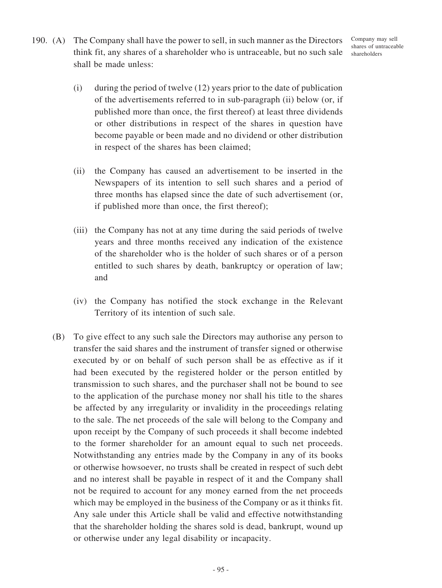190. (A) The Company shall have the power to sell, in such manner as the Directors think fit, any shares of a shareholder who is untraceable, but no such sale shall be made unless:

Company may sell shares of untraceable shareholders

- (i) during the period of twelve (12) years prior to the date of publication of the advertisements referred to in sub-paragraph (ii) below (or, if published more than once, the first thereof) at least three dividends or other distributions in respect of the shares in question have become payable or been made and no dividend or other distribution in respect of the shares has been claimed;
- (ii) the Company has caused an advertisement to be inserted in the Newspapers of its intention to sell such shares and a period of three months has elapsed since the date of such advertisement (or, if published more than once, the first thereof);
- (iii) the Company has not at any time during the said periods of twelve years and three months received any indication of the existence of the shareholder who is the holder of such shares or of a person entitled to such shares by death, bankruptcy or operation of law; and
- (iv) the Company has notified the stock exchange in the Relevant Territory of its intention of such sale.
- (B) To give effect to any such sale the Directors may authorise any person to transfer the said shares and the instrument of transfer signed or otherwise executed by or on behalf of such person shall be as effective as if it had been executed by the registered holder or the person entitled by transmission to such shares, and the purchaser shall not be bound to see to the application of the purchase money nor shall his title to the shares be affected by any irregularity or invalidity in the proceedings relating to the sale. The net proceeds of the sale will belong to the Company and upon receipt by the Company of such proceeds it shall become indebted to the former shareholder for an amount equal to such net proceeds. Notwithstanding any entries made by the Company in any of its books or otherwise howsoever, no trusts shall be created in respect of such debt and no interest shall be payable in respect of it and the Company shall not be required to account for any money earned from the net proceeds which may be employed in the business of the Company or as it thinks fit. Any sale under this Article shall be valid and effective notwithstanding that the shareholder holding the shares sold is dead, bankrupt, wound up or otherwise under any legal disability or incapacity.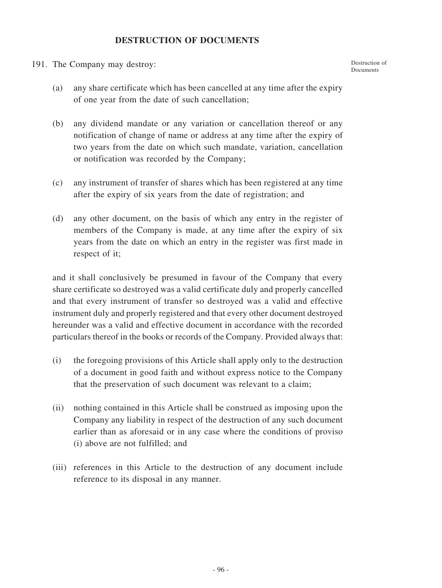# **DESTRUCTION OF DOCUMENTS**

191. The Company may destroy:

(a) any share certificate which has been cancelled at any time after the expiry of one year from the date of such cancellation;

Destruction of Documents

- (b) any dividend mandate or any variation or cancellation thereof or any notification of change of name or address at any time after the expiry of two years from the date on which such mandate, variation, cancellation or notification was recorded by the Company;
- (c) any instrument of transfer of shares which has been registered at any time after the expiry of six years from the date of registration; and
- (d) any other document, on the basis of which any entry in the register of members of the Company is made, at any time after the expiry of six years from the date on which an entry in the register was first made in respect of it;

and it shall conclusively be presumed in favour of the Company that every share certificate so destroyed was a valid certificate duly and properly cancelled and that every instrument of transfer so destroyed was a valid and effective instrument duly and properly registered and that every other document destroyed hereunder was a valid and effective document in accordance with the recorded particulars thereof in the books or records of the Company. Provided always that:

- (i) the foregoing provisions of this Article shall apply only to the destruction of a document in good faith and without express notice to the Company that the preservation of such document was relevant to a claim;
- (ii) nothing contained in this Article shall be construed as imposing upon the Company any liability in respect of the destruction of any such document earlier than as aforesaid or in any case where the conditions of proviso (i) above are not fulfilled; and
- (iii) references in this Article to the destruction of any document include reference to its disposal in any manner.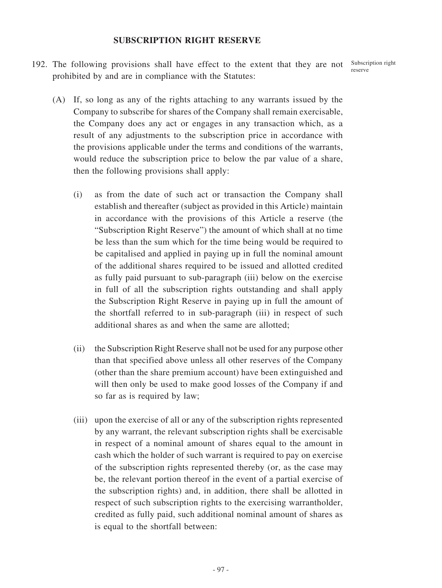## **SUBSCRIPTION RIGHT RESERVE**

192. The following provisions shall have effect to the extent that they are not Subscription right prohibited by and are in compliance with the Statutes:

reserve

- (A) If, so long as any of the rights attaching to any warrants issued by the Company to subscribe for shares of the Company shall remain exercisable, the Company does any act or engages in any transaction which, as a result of any adjustments to the subscription price in accordance with the provisions applicable under the terms and conditions of the warrants, would reduce the subscription price to below the par value of a share, then the following provisions shall apply:
	- (i) as from the date of such act or transaction the Company shall establish and thereafter (subject as provided in this Article) maintain in accordance with the provisions of this Article a reserve (the "Subscription Right Reserve") the amount of which shall at no time be less than the sum which for the time being would be required to be capitalised and applied in paying up in full the nominal amount of the additional shares required to be issued and allotted credited as fully paid pursuant to sub-paragraph (iii) below on the exercise in full of all the subscription rights outstanding and shall apply the Subscription Right Reserve in paying up in full the amount of the shortfall referred to in sub-paragraph (iii) in respect of such additional shares as and when the same are allotted;
	- (ii) the Subscription Right Reserve shall not be used for any purpose other than that specified above unless all other reserves of the Company (other than the share premium account) have been extinguished and will then only be used to make good losses of the Company if and so far as is required by law;
	- (iii) upon the exercise of all or any of the subscription rights represented by any warrant, the relevant subscription rights shall be exercisable in respect of a nominal amount of shares equal to the amount in cash which the holder of such warrant is required to pay on exercise of the subscription rights represented thereby (or, as the case may be, the relevant portion thereof in the event of a partial exercise of the subscription rights) and, in addition, there shall be allotted in respect of such subscription rights to the exercising warrantholder, credited as fully paid, such additional nominal amount of shares as is equal to the shortfall between: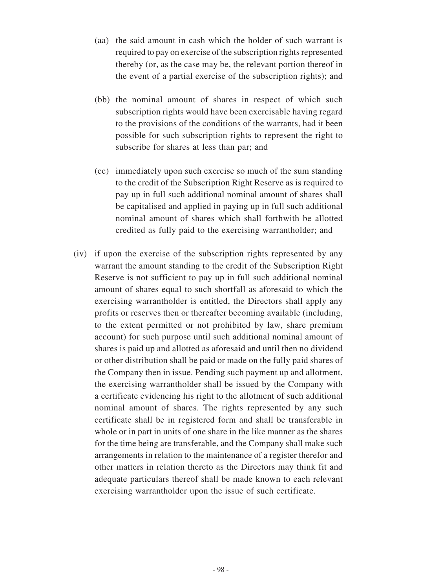- (aa) the said amount in cash which the holder of such warrant is required to pay on exercise of the subscription rights represented thereby (or, as the case may be, the relevant portion thereof in the event of a partial exercise of the subscription rights); and
- (bb) the nominal amount of shares in respect of which such subscription rights would have been exercisable having regard to the provisions of the conditions of the warrants, had it been possible for such subscription rights to represent the right to subscribe for shares at less than par; and
- (cc) immediately upon such exercise so much of the sum standing to the credit of the Subscription Right Reserve as is required to pay up in full such additional nominal amount of shares shall be capitalised and applied in paying up in full such additional nominal amount of shares which shall forthwith be allotted credited as fully paid to the exercising warrantholder; and
- (iv) if upon the exercise of the subscription rights represented by any warrant the amount standing to the credit of the Subscription Right Reserve is not sufficient to pay up in full such additional nominal amount of shares equal to such shortfall as aforesaid to which the exercising warrantholder is entitled, the Directors shall apply any profits or reserves then or thereafter becoming available (including, to the extent permitted or not prohibited by law, share premium account) for such purpose until such additional nominal amount of shares is paid up and allotted as aforesaid and until then no dividend or other distribution shall be paid or made on the fully paid shares of the Company then in issue. Pending such payment up and allotment, the exercising warrantholder shall be issued by the Company with a certificate evidencing his right to the allotment of such additional nominal amount of shares. The rights represented by any such certificate shall be in registered form and shall be transferable in whole or in part in units of one share in the like manner as the shares for the time being are transferable, and the Company shall make such arrangements in relation to the maintenance of a register therefor and other matters in relation thereto as the Directors may think fit and adequate particulars thereof shall be made known to each relevant exercising warrantholder upon the issue of such certificate.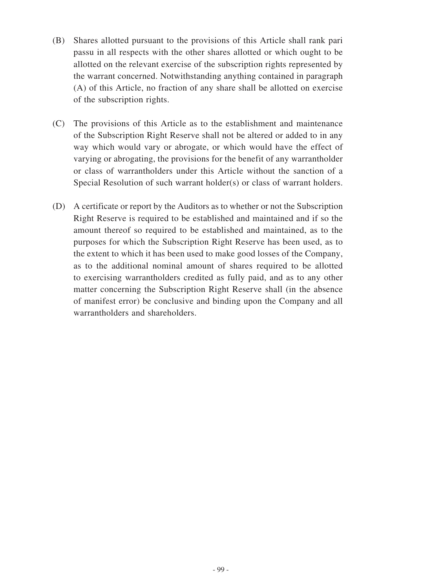- (B) Shares allotted pursuant to the provisions of this Article shall rank pari passu in all respects with the other shares allotted or which ought to be allotted on the relevant exercise of the subscription rights represented by the warrant concerned. Notwithstanding anything contained in paragraph (A) of this Article, no fraction of any share shall be allotted on exercise of the subscription rights.
- (C) The provisions of this Article as to the establishment and maintenance of the Subscription Right Reserve shall not be altered or added to in any way which would vary or abrogate, or which would have the effect of varying or abrogating, the provisions for the benefit of any warrantholder or class of warrantholders under this Article without the sanction of a Special Resolution of such warrant holder(s) or class of warrant holders.
- (D) A certificate or report by the Auditors as to whether or not the Subscription Right Reserve is required to be established and maintained and if so the amount thereof so required to be established and maintained, as to the purposes for which the Subscription Right Reserve has been used, as to the extent to which it has been used to make good losses of the Company, as to the additional nominal amount of shares required to be allotted to exercising warrantholders credited as fully paid, and as to any other matter concerning the Subscription Right Reserve shall (in the absence of manifest error) be conclusive and binding upon the Company and all warrantholders and shareholders.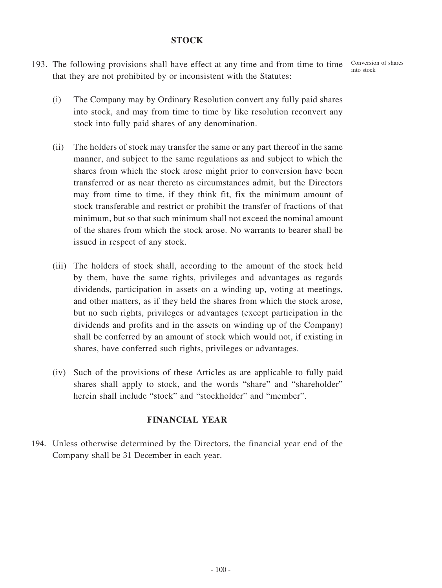## **STOCK**

193. The following provisions shall have effect at any time and from time to time Conversion of shares that they are not prohibited by or inconsistent with the Statutes:

into stock

- (i) The Company may by Ordinary Resolution convert any fully paid shares into stock, and may from time to time by like resolution reconvert any stock into fully paid shares of any denomination.
- (ii) The holders of stock may transfer the same or any part thereof in the same manner, and subject to the same regulations as and subject to which the shares from which the stock arose might prior to conversion have been transferred or as near thereto as circumstances admit, but the Directors may from time to time, if they think fit, fix the minimum amount of stock transferable and restrict or prohibit the transfer of fractions of that minimum, but so that such minimum shall not exceed the nominal amount of the shares from which the stock arose. No warrants to bearer shall be issued in respect of any stock.
- (iii) The holders of stock shall, according to the amount of the stock held by them, have the same rights, privileges and advantages as regards dividends, participation in assets on a winding up, voting at meetings, and other matters, as if they held the shares from which the stock arose, but no such rights, privileges or advantages (except participation in the dividends and profits and in the assets on winding up of the Company) shall be conferred by an amount of stock which would not, if existing in shares, have conferred such rights, privileges or advantages.
- (iv) Such of the provisions of these Articles as are applicable to fully paid shares shall apply to stock, and the words "share" and "shareholder" herein shall include "stock" and "stockholder" and "member".

## **FINANCIAL YEAR**

194. Unless otherwise determined by the Directors, the financial year end of the Company shall be 31 December in each year.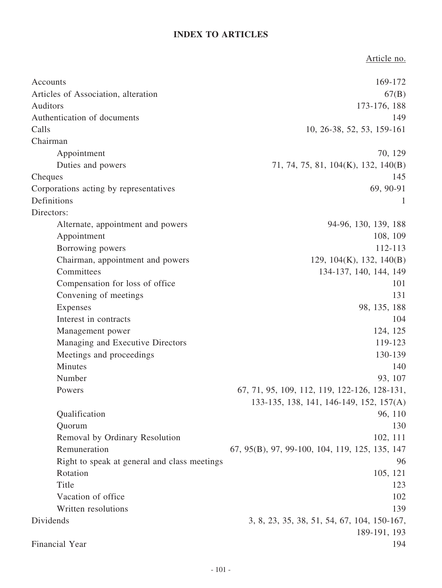# **INDEX TO ARTICLES**

Article no. Accounts 169-172 Articles of Association, alteration  $67(B)$ Auditors 173-176, 188 Authentication of documents 149 Calls 10, 26-38, 52, 53, 159-161 Chairman Appointment 70, 129 Duties and powers 71, 74, 75, 81, 104(K), 132, 140(B) Cheques 145 Corporations acting by representatives 69, 90-91 Definitions 1 Directors: Alternate, appointment and powers 94-96, 130, 139, 188 Appointment 108, 109 Borrowing powers 112-113 Chairman, appointment and powers 129, 104(K), 132, 140(B) Committees 134-137, 140, 144, 149 Compensation for loss of office 101 Convening of meetings 131 Expenses 98, 135, 188 Interest in contracts 104 Management power 124, 125 Managing and Executive Directors 119-123 Meetings and proceedings 130-139 Minutes 140 Number 93, 107 Powers 67, 71, 95, 109, 112, 119, 122-126, 128-131, 133-135, 138, 141, 146-149, 152, 157(A) Qualification 96, 110 Quorum 130 Removal by Ordinary Resolution 102, 111 Remuneration 67, 95(B), 97, 99-100, 104, 119, 125, 135, 147 Right to speak at general and class meetings 96 Rotation 105, 121 Title 123 Vacation of office  $102$ Written resolutions 139 Dividends 3, 8, 23, 35, 38, 51, 54, 67, 104, 150-167, 189-191, 193 Financial Year 194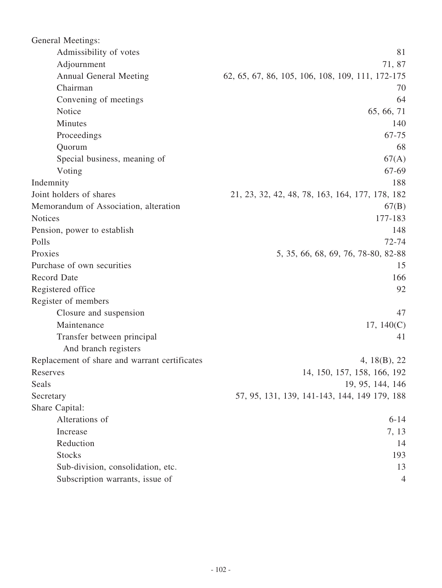| <b>General Meetings:</b>                      |                                                  |
|-----------------------------------------------|--------------------------------------------------|
| Admissibility of votes                        | 81                                               |
| Adjournment                                   | 71, 87                                           |
| <b>Annual General Meeting</b>                 | 62, 65, 67, 86, 105, 106, 108, 109, 111, 172-175 |
| Chairman                                      | 70                                               |
| Convening of meetings                         | 64                                               |
| Notice                                        | 65, 66, 71                                       |
| Minutes                                       | 140                                              |
| Proceedings                                   | 67-75                                            |
| Quorum                                        | 68                                               |
| Special business, meaning of                  | 67(A)                                            |
| Voting                                        | 67-69                                            |
| Indemnity                                     | 188                                              |
| Joint holders of shares                       | 21, 23, 32, 42, 48, 78, 163, 164, 177, 178, 182  |
| Memorandum of Association, alteration         | 67(B)                                            |
| <b>Notices</b>                                | 177-183                                          |
| Pension, power to establish                   | 148                                              |
| Polls                                         | 72-74                                            |
| Proxies                                       | 5, 35, 66, 68, 69, 76, 78-80, 82-88              |
| Purchase of own securities                    | 15                                               |
| <b>Record Date</b>                            | 166                                              |
| Registered office                             | 92                                               |
| Register of members                           |                                                  |
| Closure and suspension                        | 47                                               |
| Maintenance                                   | 17, $140(C)$                                     |
| Transfer between principal                    | 41                                               |
| And branch registers                          |                                                  |
| Replacement of share and warrant certificates | 4, 18(B), 22                                     |
| Reserves                                      | 14, 150, 157, 158, 166, 192                      |
| Seals                                         | 19, 95, 144, 146                                 |
| Secretary                                     | 57, 95, 131, 139, 141-143, 144, 149 179, 188     |
| Share Capital:                                |                                                  |
| Alterations of                                | $6 - 14$                                         |
| Increase                                      | 7, 13                                            |
| Reduction                                     | 14                                               |
| <b>Stocks</b>                                 | 193                                              |
| Sub-division, consolidation, etc.             | 13                                               |
| Subscription warrants, issue of               | 4                                                |